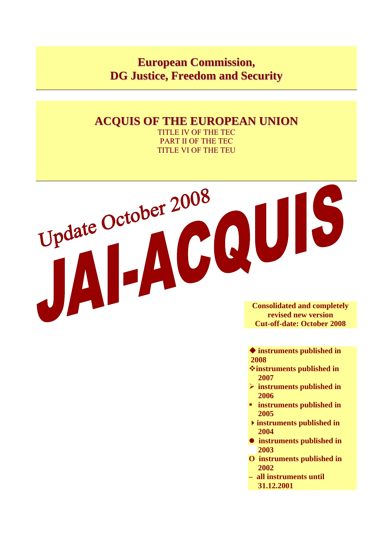# **European Commission, DG Justice, Freedom and Security**

# **ACQUIS OF THE EUROPEAN UNION**

TITLE IV OF THE TEC PART II OF THE TEC TITLE VI OF THE TEU

**Consolidated and completely revised new version Cut-off-date: October 2008** 

 **instruments published in 2008** 

- **instruments published in 2007**
- ¾ **instruments published in 2006**
- **instruments published in 2005**
- **instruments published in 2004**
- $\bullet$  instruments published in **2003**
- **O instruments published in 2002**
- **all instruments until 31.12.2001**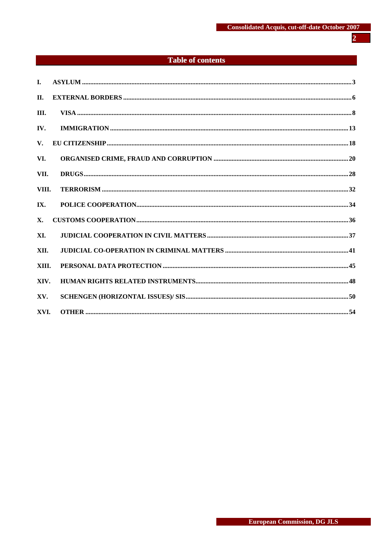# $\overline{2}$

# **Table of contents**

| $\mathbf{L}$ |  |
|--------------|--|
| II.          |  |
| III.         |  |
| IV.          |  |
| $V_{\star}$  |  |
| VI.          |  |
| VII.         |  |
| VIII.        |  |
| IX.          |  |
| <b>X</b> .   |  |
| XI.          |  |
| XII.         |  |
| XIII.        |  |
| XIV.         |  |
| XV.          |  |
| XVI.         |  |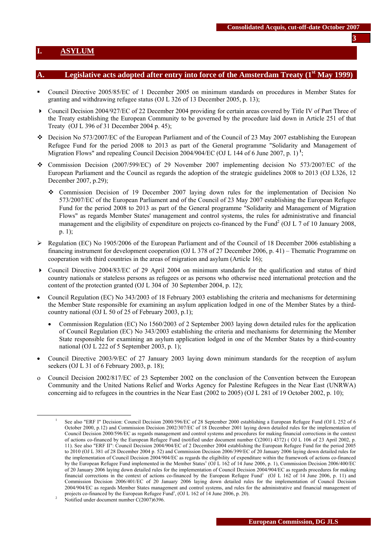### <span id="page-2-0"></span>**I. ASYLUM**

### Legislative acts adopted after entry into force of the Amsterdam Treaty (1<sup>st</sup> May 1999)

- Council Directive 2005/85/EC of 1 December 2005 on minimum standards on procedures in Member States for granting and withdrawing refugee status (OJ L 326 of 13 December 2005, p. 13);
- Council Decision 2004/927/EC of 22 December 2004 providing for certain areas covered by Title IV of Part Three of the Treaty establishing the European Community to be governed by the procedure laid down in Article 251 of that Treaty (OJ L 396 of 31 December 2004 p. 45);
- $\div$  Decision No 573/2007/EC of the European Parliament and of the Council of 23 May 2007 establishing the European Refugee Fund for the period 2008 to 2013 as part of the General programme "Solidarity and Management of Migration Flows" and repealing Council Decision 2004/904/EC (OJ L 144 of 6 June 2007, p. 1)**<sup>1</sup>**;
- Commission Decision (2007/599/EC) of 29 November 2007 implementing decision No 573/2007/EC of the European Parliament and the Council as regards the adoption of the strategic guidelines 2008 to 2013 (OJ L326, 12 December 2007, p.29);
	- Commission Decision of 19 December 2007 laying down rules for the implementation of Decision No 573/2007/EC of the European Parliament and of the Council of 23 May 2007 establishing the European Refugee Fund for the period 2008 to 2013 as part of the General programme "Solidarity and Management of Migration Flows" as regards Member States' management and control systems, the rules for administrative and financial management and the eligibility of expenditure on projects co-financed by the Fund<sup>2</sup> (OJ L 7 of 10 January 2008, p. 1);
- $\triangleright$  Regulation (EC) No 1905/2006 of the European Parliament and of the Council of 18 December 2006 establishing a financing instrument for development cooperation (OJ L 378 of 27 December 2006, p. 41) – Thematic Programme on cooperation with third countries in the areas of migration and asylum (Article 16);
- Council Directive 2004/83/EC of 29 April 2004 on minimum standards for the qualification and status of third country nationals or stateless persons as refugees or as persons who otherwise need international protection and the content of the protection granted (OJ L 304 of 30 September 2004, p. 12);
- Council Regulation (EC) No 343/2003 of 18 February 2003 establishing the criteria and mechanisms for determining the Member State responsible for examining an asylum application lodged in one of the Member States by a thirdcountry national (OJ L 50 of 25 of February 2003, p.1);
	- Commission Regulation (EC) No 1560/2003 of 2 September 2003 laying down detailed rules for the application of Council Regulation (EC) No 343/2003 establishing the criteria and mechanisms for determining the Member State responsible for examining an asylum application lodged in one of the Member States by a third-country national (OJ L 222 of 5 September 2003, p. 1);
- Council Directive 2003/9/EC of 27 January 2003 laying down minimum standards for the reception of asylum seekers (OJ L 31 of 6 February 2003, p. 18);
- ο Council Decision 2002/817/EC of 23 September 2002 on the conclusion of the Convention between the European Community and the United Nations Relief and Works Agency for Palestine Refugees in the Near East (UNRWA) concerning aid to refugees in the countries in the Near East (2002 to 2005) (OJ L 281 of 19 October 2002, p. 10);

 $\frac{1}{1}$  See also "ERF I" Decision: Council Decision 2000/596/EC of 28 September 2000 establishing a European Refugee Fund (OJ L 252 of 6 October 2000, p.12) and Commission Decision 2002/307/EC of 18 December 2001 laying down detailed rules for the implementation of Council Decision 2000/596/EC as regards management and control systems and procedures for making financial corrections in the context of actions co-financed by the European Refugee Fund (notified under document number C(2001) 4372) ( OJ L 106 of 23 April 2002, p. 11). See also "ERF II": Council Decision 2004/904/EC of 2 December 2004 establishing the European Refugee Fund for the period 2005 to 2010 (OJ L 381 of 28 December 2004 p. 52) and Commission Decision 2006/399/EC of 20 January 2006 laying down detailed rules for the implementation of Council Decision 2004/904/EC as regards the eligibility of expenditure within the framework of actions co-financed by the European Refugee Fund implemented in the Member States<sup>1</sup> (OJ L 162 of 14 June 2006, p. 1), Commission Decision 2006/400/EC of 20 January 2006 laying down detailed rules for the implementation of Council Decision 2004/904/EC as regards procedures for making financial corrections in the context of actions co-financed by the European Refugee Fund<sup>1</sup> (OJ L 162 of 14 June 2006, p. 11) and Commission Decision 2006/401/EC of 20 January 2006 laying down detailed rules for the implementation of Council Decision 2004/904/EC as regards Member States management and control systems, and rules for the administrative and financial management of projects co-financed by the European Refugee  $\text{Fund}^1$ , (OJ L 162 of 14 June 2006, p. 20).

 $\frac{1}{2}$  Notified under document number C(2007)6396.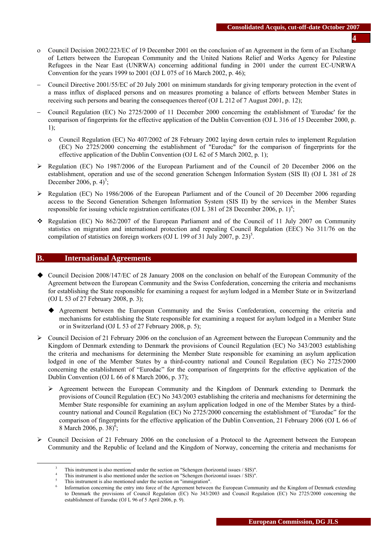- ο Council Decision 2002/223/EC of 19 December 2001 on the conclusion of an Agreement in the form of an Exchange of Letters between the European Community and the United Nations Relief and Works Agency for Palestine Refugees in the Near East (UNRWA) concerning additional funding in 2001 under the current EC-UNRWA Convention for the years 1999 to 2001 (OJ L 075 of 16 March 2002, p. 46);
- − Council Directive 2001/55/EC of 20 July 2001 on minimum standards for giving temporary protection in the event of a mass influx of displaced persons and on measures promoting a balance of efforts between Member States in receiving such persons and bearing the consequences thereof (OJ L 212 of 7 August 2001, p. 12);
- − Council Regulation (EC) No 2725/2000 of 11 December 2000 concerning the establishment of 'Eurodac' for the comparison of fingerprints for the effective application of the Dublin Convention (OJ L 316 of 15 December 2000, p. 1);
	- ο Council Regulation (EC) No 407/2002 of 28 February 2002 laying down certain rules to implement Regulation (EC) No 2725/2000 concerning the establishment of "Eurodac" for the comparison of fingerprints for the effective application of the Dublin Convention (OJ L 62 of 5 March 2002, p. 1);
- ¾ Regulation (EC) No 1987/2006 of the European Parliament and of the Council of 20 December 2006 on the establishment, operation and use of the second generation Schengen Information System (SIS II) (OJ L 381 of 28 December 2006, p.  $4^3$ ;
- $\triangleright$  Regulation (EC) No 1986/2006 of the European Parliament and of the Council of 20 December 2006 regarding access to the Second Generation Schengen Information System (SIS II) by the services in the Member States responsible for issuing vehicle registration certificates (OJ L 381 of 28 December 2006, p. 1)<sup>4</sup>;
- \* Regulation (EC) No 862/2007 of the European Parliament and of the Council of 11 July 2007 on Community statistics on migration and international protection and repealing Council Regulation (EEC) No 311/76 on the compilation of statistics on foreign workers (OJ L 199 of 31 July 2007, p. 23)<sup>5</sup>.

#### **B. International Agreements**

- Council Decision 2008/147/EC of 28 January 2008 on the conclusion on behalf of the European Community of the Agreement between the European Community and the Swiss Confederation, concerning the criteria and mechanisms for establishing the State responsible for examining a request for asylum lodged in a Member State or in Switzerland (OJ L 53 of 27 February 2008, p. 3);
	- Agreement between the European Community and the Swiss Confederation, concerning the criteria and mechanisms for establishing the State responsible for examining a request for asylum lodged in a Member State or in Switzerland (OJ L 53 of 27 February 2008, p. 5);
- $\triangleright$  Council Decision of 21 February 2006 on the conclusion of an Agreement between the European Community and the Kingdom of Denmark extending to Denmark the provisions of Council Regulation (EC) No 343/2003 establishing the criteria and mechanisms for determining the Member State responsible for examining an asylum application lodged in one of the Member States by a third-country national and Council Regulation (EC) No 2725/2000 concerning the establishment of "Eurodac" for the comparison of fingerprints for the effective application of the Dublin Convention (OJ L 66 of 8 March 2006, p. 37);
	- $\triangleright$  Agreement between the European Community and the Kingdom of Denmark extending to Denmark the provisions of Council Regulation (EC) No 343/2003 establishing the criteria and mechanisms for determining the Member State responsible for examining an asylum application lodged in one of the Member States by a thirdcountry national and Council Regulation (EC) No 2725/2000 concerning the establishment of "Eurodac" for the comparison of fingerprints for the effective application of the Dublin Convention, 21 February 2006 (OJ L 66 of 8 March 2006, p. 38 $\frac{6}{5}$ ;
- $\triangleright$  Council Decision of 21 February 2006 on the conclusion of a Protocol to the Agreement between the European Community and the Republic of Iceland and the Kingdom of Norway, concerning the criteria and mechanisms for

 $\frac{1}{3}$ This instrument is also mentioned under the section on "Schengen (horizontal issues / SIS)".

This instrument is also mentioned under the section on "Schengen (horizontal issues / SIS)".

This instrument is also mentioned under the section on "immigration".

Information concerning the entry into force of the Agreement between the European Community and the Kingdom of Denmark extending to Denmark the provisions of Council Regulation (EC) No 343/2003 and Council Regulation (EC) No 2725/2000 concerning the establishment of Eurodac (OJ L 96 of 5 April 2006, p. 9).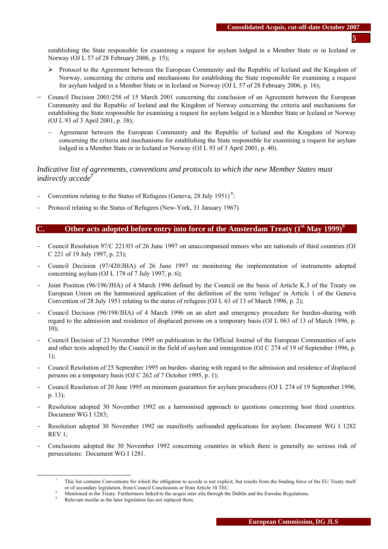establishing the State responsible for examining a request for asylum lodged in a Member State or in Iceland or Norway (OJ L 57 of 28 February 2006, p. 15);

- $\triangleright$  Protocol to the Agreement between the European Community and the Republic of Iceland and the Kingdom of Norway, concerning the criteria and mechanisms for establishing the State responsible for examining a request for asylum lodged in a Member State or in Iceland or Norway (OJ L 57 of 28 February 2006, p. 16);
- − Council Decision 2001/258 of 15 March 2001 concerning the conclusion of an Agreement between the European Community and the Republic of Iceland and the Kingdom of Norway concerning the criteria and mechanisms for establishing the State responsible for examining a request for asylum lodged in a Member State or Iceland or Norway (OJ L 93 of 3 April 2001, p. 38);
	- − Agreement between the European Community and the Republic of Iceland and the Kingdom of Norway concerning the criteria and mechanisms for establishing the State responsible for examining a request for asylum lodged in a Member State or in Iceland or Norway (OJ L 93 of 3 April 2001, p. 40).

## *Indicative list of agreements, conventions and protocols to which the new Member States must indirectly accede<sup>7</sup>*

- − Convention relating to the Status of Refugees (Geneva, 28 July 1951)<sup>8</sup>;
- Protocol relating to the Status of Refugees (New-York, 31 January 1967).

### **C.** Other acts adopted before entry into force of the Amsterdam Treaty  $(1^{\text{st}}$  May 1999)<sup>9</sup>

- − Council Resolution 97/C 221/03 of 26 June 1997 on unaccompanied minors who are nationals of third countries (OJ C 221 of 19 July 1997, p. 23);
- − Council Decision (97/420/JHA) of 26 June 1997 on monitoring the implementation of instruments adopted concerning asylum (OJ L 178 of 7 July 1997, p. 6);
- − Joint Position (96/196/JHA) of 4 March 1996 defined by the Council on the basis of Article K.3 of the Treaty on European Union on the harmonized application of the definition of the term 'refugee' in Article 1 of the Geneva Convention of 28 July 1951 relating to the status of refugees (OJ L 63 of 13 of March 1996, p. 2);
- − Council Decision (96/198/JHA) of 4 March 1996 on an alert and emergency procedure for burden-sharing with regard to the admission and residence of displaced persons on a temporary basis (OJ L 063 of 13 of March 1996, p.  $10$ :
- − Council Decision of 23 November 1995 on publication in the Official Journal of the European Communities of acts and other texts adopted by the Council in the field of asylum and immigration (OJ C 274 of 19 of September 1996, p. 1);
- − Council Resolution of 25 September 1995 on burden- sharing with regard to the admission and residence of displaced persons on a temporary basis (OJ C 262 of 7 October 1995, p. 1);
- − Council Resolution of 20 June 1995 on minimum guarantees for asylum procedures (OJ L 274 of 19 September 1996, p. 13);
- − Resolution adopted 30 November 1992 on a harmonised approach to questions concerning host third countries: Document WG I 1283;
- − Resolution adopted 30 November 1992 on manifestly unfounded applications for asylum: Document WG I 1282  $REV 1$
- − Conclusions adopted the 30 November 1992 concerning countries in which there is generally no serious risk of persecutions: Document WG I 1281.

 $\frac{1}{7}$ <sup>7</sup> This list contains Conventions for which the obligation to accede is not explicit, but results from the binding force of the EU Treaty itself or of secondary legislation, from Council Conclusions or from Article 10 TEC. 8

Mentioned in the Treaty. Furthermore linked to the acquis inter alia through the Dublin and the Eurodac Regulations. 9

Relevant insofar as the later legislation has not replaced them.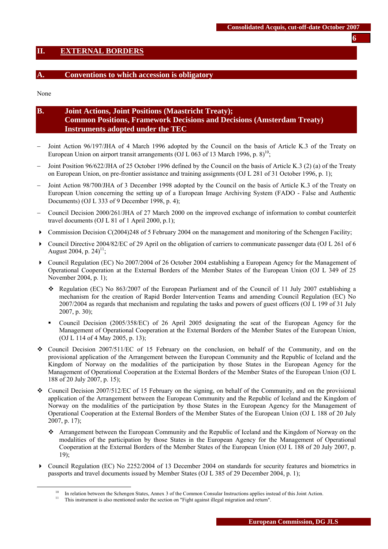### <span id="page-5-0"></span>**II. EXTERNAL BORDERS**

#### **A. Conventions to which accession is obligatory**

None

# **B. Joint Actions, Joint Positions (Maastricht Treaty); Common Positions, Framework Decisions and Decisions (Amsterdam Treaty) Instruments adopted under the TEC**

- Joint Action 96/197/JHA of 4 March 1996 adopted by the Council on the basis of Article K.3 of the Treaty on European Union on airport transit arrangements (OJ L 063 of 13 March 1996, p. 8)<sup>10</sup>;
- − Joint Position 96/622/JHA of 25 October 1996 defined by the Council on the basis of Article K.3 (2) (a) of the Treaty on European Union, on pre-frontier assistance and training assignments (OJ L 281 of 31 October 1996, p. 1);
- Joint Action 98/700/JHA of 3 December 1998 adopted by the Council on the basis of Article K.3 of the Treaty on European Union concerning the setting up of a European Image Archiving System (FADO - False and Authentic Documents) (OJ L 333 of 9 December 1998, p. 4);
- − Council Decision 2000/261/JHA of 27 March 2000 on the improved exchange of information to combat counterfeit travel documents (OJ L 81 of 1 April 2000, p.1);
- $\triangleright$  Commission Decision C(2004)248 of 5 February 2004 on the management and monitoring of the Schengen Facility;
- Council Directive 2004/82/EC of 29 April on the obligation of carriers to communicate passenger data (OJ L 261 of 6 August 2004, p. 24)<sup>11</sup>;
- Council Regulation (EC) No 2007/2004 of 26 October 2004 establishing a European Agency for the Management of Operational Cooperation at the External Borders of the Member States of the European Union (OJ L 349 of 25 November 2004, p. 1);
	- Regulation (EC) No 863/2007 of the European Parliament and of the Council of 11 July 2007 establishing a mechanism for the creation of Rapid Border Intervention Teams and amending Council Regulation (EC) No 2007/2004 as regards that mechanism and regulating the tasks and powers of guest officers (OJ L 199 of 31 July 2007, p. 30);
	- Council Decision (2005/358/EC) of 26 April 2005 designating the seat of the European Agency for the Management of Operational Cooperation at the External Borders of the Member States of the European Union, (OJ L 114 of 4 May 2005, p. 13);
- $\div$  Council Decision 2007/511/EC of 15 February on the conclusion, on behalf of the Community, and on the provisional application of the Arrangement between the European Community and the Republic of Iceland and the Kingdom of Norway on the modalities of the participation by those States in the European Agency for the Management of Operational Cooperation at the External Borders of the Member States of the European Union (OJ L 188 of 20 July 2007, p. 15);
- Council Decision 2007/512/EC of 15 February on the signing, on behalf of the Community, and on the provisional application of the Arrangement between the European Community and the Republic of Iceland and the Kingdom of Norway on the modalities of the participation by those States in the European Agency for the Management of Operational Cooperation at the External Borders of the Member States of the European Union (OJ L 188 of 20 July 2007, p. 17);
	- Arrangement between the European Community and the Republic of Iceland and the Kingdom of Norway on the modalities of the participation by those States in the European Agency for the Management of Operational Cooperation at the External Borders of the Member States of the European Union (OJ L 188 of 20 July 2007, p. 19);
- Council Regulation (EC) No 2252/2004 of 13 December 2004 on standards for security features and biometrics in passports and travel documents issued by Member States (OJ L 385 of 29 December 2004, p. 1);

<sup>&</sup>lt;sup>10</sup> In relation between the Schengen States, Annex 3 of the Common Consular Instructions applies instead of this Joint Action.<br><sup>11</sup> This instrument is also mentioned under the section on "Fight against illegal migration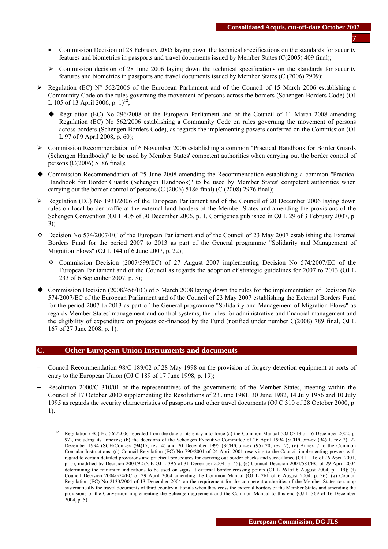- Commission Decision of 28 February 2005 laying down the technical specifications on the standards for security features and biometrics in passports and travel documents issued by Member States (C(2005) 409 final);
- $\geq$  Commission decision of 28 June 2006 laying down the technical specifications on the standards for security features and biometrics in passports and travel documents issued by Member States (C (2006) 2909);
- Equation (EC) N° 562/2006 of the European Parliament and of the Council of 15 March 2006 establishing a Community Code on the rules governing the movement of persons across the borders (Schengen Borders Code) (OJ L 105 of 13 April 2006, p.  $1$ )<sup>12</sup>;
	- Regulation (EC) No 296/2008 of the European Parliament and of the Council of 11 March 2008 amending Regulation (EC) No 562/2006 establishing a Community Code on rules governing the movement of persons across borders (Schengen Borders Code), as regards the implementing powers conferred on the Commission (OJ L 97 of 9 April 2008, p. 60);
- ¾ Commission Recommendation of 6 November 2006 establishing a common "Practical Handbook for Border Guards (Schengen Handbook)" to be used by Member States' competent authorities when carrying out the border control of persons (C(2006) 5186 final);
- Commission Recommendation of 25 June 2008 amending the Recommendation establishing a common ''Practical Handbook for Border Guards (Schengen Handbook)'' to be used by Member States' competent authorities when carrying out the border control of persons  $(C (2006) 5186$  final)  $(C (2008) 2976$  final);
- $\triangleright$  Regulation (EC) No 1931/2006 of the European Parliament and of the Council of 20 December 2006 laying down rules on local border traffic at the external land borders of the Member States and amending the provisions of the Schengen Convention (OJ L 405 of 30 December 2006, p. 1. Corrigenda published in OJ L 29 of 3 February 2007, p. 3);
- Decision No 574/2007/EC of the European Parliament and of the Council of 23 May 2007 establishing the External Borders Fund for the period 2007 to 2013 as part of the General programme "Solidarity and Management of Migration Flows" (OJ L 144 of 6 June 2007, p. 22);
	- Commission Decision (2007/599/EC) of 27 August 2007 implementing Decision No 574/2007/EC of the European Parliament and of the Council as regards the adoption of strategic guidelines for 2007 to 2013 (OJ L 233 of 6 September 2007, p. 3);
- Commission Decision (2008/456/EC) of 5 March 2008 laying down the rules for the implementation of Decision No 574/2007/EC of the European Parliament and of the Council of 23 May 2007 establishing the External Borders Fund for the period 2007 to 2013 as part of the General programme "Solidarity and Management of Migration Flows" as regards Member States' management and control systems, the rules for administrative and financial management and the eligibility of expenditure on projects co-financed by the Fund (notified under number C(2008) 789 final, OJ L 167 of 27 June 2008, p. 1).

### **C. Other European Union Instruments and documents**

- − Council Recommendation 98/C 189/02 of 28 May 1998 on the provision of forgery detection equipment at ports of entry to the European Union (OJ C 189 of 17 June 1998, p. 19);
- Resolution 2000/C 310/01 of the representatives of the governments of the Member States, meeting within the Council of 17 October 2000 supplementing the Resolutions of 23 June 1981, 30 June 1982, 14 July 1986 and 10 July 1995 as regards the security characteristics of passports and other travel documents (OJ C 310 of 28 October 2000, p. 1).

<sup>&</sup>lt;sup>12</sup> Regulation (EC) No 562/2006 repealed from the date of its entry into force (a) the Common Manual (OJ C313 of 16 December 2002, p. 97), including its annexes; (b) the decisions of the Schengen Executive Committee of 26 April 1994 (SCH/Com-ex (94) 1, rev 2), 22 December 1994 (SCH/Com-ex (94)17, rev. 4) and 20 December 1995 (SCH/Com-ex (95) 20, rev. 2); (c) Annex 7 to the Common Consular Instructions; (d) Council Regulation (EC) No 790/2001 of 24 April 2001 reserving to the Council implementing powers with regard to certain detailed provisions and practical procedures for carrying out border checks and surveillance (OJ L 116 of 26 April 2001, p. 5), modified by Decision 2004/927/CE OJ L 396 of 31 December 2004, p. 45); (e) Council Decision 2004/581/EC of 29 April 2004 determining the minimum indications to be used on signs at external border crossing points (OJ L 261of 6 August 2004, p. 119); (f) Council Decision 2004/574/EC of 29 April 2004 amending the Common Manual (OJ L 261 of 6 August 2004, p. 36); (g) Council Regulation (EC) No 2133/2004 of 13 December 2004 on the requirement for the competent authorities of the Member States to stamp systematically the travel documents of third country nationals when they cross the external borders of the Member States and amending the provisions of the Convention implementing the Schengen agreement and the Common Manual to this end (OJ L 369 of 16 December 2004, p. 5).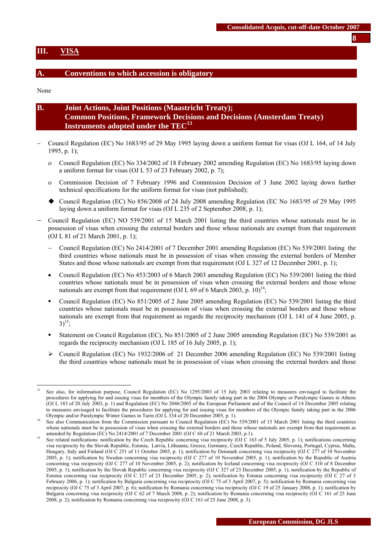#### <span id="page-7-0"></span>**III. VISA**

#### **A. Conventions to which accession is obligatory**

None

 $\overline{a}$ 

| B. | <b>Joint Actions, Joint Positions (Maastricht Treaty);</b>                    |
|----|-------------------------------------------------------------------------------|
|    | <b>Common Positions, Framework Decisions and Decisions (Amsterdam Treaty)</b> |
|    | Instruments adopted under the $TEC13$                                         |

- − Council Regulation (EC) No 1683/95 of 29 May 1995 laying down a uniform format for visas (OJ L 164, of 14 July 1995, p. 1);
	- ο Council Regulation (EC) No 334/2002 of 18 February 2002 amending Regulation (EC) No 1683/95 laying down a uniform format for visas (OJ L 53 of 23 February 2002, p. 7);
	- ο Commission Decision of 7 February 1996 and Commission Decision of 3 June 2002 laying down further technical specifications for the uniform format for visas (not published);
	- Council Regulation (EC) No 856/2008 of 24 July 2008 amending Regulation (EC No 1683/95 of 29 May 1995 laying down a uniform format for visas (OJ L 235 of 2 September 2008, p. 1);
- − Council Regulation (EC) NO 539/2001 of 15 March 2001 listing the third countries whose nationals must be in possession of visas when crossing the external borders and those whose nationals are exempt from that requirement (OJ L 81 of 21 March 2001, p. 1);
	- − Council Regulation (EC) No 2414/2001 of 7 December 2001 amending Regulation (EC) No 539/2001 listing the third countries whose nationals must be in possession of visas when crossing the external borders of Member States and those whose nationals are exempt from that requirement (OJ L 327 of 12 December 2001, p. 1);
	- Council Regulation (EC) No 453/2003 of 6 March 2003 amending Regulation (EC) No 539/2001 listing the third countries whose nationals must be in possession of visas when crossing the external borders and those whose nationals are exempt from that requirement (OJ L 69 of 6 March 2003, p.  $10)^{14}$ ;
	- Council Regulation (EC) No 851/2005 of 2 June 2005 amending Regulation (EC) No 539/2001 listing the third countries whose nationals must be in possession of visas when crossing the external borders and those whose nationals are exempt from that requirement as regards the reciprocity mechanism (OJ L 141 of 4 June 2005, p.  $3)^{15}$ ;
	- Statement on Council Regulation (EC), No 851/2005 of 2 June 2005 amending Regulation (EC) No 539/2001 as regards the reciprocity mechanism (OJ L 185 of 16 July 2005, p. 1);
	- $\triangleright$  Council Regulation (EC) No 1932/2006 of 21 December 2006 amending Regulation (EC) No 539/2001 listing the third countries whose nationals must be in possession of visas when crossing the external borders and those

<sup>13</sup> See also, for information purpose, Council Regulation (EC) No 1295/2003 of 15 July 2003 relating to measures envisaged to facilitate the procedures for applying for and issuing visas for members of the Olympic family taking part in the 2004 Olympic or Paralympic Games in Athens (OJ L 183 of 20 July 2003, p. 1) and Regulation (EC) No 2046/2005 of the European Parliament and of the Council of 14 December 2005 relating to measures envisaged to facilitate the procedures for applying for and issuing visas for members of the Olympic family taking part in the 2006 Olympic and/or Paralympic Winter Games in Turin (OJ L 334 of 20 December 2005,

See also Communication from the Commission pursuant to Council Regulation (EC) No 539/2001 of 15 March 2001 listing the third countries whose nationals must be in possession of visas when crossing the external borders and those whose nationals are exempt from that requirement as amended by Regulation (EC) No 2414/2001 of 7 December 2001 (OJ C 68 of 21 Marc

See related notifications: notification by the Czech Republic concerning visa reciprocity (OJ C 163 of 5 July 2005, p. 1); notifications concerning visa reciprocity by the Slovak Republic, Estonia, Latvia, Lithuania, Greece, Germany, Czech Republic, Poland, Slovenia, Portugal, Cyprus, Malta, Hungary, Italy and Finland (OJ C 251 of 11 October 2005, p. 1); notification by Denmark concerning visa reciprocity (OJ C 277 of 10 November 2005, p. 1); notification by Sweden concerning visa reciprocity (OJ C 277 of 10 November 2005, p. 1); notification by the Republic of Austria concerning visa reciprocity (OJ C 277 of 10 November 2005, p. 2); notification by Iceland concerning visa reciprocity (OJ C 310 of 8 December 2005, p. 1); notification by the Slovak Republic concerning visa reciprocity (OJ C 327 of 23 December 2005, p. 1); notification by the Republic of Estonia concerning visa reciprocity (OJ C 327 of 23 December 2005, p. 2); notification by Estonia concerning visa reciprocity (OJ C 27 of 3 February 2006, p. 1); notification by Bulgaria concerning visa reciprocity (OJ C 75 of 3 April 2007, p. 5); notification by Romania concerning visa reciprocity (OJ C 75 of 3 April 2007, p. 6); notification by Romania concerning visa reciprocity (OJ C 19 of 25 January 2008, p. 1); notification by Bulgaria concerning visa reciprocity (OJ C 62 of 7 March 2008, p. 2); notification by Romania concerning visa reciprocity (OJ C 161 of 25 June 2008, p. 2); notification by Romania concerning visa reciprocity (OJ C 161 of 25 June 2008, p. 3).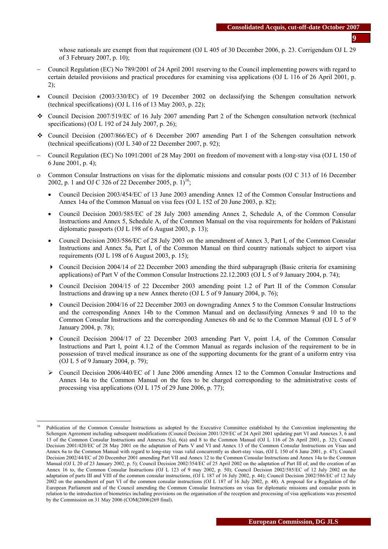whose nationals are exempt from that requirement (OJ L 405 of 30 December 2006, p. 23. Corrigendum OJ L 29 of 3 February 2007, p. 10);

- − Council Regulation (EC) No 789/2001 of 24 April 2001 reserving to the Council implementing powers with regard to certain detailed provisions and practical procedures for examining visa applications (OJ L 116 of 26 April 2001, p. 2);
- Council Decision (2003/330/EC) of 19 December 2002 on declassifying the Schengen consultation network (technical specifications) (OJ L 116 of 13 May 2003, p. 22);
- Council Decision 2007/519/EC of 16 July 2007 amending Part 2 of the Schengen consultation network (technical specifications) (OJ L 192 of 24 July 2007, p. 26);
- Council Decision (2007/866/EC) of 6 December 2007 amending Part I of the Schengen consultation network (technical specifications) (OJ L 340 of 22 December 2007, p. 92);
- − Council Regulation (EC) No 1091/2001 of 28 May 2001 on freedom of movement with a long-stay visa (OJ L 150 of 6 June 2001, p. 4);
- ο Common Consular Instructions on visas for the diplomatic missions and consular posts (OJ C 313 of 16 December 2002, p. 1 and OJ C 326 of 22 December 2005, p.  $1$ <sup>16</sup>;
	- Council Decision 2003/454/EC of 13 June 2003 amending Annex 12 of the Common Consular Instructions and Annex 14a of the Common Manual on visa fees (OJ L 152 of 20 June 2003, p. 82);
	- Council Decision 2003/585/EC of 28 July 2003 amending Annex 2, Schedule A, of the Common Consular Instructions and Annex 5, Schedule A, of the Common Manual on the visa requirements for holders of Pakistani diplomatic passports (OJ L 198 of 6 August 2003, p. 13);
	- Council Decision 2003/586/EC of 28 July 2003 on the amendment of Annex 3, Part I, of the Common Consular Instructions and Annex 5a, Part I, of the Common Manual on third country nationals subject to airport visa requirements (OJ L 198 of 6 August 2003, p. 15);
	- $\triangleright$  Council Decision 2004/14 of 22 December 2003 amending the third subparagraph (Basic criteria for examining applications) of Part V of the Common Consular Instructions 22.12.2003 (OJ L 5 of 9 January 2004, p. 74);
	- Council Decision 2004/15 of 22 December 2003 amending point 1.2 of Part II of the Common Consular Instructions and drawing up a new Annex thereto (OJ L 5 of 9 January 2004, p. 76);
	- Council Decision 2004/16 of 22 December 2003 on downgrading Annex 5 to the Common Consular Instructions and the corresponding Annex 14b to the Common Manual and on declassifying Annexes 9 and 10 to the Common Consular Instructions and the corresponding Annexes 6b and 6c to the Common Manual (OJ L 5 of 9 January 2004, p. 78);
	- Council Decision 2004/17 of 22 December 2003 amending Part V, point 1.4, of the Common Consular Instructions and Part I, point 4.1.2 of the Common Manual as regards inclusion of the requirement to be in possession of travel medical insurance as one of the supporting documents for the grant of a uniform entry visa (OJ L 5 of 9 January 2004, p. 79);
	- $\geq$  Council Decision 2006/440/EC of 1 June 2006 amending Annex 12 to the Common Consular Instructions and Annex 14a to the Common Manual on the fees to be charged corresponding to the administrative costs of processing visa applications (OJ L 175 of 29 June 2006, p. 77);

 $\overline{a}$ 

Publication of the Common Consular Instructions as adopted by the Executive Committee established by the Convention implementing the Schengen Agreement including subsequent modifications (Council Decision 2001/329/EC of 24 April 2001 updating part VI and Annexes 3, 6 and 13 of the Common Consular Instructions and Annexes 5(a), 6(a) and 8 to the Common Manual (OJ L 116 of 26 April 2001, p. 32); Council Decision 2001/420/EC of 28 May 2001 on the adaptation of Parts V and VI and Annex 13 of the Common Consular Instructions on Visas and Annex 6a to the Common Manual with regard to long-stay visas valid concurrently as short-stay visas, (OJ L 150 of 6 June 2001, p. 47); Council Decision 2002/44/EC of 20 December 2001 amending Part VII and Annex 12 to the Common Consular Instructions and Annex 14a to the Common Manual (OJ L 20 of 23 January 2002, p. 5); Council Decision 2002/354/EC of 25 April 2002 on the adaptation of Part III of, and the creation of an Annex 16 to, the Common Consular Instructions (OJ L 123 of 9 may 2002, p. 50); Council Decision 2002/585/EC of 12 July 2002 on the adaptation of parts III and VIII of the common consular instructions, (OJ L 187 of 16 July 2002, p. 44); Council Decision 2002/586/EC of 12 July 2002 on the amendment of part VI of the common consular instructions (OJ L 187 of 16 July 2002, p. 48). A proposal for a Regulation of the European Parliament and of the Council amending the Common Consular Instructions on visas for diplomatic missions and consular posts in relation to the introduction of biometrics including provisions on the organisation of the reception and processing of visa applications was presented by the Commission on 31 May 2006 (COM(2006)269 final).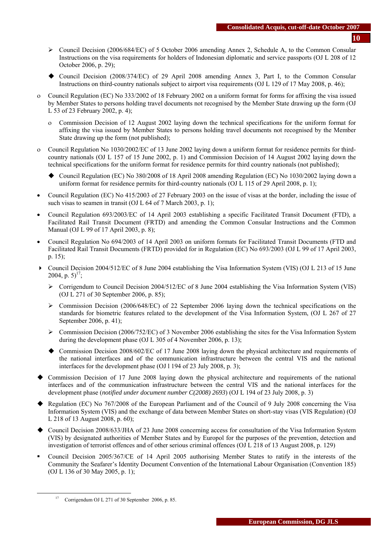- ¾ Council Decision (2006/684/EC) of 5 October 2006 amending Annex 2, Schedule A, to the Common Consular Instructions on the visa requirements for holders of Indonesian diplomatic and service passports (OJ L 208 of 12 October 2006, p. 29);
- Council Decision (2008/374/EC) of 29 April 2008 amending Annex 3, Part I, to the Common Consular Instructions on third-country nationals subject to airport visa requirements (OJ L 129 of 17 May 2008, p. 46);
- ο Council Regulation (EC) No 333/2002 of 18 February 2002 on a uniform format for forms for affixing the visa issued by Member States to persons holding travel documents not recognised by the Member State drawing up the form (OJ L 53 of 23 February 2002, p. 4);
	- ο Commission Decision of 12 August 2002 laying down the technical specifications for the uniform format for affixing the visa issued by Member States to persons holding travel documents not recognised by the Member State drawing up the form (not published);
- ο Council Regulation No 1030/2002/EC of 13 June 2002 laying down a uniform format for residence permits for thirdcountry nationals (OJ L 157 of 15 June 2002, p. 1) and Commission Decision of 14 August 2002 laying down the technical specifications for the uniform format for residence permits for third country nationals (not published);
	- Council Regulation (EC) No 380/2008 of 18 April 2008 amending Regulation (EC) No 1030/2002 laying down a uniform format for residence permits for third-country nationals (OJ L 115 of 29 April 2008, p. 1);
- Council Regulation (EC) No 415/2003 of 27 February 2003 on the issue of visas at the border, including the issue of such visas to seamen in transit (OJ L 64 of 7 March 2003, p. 1);
- Council Regulation 693/2003/EC of 14 April 2003 establishing a specific Facilitated Transit Document (FTD), a Facilitated Rail Transit Document (FRTD) and amending the Common Consular Instructions and the Common Manual (OJ L 99 of 17 April 2003, p. 8);
- Council Regulation No 694/2003 of 14 April 2003 on uniform formats for Facilitated Transit Documents (FTD and Facilitated Rail Transit Documents (FRTD) provided for in Regulation (EC) No 693/2003 (OJ L 99 of 17 April 2003, p. 15);
- Council Decision 2004/512/EC of 8 June 2004 establishing the Visa Information System (VIS) (OJ L 213 of 15 June 2004, p.  $5)^{17}$ ;
	- ¾ Corrigendum to Council Decision 2004/512/EC of 8 June 2004 establishing the Visa Information System (VIS) (OJ L 271 of 30 September 2006, p. 85);
	- $\triangleright$  Commission Decision (2006/648/EC) of 22 September 2006 laying down the technical specifications on the standards for biometric features related to the development of the Visa Information System, (OJ L 267 of 27 September 2006, p. 41);
	- $\triangleright$  Commission Decision (2006/752/EC) of 3 November 2006 establishing the sites for the Visa Information System during the development phase (OJ L 305 of 4 November 2006, p. 13);
	- Commission Decision 2008/602/EC of 17 June 2008 laying down the physical architecture and requirements of the national interfaces and of the communication infrastructure between the central VIS and the national interfaces for the development phase (OJ l 194 of 23 July 2008, p. 3);
- Commission Decision of 17 June 2008 laying down the physical architecture and requirements of the national interfaces and of the communication infrastructure between the central VIS and the national interfaces for the development phase (*notified under document number C(2008) 2693*) (OJ L 194 of 23 July 2008, p. 3)
- Regulation (EC) No 767/2008 of the European Parliament and of the Council of 9 July 2008 concerning the Visa Information System (VIS) and the exchange of data between Member States on short-stay visas (VIS Regulation) (OJ L 218 of 13 August 2008, p. 60);
- Council Decision 2008/633/JHA of 23 June 2008 concerning access for consultation of the Visa Information System (VIS) by designated authorities of Member States and by Europol for the purposes of the prevention, detection and investigation of terrorist offences and of other serious criminal offences (OJ L 218 of 13 August 2008, p. 129)
- Council Decision 2005/367/CE of 14 April 2005 authorising Member States to ratify in the interests of the Community the Seafarer's Identity Document Convention of the International Labour Organisation (Convention 185) (OJ L 136 of 30 May 2005, p. 1);

<sup>&</sup>lt;sup>17</sup> Corrigendum OJ L 271 of 30 September 2006, p. 85.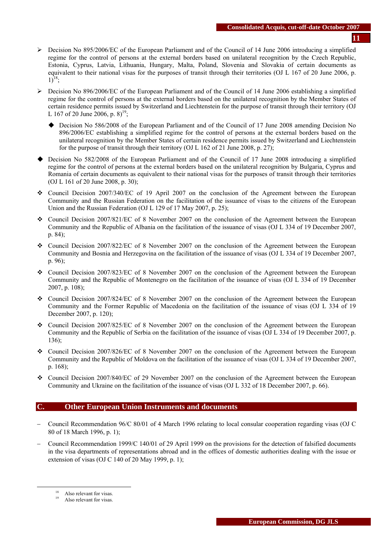- ¾ Decision No 895/2006/EC of the European Parliament and of the Council of 14 June 2006 introducing a simplified regime for the control of persons at the external borders based on unilateral recognition by the Czech Republic, Estonia, Cyprus, Latvia, Lithuania, Hungary, Malta, Poland, Slovenia and Slovakia of certain documents as equivalent to their national visas for the purposes of transit through their territories (OJ L 167 of 20 June 2006, p.  $1)^{18}$ :
- $\triangleright$  Decision No 896/2006/EC of the European Parliament and of the Council of 14 June 2006 establishing a simplified regime for the control of persons at the external borders based on the unilateral recognition by the Member States of certain residence permits issued by Switzerland and Liechtenstein for the purpose of transit through their territory (OJ L 167 of 20 June 2006, p.  $8)^{19}$ ;
	- Decision No 586/2008 of the European Parliament and of the Council of 17 June 2008 amending Decision No 896/2006/EC establishing a simplified regime for the control of persons at the external borders based on the unilateral recognition by the Member States of certain residence permits issued by Switzerland and Liechtenstein for the purpose of transit through their territory (OJ L 162 of 21 June 2008, p. 27);
- Decision No 582/2008 of the European Parliament and of the Council of 17 June 2008 introducing a simplified regime for the control of persons at the external borders based on the unilateral recognition by Bulgaria, Cyprus and Romania of certain documents as equivalent to their national visas for the purposes of transit through their territories (OJ L 161 of 20 June 2008, p. 30);
- Council Decision 2007/340/EC of 19 April 2007 on the conclusion of the Agreement between the European Community and the Russian Federation on the facilitation of the issuance of visas to the citizens of the European Union and the Russian Federation (OJ L 129 of 17 May 2007, p. 25);
- Council Decision 2007/821/EC of 8 November 2007 on the conclusion of the Agreement between the European Community and the Republic of Albania on the facilitation of the issuance of visas (OJ L 334 of 19 December 2007, p. 84);
- Council Decision 2007/822/EC of 8 November 2007 on the conclusion of the Agreement between the European Community and Bosnia and Herzegovina on the facilitation of the issuance of visas (OJ L 334 of 19 December 2007, p. 96);
- Council Decision 2007/823/EC of 8 November 2007 on the conclusion of the Agreement between the European Community and the Republic of Montenegro on the facilitation of the issuance of visas (OJ L 334 of 19 December 2007, p. 108);
- Council Decision 2007/824/EC of 8 November 2007 on the conclusion of the Agreement between the European Community and the Former Republic of Macedonia on the facilitation of the issuance of visas (OJ L 334 of 19 December 2007, p. 120);
- Council Decision 2007/825/EC of 8 November 2007 on the conclusion of the Agreement between the European Community and the Republic of Serbia on the facilitation of the issuance of visas (OJ L 334 of 19 December 2007, p. 136);
- Council Decision 2007/826/EC of 8 November 2007 on the conclusion of the Agreement between the European Community and the Republic of Moldova on the facilitation of the issuance of visas (OJ L 334 of 19 December 2007, p. 168);
- Council Decision 2007/840/EC of 29 November 2007 on the conclusion of the Agreement between the European Community and Ukraine on the facilitation of the issuance of visas (OJ L 332 of 18 December 2007, p. 66).

# **C. Other European Union Instruments and documents**

- − Council Recommendation 96/C 80/01 of 4 March 1996 relating to local consular cooperation regarding visas (OJ C 80 of 18 March 1996, p. 1);
- − Council Recommendation 1999/C 140/01 of 29 April 1999 on the provisions for the detection of falsified documents in the visa departments of representations abroad and in the offices of domestic authorities dealing with the issue or extension of visas (OJ C 140 of 20 May 1999, p. 1);

Also relevant for visas.

Also relevant for visas.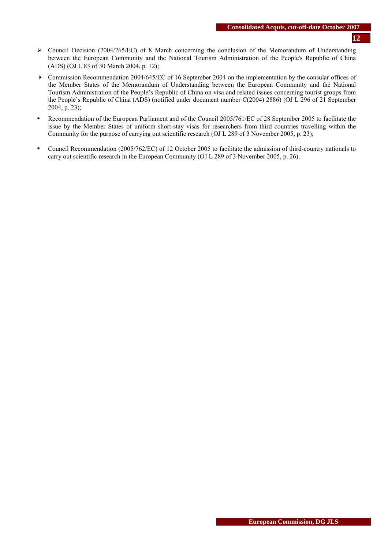- ¾ Council Decision (2004/265/EC) of 8 March concerning the conclusion of the Memorandum of Understanding between the European Community and the National Tourism Administration of the People's Republic of China (ADS) (OJ L 83 of 30 March 2004, p. 12);
- Commission Recommendation 2004/645/EC of 16 September 2004 on the implementation by the consular offices of the Member States of the Memorandum of Understanding between the European Community and the National Tourism Administration of the People's Republic of China on visa and related issues concerning tourist groups from the People's Republic of China (ADS) (notified under document number C(2004) 2886) (OJ L 296 of 21 September 2004, p. 23);
- **Recommendation of the European Parliament and of the Council 2005/761/EC of 28 September 2005 to facilitate the** issue by the Member States of uniform short-stay visas for researchers from third countries travelling within the Community for the purpose of carrying out scientific research (OJ L 289 of 3 November 2005, p. 23);
- Council Recommendation (2005/762/EC) of 12 October 2005 to facilitate the admission of third-country nationals to carry out scientific research in the European Community (OJ L 289 of 3 November 2005, p. 26).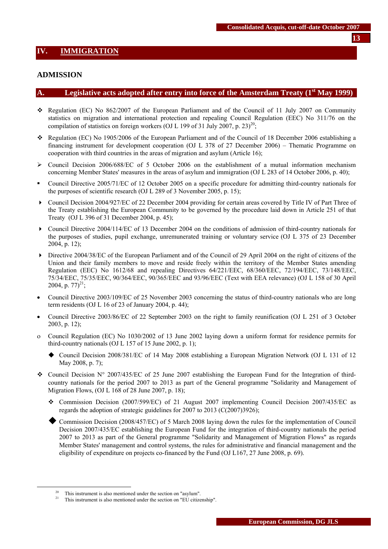### <span id="page-12-0"></span>**ADMISSION**

#### A. Legislative acts adopted after entry into force of the Amsterdam Treaty (1<sup>st</sup> May 1999)

- \* Regulation (EC) No 862/2007 of the European Parliament and of the Council of 11 July 2007 on Community statistics on migration and international protection and repealing Council Regulation (EEC) No 311/76 on the compilation of statistics on foreign workers (OJ L 199 of 31 July 2007, p. 23)<sup>20</sup>;
- \* Regulation (EC) No 1905/2006 of the European Parliament and of the Council of 18 December 2006 establishing a financing instrument for development cooperation (OJ L 378 of 27 December 2006) – Thematic Programme on cooperation with third countries in the areas of migration and asylum (Article 16);
- $\triangleright$  Council Decision 2006/688/EC of 5 October 2006 on the establishment of a mutual information mechanism concerning Member States' measures in the areas of asylum and immigration (OJ L 283 of 14 October 2006, p. 40);
- Council Directive 2005/71/EC of 12 October 2005 on a specific procedure for admitting third-country nationals for the purposes of scientific research (OJ L 289 of 3 November 2005, p. 15);
- Council Decision 2004/927/EC of 22 December 2004 providing for certain areas covered by Title IV of Part Three of the Treaty establishing the European Community to be governed by the procedure laid down in Article 251 of that Treaty (OJ L 396 of 31 December 2004, p. 45);
- Council Directive 2004/114/EC of 13 December 2004 on the conditions of admission of third-country nationals for the purposes of studies, pupil exchange, unremunerated training or voluntary service (OJ L 375 of 23 December 2004, p. 12);
- Directive 2004/38/EC of the European Parliament and of the Council of 29 April 2004 on the right of citizens of the Union and their family members to move and reside freely within the territory of the Member States amending Regulation (EEC) No 1612/68 and repealing Directives 64/221/EEC, 68/360/EEC, 72/194/EEC, 73/148/EEC, 75/34/EEC, 75/35/EEC, 90/364/EEC, 90/365/EEC and 93/96/EEC (Text with EEA relevance) (OJ L 158 of 30 April 2004, p.  $77)^{21}$ :
- Council Directive 2003/109/EC of 25 November 2003 concerning the status of third-country nationals who are long term residents (OJ L 16 of 23 of January 2004, p. 44);
- Council Directive 2003/86/EC of 22 September 2003 on the right to family reunification (OJ L 251 of 3 October 2003, p. 12);
- ο Council Regulation (EC) No 1030/2002 of 13 June 2002 laying down a uniform format for residence permits for third-country nationals (OJ L 157 of 15 June 2002, p. 1);
	- Council Decision 2008/381/EC of 14 May 2008 establishing a European Migration Network (OJ L 131 of 12 May 2008, p. 7);
- Council Decision N° 2007/435/EC of 25 June 2007 establishing the European Fund for the Integration of thirdcountry nationals for the period 2007 to 2013 as part of the General programme "Solidarity and Management of Migration Flows, (OJ L 168 of 28 June 2007, p. 18);
	- Commission Decision (2007/599/EC) of 21 August 2007 implementing Council Decision 2007/435/EC as regards the adoption of strategic guidelines for 2007 to 2013 (C(2007)3926);
	- Commission Decision (2008/457/EC) of 5 March 2008 laying down the rules for the implementation of Council Decision 2007/435/EC establishing the European Fund for the integration of third-country nationals the period 2007 to 2013 as part of the General programme "Solidarity and Management of Migration Flows" as regards Member States' management and control systems, the rules for administrative and financial management and the eligibility of expenditure on projects co-financed by the Fund (OJ L167, 27 June 2008, p. 69).

<sup>&</sup>lt;sup>20</sup> This instrument is also mentioned under the section on "asylum".

This instrument is also mentioned under the section on "EU citizenship".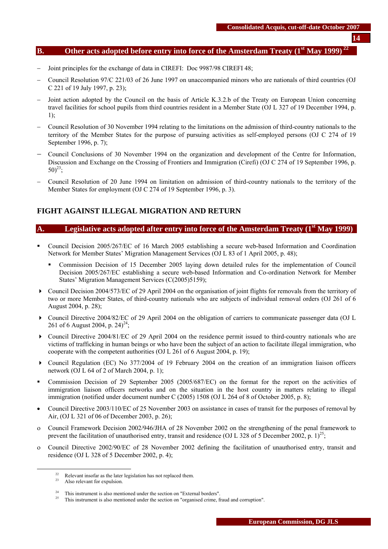### **B.** Other acts adopted before entry into force of the Amsterdam Treaty (1<sup>st</sup> May 1999)

- Joint principles for the exchange of data in CIREFI: Doc 9987/98 CIREFI 48;
- − Council Resolution 97/C 221/03 of 26 June 1997 on unaccompanied minors who are nationals of third countries (OJ C 221 of 19 July 1997, p. 23);
- Joint action adopted by the Council on the basis of Article K.3.2.b of the Treaty on European Union concerning travel facilities for school pupils from third countries resident in a Member State (OJ L 327 of 19 December 1994, p. 1);
- − Council Resolution of 30 November 1994 relating to the limitations on the admission of third-country nationals to the territory of the Member States for the purpose of pursuing activities as self-employed persons (OJ C 274 of 19 September 1996, p. 7);
- − Council Conclusions of 30 November 1994 on the organization and development of the Centre for Information, Discussion and Exchange on the Crossing of Frontiers and Immigration (Cirefi) (OJ C 274 of 19 September 1996, p.  $50^{23}$
- − Council Resolution of 20 June 1994 on limitation on admission of third-country nationals to the territory of the Member States for employment (OJ C 274 of 19 September 1996, p. 3).

### **FIGHT AGAINST ILLEGAL MIGRATION AND RETURN**

#### A. Legislative acts adopted after entry into force of the Amsterdam Treaty (1<sup>st</sup> May 1999)

- Council Decision 2005/267/EC of 16 March 2005 establishing a secure web-based Information and Coordination Network for Member States' Migration Management Services (OJ L 83 of 1 April 2005, p. 48);
	- Commission Decision of 15 December 2005 laying down detailed rules for the implementation of Council Decision 2005/267/EC establishing a secure web-based Information and Co-ordination Network for Member States' Migration Management Services (C(2005)5159);
- Council Decision 2004/573/EC of 29 April 2004 on the organisation of joint flights for removals from the territory of two or more Member States, of third-country nationals who are subjects of individual removal orders (OJ 261 of 6 August 2004, p. 28);
- Council Directive 2004/82/EC of 29 April 2004 on the obligation of carriers to communicate passenger data (OJ L 261 of 6 August 2004, p.  $24^{24}$ ;
- Council Directive 2004/81/EC of 29 April 2004 on the residence permit issued to third-country nationals who are victims of trafficking in human beings or who have been the subject of an action to facilitate illegal immigration, who cooperate with the competent authorities (OJ L 261 of 6 August 2004, p. 19);
- Council Regulation (EC) No 377/2004 of 19 February 2004 on the creation of an immigration liaison officers network (O[J L 64 of 2 of March 2004, p. 1\)](http://europa.eu.int/eur-lex/en/archive/2004/l_06420040302en.html);
- Commission Decision of 29 September 2005 (2005/687/EC) on the format for the report on the activities of immigration liaison officers networks and on the situation in the host country in matters relating to illegal immigration (notified under document number C (2005) 1508 (OJ L 264 of 8 of October 2005, p. 8);
- Council Directive 2003/110/EC of 25 November 2003 on assistance in cases of transit for the purposes of removal by Air, (OJ L 321 of 06 of December 2003, p. 26);
- ο Council Framework Decision 2002/946/JHA of 28 November 2002 on the strengthening of the penal framework to prevent the facilitation of unauthorised entry, transit and residence (OJ L 328 of 5 December 2002, p. 1)<sup>25</sup>;
- ο Council Directive 2002/90/EC of 28 November 2002 defining the facilitation of unauthorised entry, transit and residence (OJ L 328 of 5 December 2002, p. 4);

<sup>&</sup>lt;sup>22</sup> Relevant insofar as the later legislation has not replaced them.

Also relevant for expulsion.

<sup>&</sup>lt;sup>24</sup> This instrument is also mentioned under the section on "External borders".<br><sup>25</sup> This instrument is also mentioned under the section on "organised crime, fraud and corruption".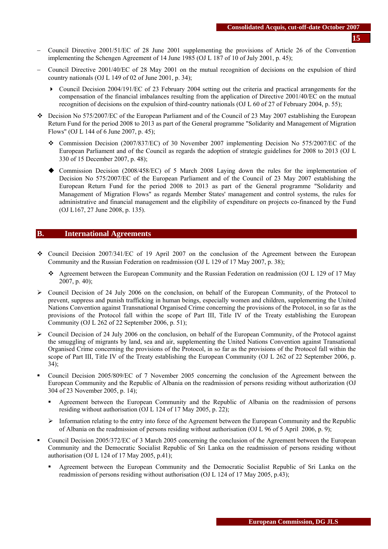- − Council Directive 2001/51/EC of 28 June 2001 supplementing the provisions of Article 26 of the Convention implementing the Schengen Agreement of 14 June 1985 (OJ L 187 of 10 of July 2001, p. 45);
- − Council Directive 2001/40/EC of 28 May 2001 on the mutual recognition of decisions on the expulsion of third country nationals (OJ L 149 of 02 of June 2001, p. 34);
	- Council Decision 2004/191/EC of 23 February 2004 setting out the criteria and practical arrangements for the compensation of the financial imbalances resulting from the application of Directive 2001/40/EC on the mutual recognition of decisions on the expulsion of third-country nationals (O[J L 60 of 27 of February 2004, p. 55\)](http://europa.eu.int/eur-lex/en/archive/2004/l_06020040227en.html);
- $\div$  Decision No 575/2007/EC of the European Parliament and of the Council of 23 May 2007 establishing the European Return Fund for the period 2008 to 2013 as part of the General programme "Solidarity and Management of Migration Flows" (OJ L 144 of 6 June 2007, p. 45);
	- Commission Decision (2007/837/EC) of 30 November 2007 implementing Decision No 575/2007/EC of the European Parliament and of the Council as regards the adoption of strategic guidelines for 2008 to 2013 (OJ L 330 of 15 December 2007, p. 48);
	- Commission Decision (2008/458/EC) of 5 March 2008 Laying down the rules for the implementation of Decision No 575/2007/EC of the European Parliament and of the Council of 23 May 2007 establishing the European Return Fund for the period 2008 to 2013 as part of the General programme "Solidarity and Management of Migration Flows" as regards Member States' management and control systems, the rules for administrative and financial management and the eligibility of expenditure on projects co-financed by the Fund (OJ L167, 27 June 2008, p. 135).

### **B. International Agreements**

- $\div$  Council Decision 2007/341/EC of 19 April 2007 on the conclusion of the Agreement between the European Community and the Russian Federation on readmission (OJ L 129 of 17 May 2007, p. 38);
	- Agreement between the European Community and the Russian Federation on readmission (OJ L 129 of 17 May 2007, p. 40);
- $\geq$  Council Decision of 24 July 2006 on the conclusion, on behalf of the European Community, of the Protocol to prevent, suppress and punish trafficking in human beings, especially women and children, supplementing the United Nations Convention against Transnational Organised Crime concerning the provisions of the Protocol, in so far as the provisions of the Protocol fall within the scope of Part III, Title IV of the Treaty establishing the European Community (OJ L 262 of 22 September 2006, p. 51);
- ¾ Council Decision of 24 July 2006 on the conclusion, on behalf of the European Community, of the Protocol against the smuggling of migrants by land, sea and air, supplementing the United Nations Convention against Transational Organised Crime concerning the provisions of the Protocol, in so far as the provisions of the Protocol fall within the scope of Part III, Title IV of the Treaty establishing the European Community (OJ L 262 of 22 September 2006, p. 34);
- Council Decision 2005/809/EC of 7 November 2005 concerning the conclusion of the Agreement between the European Community and the Republic of Albania on the readmission of persons residing without authorization (OJ 304 of 23 November 2005, p. 14);
	- Agreement between the European Community and the Republic of Albania on the readmission of persons residing without authorisation (OJ L 124 of 17 May 2005, p. 22);
	- $\triangleright$  Information relating to the entry into force of the Agreement between the European Community and the Republic of Albania on the readmission of persons residing without authorisation (OJ L 96 of 5 April 2006, p. 9);
- Council Decision 2005/372/EC of 3 March 2005 concerning the conclusion of the Agreement between the European Community and the Democratic Socialist Republic of Sri Lanka on the readmission of persons residing without authorisation (OJ L 124 of 17 May 2005, p.41);
	- Agreement between the European Community and the Democratic Socialist Republic of Sri Lanka on the readmission of persons residing without authorisation (OJ L 124 of 17 May 2005, p.43);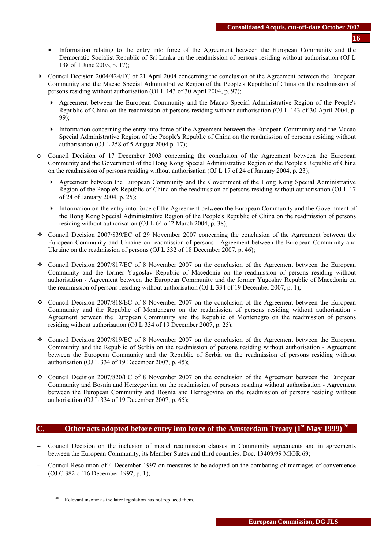- Information relating to the entry into force of the Agreement between the European Community and the Democratic Socialist Republic of Sri Lanka on the readmission of persons residing without authorisation (OJ L 138 of 1 June 2005, p. 17);
- Council Decision 2004/424/EC of 21 April 2004 concerning the conclusion of the Agreement between the European Community and the Macao Special Administrative Region of the People's Republic of China on the readmission of persons residing without authorisation (OJ L 143 of 30 April 2004, p. 97);
	- Agreement between the European Community and the Macao Special Administrative Region of the People's Republic of China on the readmission of persons residing without authorisation (OJ L 143 of 30 April 2004, p. 99);
	- Information concerning the entry into force of the Agreement between the European Community and the Macao Special Administrative Region of the People's Republic of China on the readmission of persons residing without authorisation (OJ L 258 of 5 August 2004 p. 17);
- o Council Decision of 17 December 2003 concerning the conclusion of the Agreement between the European Community and the Government of the Hong Kong Special Administrative Region of the People's Republic of China on the readmission of persons residing without authorisation (OJ L 17 of 24 of January 2004, p. 23);
	- Agreement between the European Community and the Government of the Hong Kong Special Administrative Region of the People's Republic of China on the readmission of persons residing without authorisation (OJ L 17 of 24 of January 2004, p. 25);
	- Information on the entry into force of the Agreement between the European Community and the Government of the Hong Kong Special Administrative Region of the People's Republic of China on the readmission of persons residing without authorisation (OJ L 64 of 2 March 2004, p. 38);
- Council Decision 2007/839/EC of 29 November 2007 concerning the conclusion of the Agreement between the European Community and Ukraine on readmission of persons - Agreement between the European Community and Ukraine on the readmission of persons (OJ L 332 of 18 December 2007, p. 46);
- Council Decision 2007/817/EC of 8 November 2007 on the conclusion of the Agreement between the European Community and the former Yugoslav Republic of Macedonia on the readmission of persons residing without authorisation - Agreement between the European Community and the former Yugoslav Republic of Macedonia on the readmission of persons residing without authorisation (OJ L 334 of 19 December 2007, p. 1);
- Council Decision 2007/818/EC of 8 November 2007 on the conclusion of the Agreement between the European Community and the Republic of Montenegro on the readmission of persons residing without authorisation - Agreement between the European Community and the Republic of Montenegro on the readmission of persons residing without authorisation (OJ L 334 of 19 December 2007, p. 25);
- Council Decision 2007/819/EC of 8 November 2007 on the conclusion of the Agreement between the European Community and the Republic of Serbia on the readmission of persons residing without authorisation - Agreement between the European Community and the Republic of Serbia on the readmission of persons residing without authorisation (OJ L 334 of 19 December 2007, p. 45);
- Council Decision 2007/820/EC of 8 November 2007 on the conclusion of the Agreement between the European Community and Bosnia and Herzegovina on the readmission of persons residing without authorisation - Agreement between the European Community and Bosnia and Herzegovina on the readmission of persons residing without authorisation (OJ L 334 of 19 December 2007, p. 65);

### **C. Other acts adopted before entry into force of the Amsterdam Treaty (1st May 1999) 26**

- − Council Decision on the inclusion of model readmission clauses in Community agreements and in agreements between the European Community, its Member States and third countries. Doc. 13409/99 MIGR 69;
- − Council Resolution of 4 December 1997 on measures to be adopted on the combating of marriages of convenience (OJ C 382 of 16 December 1997, p. 1);

<sup>&</sup>lt;sup>26</sup> Relevant insofar as the later legislation has not replaced them.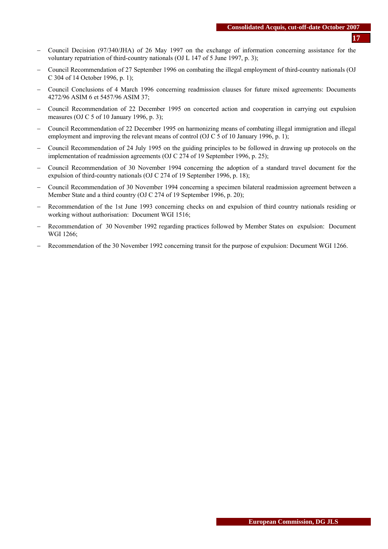- − Council Decision (97/340/JHA) of 26 May 1997 on the exchange of information concerning assistance for the voluntary repatriation of third-country nationals (OJ L 147 of 5 June 1997, p. 3);
- − Council Recommendation of 27 September 1996 on combating the illegal employment of third-country nationals (OJ C 304 of 14 October 1996, p. 1);
- − Council Conclusions of 4 March 1996 concerning readmission clauses for future mixed agreements: Documents 4272/96 ASIM 6 et 5457/96 ASIM 37;
- − Council Recommendation of 22 December 1995 on concerted action and cooperation in carrying out expulsion measures (OJ C 5 of 10 January 1996, p. 3);
- − Council Recommendation of 22 December 1995 on harmonizing means of combating illegal immigration and illegal employment and improving the relevant means of control (OJ C 5 of 10 January 1996, p. 1);
- − Council Recommendation of 24 July 1995 on the guiding principles to be followed in drawing up protocols on the implementation of readmission agreements (OJ C 274 of 19 September 1996, p. 25);
- − Council Recommendation of 30 November 1994 concerning the adoption of a standard travel document for the expulsion of third-country nationals (OJ C 274 of 19 September 1996, p. 18);
- − Council Recommendation of 30 November 1994 concerning a specimen bilateral readmission agreement between a Member State and a third country (OJ C 274 of 19 September 1996, p. 20);
- Recommendation of the 1st June 1993 concerning checks on and expulsion of third country nationals residing or working without authorisation: Document WGI 1516;
- − Recommendation of 30 November 1992 regarding practices followed by Member States on expulsion: Document WGI 1266;
- Recommendation of the 30 November 1992 concerning transit for the purpose of expulsion: Document WGI 1266.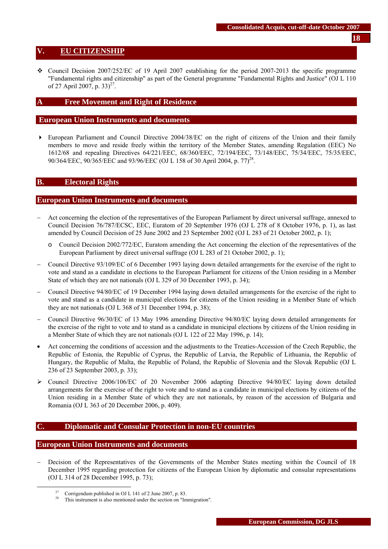### <span id="page-17-0"></span>**V. EU CITIZENSHIP**

• Council Decision 2007/252/EC of 19 April 2007 establishing for the period 2007-2013 the specific programme "Fundamental rights and citizenship" as part of the General programme "Fundamental Rights and Justice" (OJ L 110 of 27 April 2007, p.  $33)^{27}$ .

## **Free Movement and Right of Residence**

### **European Union Instruments and documents**

 European Parliament and Council Directive 2004/38/EC on the right of citizens of the Union and their family members to move and reside freely within the territory of the Member States, amending Regulation (EEC) No 1612/68 and repealing Directives 64/221/EEC, 68/360/EEC, 72/194/EEC, 73/148/EEC, 75/34/EEC, 75/35/EEC, 90/364/EEC, 90/365/EEC and 93/96/EEC (OJ L 158 of 30 April 2004, p. 77)<sup>28</sup>.

### **B. Electoral Rights**

#### **European Union Instruments and documents**

- − Act concerning the election of the representatives of the European Parliament by direct universal suffrage, annexed to Council Decision 76/787/ECSC, EEC, Euratom of 20 September 1976 (OJ L 278 of 8 October 1976, p. 1), as last amended by Council Decision of 25 June 2002 and 23 September 2002 (OJ L 283 of 21 October 2002, p. 1);
	- o Council Decision 2002/772/EC, Euratom amending the Act concerning the election of the representatives of the European Parliament by direct universal suffrage (OJ L 283 of 21 October 2002, p. 1);
- − Council Directive 93/109/EC of 6 December 1993 laying down detailed arrangements for the exercise of the right to vote and stand as a candidate in elections to the European Parliament for citizens of the Union residing in a Member State of which they are not nationals (OJ L 329 of 30 December 1993, p. 34);
- − Council Directive 94/80/EC of 19 December 1994 laying down detailed arrangements for the exercise of the right to vote and stand as a candidate in municipal elections for citizens of the Union residing in a Member State of which they are not nationals (OJ L 368 of 31 December 1994, p. 38);
- − Council Directive 96/30/EC of 13 May 1996 amending Directive 94/80/EC laying down detailed arrangements for the exercise of the right to vote and to stand as a candidate in municipal elections by citizens of the Union residing in a Member State of which they are not nationals (OJ L 122 of 22 May 1996, p. 14);
- Act concerning the conditions of accession and the adjustments to the Treaties-Accession of the Czech Republic, the Republic of Estonia, the Republic of Cyprus, the Republic of Latvia, the Republic of Lithuania, the Republic of Hungary, the Republic of Malta, the Republic of Poland, the Republic of Slovenia and the Slovak Republic (OJ L 236 of 23 September 2003, p. 33);
- ¾ Council Directive 2006/106/EC of 20 November 2006 adapting Directive 94/80/EC laying down detailed arrangements for the exercise of the right to vote and to stand as a candidate in municipal elections by citizens of the Union residing in a Member State of which they are not nationals, by reason of the accession of Bulgaria and Romania (OJ L 363 of 20 December 2006, p. 409).

### **C. Diplomatic and Consular Protection in non-EU countries**

#### **European Union Instruments and documents**

− Decision of the Representatives of the Governments of the Member States meeting within the Council of 18 December 1995 regarding protection for citizens of the European Union by diplomatic and consular representations (OJ L 314 of 28 December 1995, p. 73);

<sup>&</sup>lt;sup>27</sup> Corrigendum published in OJ L 141 of 2 June 2007, p. 83.

This instrument is also mentioned under the section on "Immigration".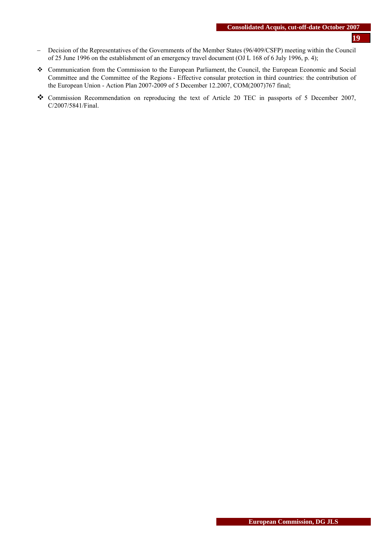- − Decision of the Representatives of the Governments of the Member States (96/409/CSFP) meeting within the Council of 25 June 1996 on the establishment of an emergency travel document (OJ L 168 of 6 July 1996, p. 4);
- Communication from the Commission to the European Parliament, the Council, the European Economic and Social Committee and the Committee of the Regions - Effective consular protection in third countries: the contribution of the European Union - Action Plan 2007-2009 of 5 December 12.2007, COM(2007)767 final;
- Commission Recommendation on reproducing the text of Article 20 TEC in passports of 5 December 2007, C/2007/5841/Final.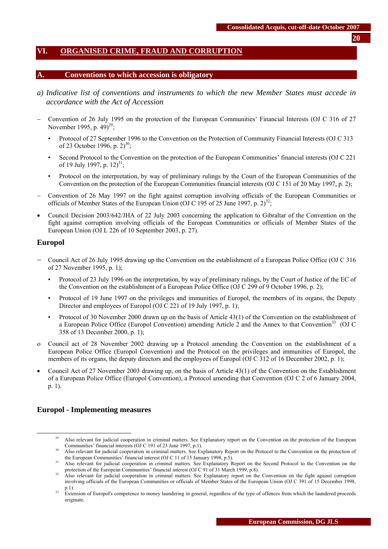# <span id="page-19-0"></span>**VI. ORGANISED CRIME, FRAUD AND CORRUPTION**

#### **A. Conventions to which accession is obligatory**

- *a) Indicative list of conventions and instruments to which the new Member States must accede in accordance with the Act of Accession*
- − Convention of 26 July 1995 on the protection of the European Communities' Financial Interests (OJ C 316 of 27 November 1995, p.  $49)^{29}$ ;
	- Protocol of 27 September 1996 to the Convention on the Protection of Community Financial Interests (OJ C 313 of 23 October 1996, p.  $2)^{30}$ ;
	- Second Protocol to the Convention on the protection of the European Communities' financial interests (OJ C 221 of 19 July 1997, p.  $12)^{31}$ ;
	- Protocol on the interpretation, by way of preliminary rulings by the Court of the European Communities of the Convention on the protection of the European Communities financial interests (OJ C 151 of 20 May 1997, p. 2);
- − Convention of 26 May 1997 on the fight against corruption involving officials of the European Communities or officials of Member States of the European Union (OJ C 195 of 25 June 1997, p. 2)<sup>32</sup>;
- Council Decision 2003/642/JHA of 22 July 2003 concerning the application to Gibraltar of the Convention on the fight against corruption involving officials of the European Communities or officials of Member States of the European Union (OJ L 226 of 10 September 2003, p. 27).

#### **Europol**

- − Council Act of 26 July 1995 drawing up the Convention on the establishment of a European Police Office (OJ C 316 of 27 November 1995, p. 1);
	- Protocol of 23 July 1996 on the interpretation, by way of preliminary rulings, by the Court of Justice of the EC of the Convention on the establishment of a European Police Office (OJ C 299 of 9 October 1996, p. 2);
	- Protocol of 19 June 1997 on the privileges and immunities of Europol, the members of its organs, the Deputy Director and employees of Europol (OJ C 221 of 19 July 1997, p. 1);
	- Protocol of 30 November 2000 drawn up on the basis of Article 43(1) of the Convention on the establishment of a European Police Office (Europol Convention) amending Article 2 and the Annex to that Convention<sup>33</sup> (OJ C 358 of 13 December 2000, p. 1);
- ο Council act of 28 November 2002 drawing up a Protocol amending the Convention on the establishment of a European Police Office (Europol Convention) and the Protocol on the privileges and immunities of Europol, the members of its organs, the deputy directors and the employees of Europol (OJ C 312 of 16 December 2002, p. 1);
- Council Act of 27 November 2003 drawing up, on the basis of Article 43(1) of the Convention on the Establishment of a European Police Office (Europol Convention), a Protocol amending that Convention (OJ C 2 of 6 January 2004, p. 1).

### **Europol - Implementing measures**

<sup>&</sup>lt;sup>29</sup> Also relevant for judicial cooperation in criminal matters. See Explanatory report on the Convention on the protection of the European Communities' financial interests (OJ C 191 of 23 June 1997, p.1).

Also relevant for judicial cooperation in criminal matters. See Explanatory Report on the Protocol to the Convention on the protection of

the European Communities' financial interest (OJ C 11 of 15 January 1998, p.5).<br>
31 Also relevant for judicial cooperation in criminal matters. See Explanatory Report on the Second Protocol to the Convention on the protect

Also relevant for judicial cooperation in criminal matters. See Explanatory report on the Convention on the fight against corruption involving officials of the European Communities or officials of Member States of the European Union (OJ C 391 of 15 December 1998, p.1).

<sup>&</sup>lt;sup>33</sup> Extension of Europol's competence to money laundering in general, regardless of the type of offences from which the laundered proceeds originate.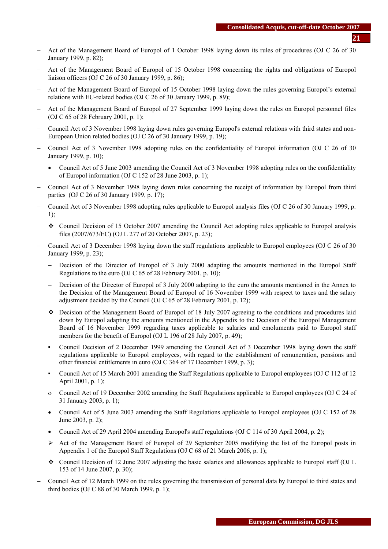- − Act of the Management Board of Europol of 1 October 1998 laying down its rules of procedures (OJ C 26 of 30 January 1999, p. 82);
- − Act of the Management Board of Europol of 15 October 1998 concerning the rights and obligations of Europol liaison officers (OJ C 26 of 30 January 1999, p. 86);
- − Act of the Management Board of Europol of 15 October 1998 laying down the rules governing Europol's external relations with EU-related bodies (OJ C 26 of 30 January 1999, p. 89);
- − Act of the Management Board of Europol of 27 September 1999 laying down the rules on Europol personnel files (OJ C 65 of 28 February 2001, p. 1);
- − Council Act of 3 November 1998 laying down rules governing Europol's external relations with third states and non-European Union related bodies (OJ C 26 of 30 January 1999, p. 19);
- − Council Act of 3 November 1998 adopting rules on the confidentiality of Europol information (OJ C 26 of 30 January 1999, p. 10);
	- Council Act of 5 June 2003 amending the Council Act of 3 November 1998 adopting rules on the confidentiality of Europol information (OJ C 152 of 28 June 2003, p. 1);
- − Council Act of 3 November 1998 laying down rules concerning the receipt of information by Europol from third parties (OJ C 26 of 30 January 1999, p. 17);
- − Council Act of 3 November 1998 adopting rules applicable to Europol analysis files (OJ C 26 of 30 January 1999, p. 1);
	- Council Decision of 15 October 2007 amending the Council Act adopting rules applicable to Europol analysis files (2007/673/EC) (OJ L 277 of 20 October 2007, p. 23);
- − Council Act of 3 December 1998 laying down the staff regulations applicable to Europol employees (OJ C 26 of 30 January 1999, p. 23);
	- Decision of the Director of Europol of 3 July 2000 adapting the amounts mentioned in the Europol Staff Regulations to the euro (OJ C 65 of 28 February 2001, p. 10);
	- Decision of the Director of Europol of 3 July 2000 adapting to the euro the amounts mentioned in the Annex to the Decision of the Management Board of Europol of 16 November 1999 with respect to taxes and the salary adjustment decided by the Council (OJ C 65 of 28 February 2001, p. 12);
	- Decision of the Management Board of Europol of 18 July 2007 agreeing to the conditions and procedures laid down by Europol adapting the amounts mentioned in the Appendix to the Decision of the Europol Management Board of 16 November 1999 regarding taxes applicable to salaries and emoluments paid to Europol staff members for the benefit of Europol (OJ L 196 of 28 July 2007, p. 49);
	- Council Decision of 2 December 1999 amending the Council Act of 3 December 1998 laying down the staff regulations applicable to Europol employees, with regard to the establishment of remuneration, pensions and other financial entitlements in euro (OJ C 364 of 17 December 1999, p. 3);
	- Council Act of 15 March 2001 amending the Staff Regulations applicable to Europol employees (OJ C 112 of 12 April 2001, p. 1);
	- ο Council Act of 19 December 2002 amending the Staff Regulations applicable to Europol employees (OJ C 24 of 31 January 2003, p. 1);
	- Council Act of 5 June 2003 amending the Staff Regulations applicable to Europol employees (OJ C 152 of 28 June 2003, p. 2);
	- Council Act of 29 April 2004 amending Europol's staff regulations (OJ C 114 of 30 April 2004, p. 2);
	- $\triangleright$  Act of the Management Board of Europol of 29 September 2005 modifying the list of the Europol posts in Appendix 1 of the Europol Staff Regulations (OJ C 68 of 21 March 2006, p. 1);
	- Council Decision of 12 June 2007 adjusting the basic salaries and allowances applicable to Europol staff (OJ L 153 of 14 June 2007, p. 30);
- − Council Act of 12 March 1999 on the rules governing the transmission of personal data by Europol to third states and third bodies (OJ C 88 of 30 March 1999, p. 1);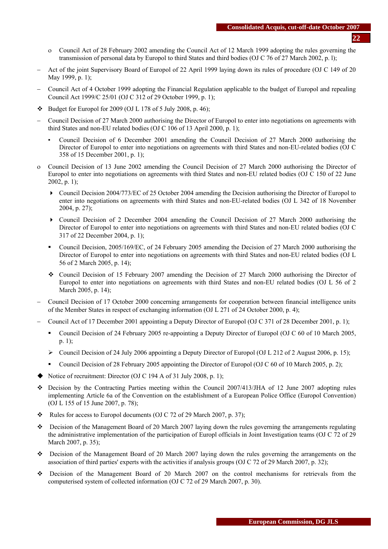- ο Council Act of 28 February 2002 amending the Council Act of 12 March 1999 adopting the rules governing the transmission of personal data by Europol to third States and third bodies (OJ C 76 of 27 March 2002, p. l);
- − Act of the joint Supervisory Board of Europol of 22 April 1999 laying down its rules of procedure (OJ C 149 of 20 May 1999, p. 1);
- − Council Act of 4 October 1999 adopting the Financial Regulation applicable to the budget of Europol and repealing Council Act 1999/C 25/01 (OJ C 312 of 29 October 1999, p. 1);
- $\div$  Budget for Europol for 2009 (OJ L 178 of 5 July 2008, p. 46);
- − Council Decision of 27 March 2000 authorising the Director of Europol to enter into negotiations on agreements with third States and non-EU related bodies (OJ C 106 of 13 April 2000, p. 1);
	- Council Decision of 6 December 2001 amending the Council Decision of 27 March 2000 authorising the Director of Europol to enter into negotiations on agreements with third States and non-EU-related bodies (OJ C 358 of 15 December 2001, p. 1);
- ο Council Decision of 13 June 2002 amending the Council Decision of 27 March 2000 authorising the Director of Europol to enter into negotiations on agreements with third States and non-EU related bodies (OJ C 150 of 22 June 2002, p. 1);
	- Council Decision 2004/773/EC of 25 October 2004 amending the Decision authorising the Director of Europol to enter into negotiations on agreements with third States and non-EU-related bodies (OJ L 342 of 18 November 2004, p. 27);
	- Council Decision of 2 December 2004 amending the Council Decision of 27 March 2000 authorising the Director of Europol to enter into negotiations on agreements with third States and non-EU related bodies (OJ C 317 of 22 December 2004, p. 1);
	- Council Decision, 2005/169/EC, of 24 February 2005 amending the Decision of 27 March 2000 authorising the Director of Europol to enter into negotiations on agreements with third States and non-EU related bodies (OJ L 56 of 2 March 2005, p. 14);
	- Council Decision of 15 February 2007 amending the Decision of 27 March 2000 authorising the Director of Europol to enter into negotiations on agreements with third States and non-EU related bodies (OJ L 56 of 2 March 2005, p. 14);
- − Council Decision of 17 October 2000 concerning arrangements for cooperation between financial intelligence units of the Member States in respect of exchanging information (OJ L 271 of 24 October 2000, p. 4);
- − Council Act of 17 December 2001 appointing a Deputy Director of Europol (OJ C 371 of 28 December 2001, p. 1);
	- Council Decision of 24 February 2005 re-appointing a Deputy Director of Europol (OJ C 60 of 10 March 2005, p. 1);
	- ¾ Council Decision of 24 July 2006 appointing a Deputy Director of Europol (OJ L 212 of 2 August 2006, p. 15);
	- Council Decision of 28 February 2005 appointing the Director of Europol (OJ C 60 of 10 March 2005, p. 2);
- ◆ Notice of recruitment: Director (OJ C 194 A of 31 July 2008, p. 1):
- $\div$  Decision by the Contracting Parties meeting within the Council 2007/413/JHA of 12 June 2007 adopting rules implementing Article 6a of the Convention on the establishment of a European Police Office (Europol Convention) (OJ L 155 of 15 June 2007, p. 78);
- $\cdot \cdot$  Rules for access to Europol documents (OJ C 72 of 29 March 2007, p. 37);
- Decision of the Management Board of 20 March 2007 laying down the rules governing the arrangements regulating the administrative implementation of the participation of Europl officials in Joint Investigation teams (OJ C 72 of 29 March 2007, p. 35);
- Decision of the Management Board of 20 March 2007 laying down the rules governing the arrangements on the association of third parties' experts with the activities if analysis groups (OJ C 72 of 29 March 2007, p. 32);
- Decision of the Management Board of 20 March 2007 on the control mechanisms for retrievals from the computerised system of collected information (OJ C 72 of 29 March 2007, p. 30).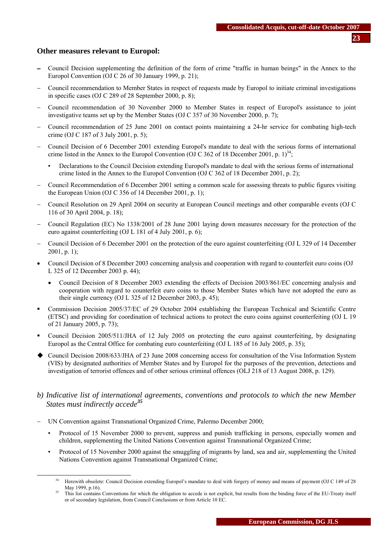### **Other measures relevant to Europol:**

- − Council Decision supplementing the definition of the form of crime "traffic in human beings" in the Annex to the Europol Convention (OJ C 26 of 30 January 1999, p. 21);
- − Council recommendation to Member States in respect of requests made by Europol to initiate criminal investigations in specific cases (OJ C 289 of 28 September 2000, p. 8);
- − Council recommendation of 30 November 2000 to Member States in respect of Europol's assistance to joint investigative teams set up by the Member States (OJ C 357 of 30 November 2000, p. 7);
- − Council recommendation of 25 June 2001 on contact points maintaining a 24-hr service for combating high-tech crime (OJ C 187 of 3 July 2001, p. 5);
- − Council Decision of 6 December 2001 extending Europol's mandate to deal with the serious forms of international crime listed in the Annex to the Europol Convention (OJ C 362 of 18 December 2001, p. 1)<sup>34</sup>;
	- Declarations to the Council Decision extending Europol's mandate to deal with the serious forms of international crime listed in the Annex to the Europol Convention (OJ C 362 of 18 December 2001, p. 2);
- − Council Recommendation of 6 December 2001 setting a common scale for assessing threats to public figures visiting the European Union (OJ C 356 of 14 December 2001, p. 1);
- − Council Resolution on 29 April 2004 on security at European Council meetings and other comparable events (OJ C 116 of 30 April 2004, p. 18);
- − Council Regulation (EC) No 1338/2001 of 28 June 2001 laying down measures necessary for the protection of the euro against counterfeiting (OJ L 181 of 4 July 2001, p. 6);
- − Council Decision of 6 December 2001 on the protection of the euro against counterfeiting (OJ L 329 of 14 December  $2001$ , p. 1);
- Council Decision of 8 December 2003 concerning analysis and cooperation with regard to counterfeit euro coins (OJ L 325 of 12 December 2003 p. 44);
	- Council Decision of 8 December 2003 extending the effects of Decision 2003/861/EC concerning analysis and cooperation with regard to counterfeit euro coins to those Member States which have not adopted the euro as their single currency (OJ L 325 of 12 December 2003, p. 45);
- Commission Decision 2005/37/EC of 29 October 2004 establishing the European Technical and Scientific Centre (ETSC) and providing for coordination of technical actions to protect the euro coins against counterfeiting (OJ L 19 of 21 January 2005, p. 73);
- Council Decision 2005/511/JHA of 12 July 2005 on protecting the euro against counterfeiting, by designating Europol as the Central Office for combating euro counterfeiting (OJ L 185 of 16 July 2005, p. 35);
- Council Decision 2008/633/JHA of 23 June 2008 concerning access for consultation of the Visa Information System (VIS) by designated authorities of Member States and by Europol for the purposes of the prevention, detections and investigation of terrorist offences and of other serious criminal offences (OLJ 218 of 13 August 2008, p. 129).

# *b) Indicative list of international agreements, conventions and protocols to which the new Member States must indirectly accede<sup>35</sup>*

- − UN Convention against Transnational Organized Crime, Palermo December 2000;
	- Protocol of 15 November 2000 to prevent, suppress and punish trafficking in persons, especially women and children, supplementing the United Nations Convention against Transnational Organized Crime;
	- Protocol of 15 November 2000 against the smuggling of migrants by land, sea and air, supplementing the United Nations Convention against Transnational Organized Crime;

<sup>&</sup>lt;sup>34</sup> Herewith obsolete[: Council Decision e](http://europa.eu.int/smartapi/cgi/sga_doc?smartapi!celexapi!prod!CELEXnumdoc&lg=EN&numdoc=41999Y0528(02)&model=guichett)xtending Europol's mandate to deal with forgery of money and means of payment (OJ C 149 of 28 May 1999, p.16).

This list contains Conventions for which the obligation to accede is not explicit, but results from the binding force of the EU-Treaty itself or of secondary legislation, from Council Conclusions or from Article 10 EC.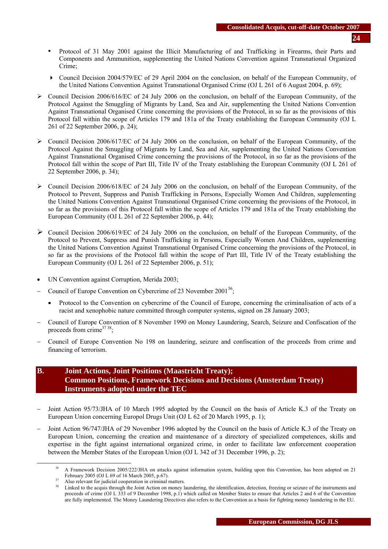- Protocol of 31 May 2001 against the Illicit Manufacturing of and Trafficking in Firearms, their Parts and Components and Ammunition, supplementing the United Nations Convention against Transnational Organized Crime;
- Council Decision 2004/579/EC of 29 April 2004 on the conclusion, on behalf of the European Community, of the United Nations Convention Against Transnational Organised Crime (OJ L 261 of 6 August 2004, p. 69);
- $\triangleright$  Council Decision 2006/616/EC of 24 July 2006 on the conclusion, on behalf of the European Community, of the Protocol Against the Smuggling of Migrants by Land, Sea and Air, supplementing the United Nations Convention Against Transnational Organised Crime concerning the provisions of the Protocol, in so far as the provisions of this Protocol fall within the scope of Articles 179 and 181a of the Treaty establishing the European Community (OJ L 261 of 22 September 2006, p. 24);
- $\triangleright$  Council Decision 2006/617/EC of 24 July 2006 on the conclusion, on behalf of the European Community, of the Protocol Against the Smuggling of Migrants by Land, Sea and Air, supplementing the United Nations Convention Against Transnational Organised Crime concerning the provisions of the Protocol, in so far as the provisions of the Protocol fall within the scope of Part III, Title IV of the Treaty establishing the European Community (OJ L 261 of 22 September 2006, p. 34);
- $\triangleright$  Council Decision 2006/618/EC of 24 July 2006 on the conclusion, on behalf of the European Community, of the Protocol to Prevent, Suppress and Punish Trafficking in Persons, Especially Women And Children, supplementing the United Nations Convention Against Transnational Organised Crime concerning the provisions of the Protocol, in so far as the provisions of this Protocol fall within the scope of Articles 179 and 181a of the Treaty establishing the European Community (OJ L 261 of 22 September 2006, p. 44);
- $\triangleright$  Council Decision 2006/619/EC of 24 July 2006 on the conclusion, on behalf of the European Community, of the Protocol to Prevent, Suppress and Punish Trafficking in Persons, Especially Women And Children, supplementing the United Nations Convention Against Transnational Organised Crime concerning the provisions of the Protocol, in so far as the provisions of the Protocol fall within the scope of Part III, Title IV of the Treaty establishing the European Community (OJ L 261 of 22 September 2006, p. 51);
- UN Convention against Corruption, Merida 2003;
- − Council of Europe Convention on Cybercrime of 23 November 2001<sup>36</sup>;
	- Protocol to the Convention on cybercrime of the Council of Europe, concerning the criminalisation of acts of a racist and xenophobic nature committed through computer systems, signed on 28 January 2003;
- − Council of Europe Convention of 8 November 1990 on Money Laundering, Search, Seizure and Confiscation of the proceeds from crime $3738$ ;
- − Council of Europe Convention No 198 on laundering, seizure and confiscation of the proceeds from crime and financing of terrorism.

# **B. Joint Actions, Joint Positions (Maastricht Treaty); Common Positions, Framework Decisions and Decisions (Amsterdam Treaty) Instruments adopted under the TEC**

- Joint Action 95/73/JHA of 10 March 1995 adopted by the Council on the basis of Article K.3 of the Treaty on European Union concerning Europol Drugs Unit (OJ L 62 of 20 March 1995, p. 1);
- Joint Action 96/747/JHA of 29 November 1996 adopted by the Council on the basis of Article K.3 of the Treaty on European Union, concerning the creation and maintenance of a directory of specialized competences, skills and expertise in the fight against international organized crime, in order to facilitate law enforcement cooperation between the Member States of the European Union (OJ L 342 of 31 December 1996, p. 2);

A Framework Decision 2005/222/JHA on attacks against information system, building upon this Convention, has been adopted on 21 February 2005 (OJ L 69 of 16 March 2005, p.67).

<sup>&</sup>lt;sup>37</sup> Also relevant for judicial cooperation in criminal matters.<br><sup>38</sup> Linked to the acquis through the Joint Action on money laundering, the identification, detection, freezing or seizure of the instruments and<br><sup>38</sup> Linked proceeds of crime (OJ L 333 of 9 December 1998, p.1) which called on Member States to ensure that Articles 2 and 6 of the Convention are fully implemented. The Money Laundering Directives also refers to the Convention as a basis for fighting money laundering in the EU.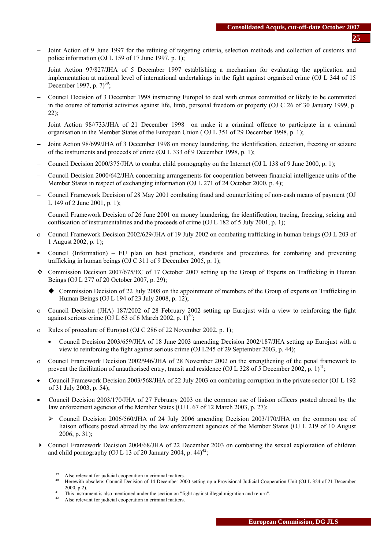- Joint Action of 9 June 1997 for the refining of targeting criteria, selection methods and collection of customs and police information (OJ L 159 of 17 June 1997, p. 1);
- Joint Action 97/827/JHA of 5 December 1997 establishing a mechanism for evaluating the application and implementation at national level of international undertakings in the fight against organised crime (OJ L 344 of 15 December 1997, p.  $7^{39}$ :
- − Council Decision of 3 December 1998 instructing Europol to deal with crimes committed or likely to be committed in the course of terrorist activities against life, limb, personal freedom or property (OJ C 26 of 30 January 1999, p.  $22$ :
- Joint Action 98//733/JHA of 21 December 1998 on make it a criminal offence to participate in a criminal organisation in the Member States of the European Union ( OJ L 351 of 29 December 1998, p. 1);
- Joint Action 98/699/JHA of 3 December 1998 on money laundering, the identification, detection, freezing or seizure of the instruments and proceeds of crime (OJ L 333 of 9 December 1998, p. 1);
- − Council Decision 2000/375/JHA to combat child pornography on the Internet (OJ L 138 of 9 June 2000, p. 1);
- − Council Decision 2000/642/JHA concerning arrangements for cooperation between financial intelligence units of the Member States in respect of exchanging information (OJ L 271 of 24 October 2000, p. 4);
- − Council Framework Decision of 28 May 2001 combating fraud and counterfeiting of non-cash means of payment (OJ L 149 of 2 June 2001, p. 1);
- − Council Framework Decision of 26 June 2001 on money laundering, the identification, tracing, freezing, seizing and confiscation of instrumentalities and the proceeds of crime (OJ L 182 of 5 July 2001, p. 1);
- ο Council Framework Decision 2002/629/JHA of 19 July 2002 on combating trafficking in human beings (OJ L 203 of 1 August 2002, p. 1);
- Council (Information) EU plan on best practices, standards and procedures for combating and preventing trafficking in human beings (OJ C 311 of 9 December 2005, p. 1);
- Commission Decision 2007/675/EC of 17 October 2007 setting up the Group of Experts on Trafficking in Human Beings (OJ L 277 of 20 October 2007, p. 29);
	- Commission Decision of 22 July 2008 on the appointment of members of the Group of experts on Trafficking in Human Beings (OJ L 194 of 23 July 2008, p. 12);
- ο Council Decision (JHA) 187/2002 of 28 February 2002 setting up Eurojust with a view to reinforcing the fight against serious crime (OJ L 63 of 6 March 2002, p.  $1)^{40}$ ;
- ο Rules of procedure of Eurojust (OJ C 286 of 22 November 2002, p. 1);
	- Council Decision 2003/659/JHA of 18 June 2003 amending Decision 2002/187/JHA setting up Eurojust with a view to reinforcing the fight against serious crime (OJ L245 of 29 September 2003, p. 44);
- ο Council Framework Decision 2002/946/JHA of 28 November 2002 on the strengthening of the penal framework to prevent the facilitation of unauthorised entry, transit and residence (OJ L 328 of 5 December 2002, p. 1)<sup>41</sup>;
- Council Framework Decision 2003/568/JHA of 22 July 2003 on combating corruption in the private sector (OJ L 192 of 31 July 2003, p. 54);
- Council Decision 2003/170/JHA of 27 February 2003 on the common use of liaison officers posted abroad by the law enforcement agencies of the Member States (OJ L 67 of 12 March 2003, p. 27);
	- ¾ Council Decision 2006/560/JHA of 24 July 2006 amending Decision 2003/170/JHA on the common use of liaison officers posted abroad by the law enforcement agencies of the Member States (OJ L 219 of 10 August 2006, p. 31);
- Council Framework Decision 2004/68/JHA of 22 December 2003 on combating the sexual exploitation of children and child pornography (OJ L 13 of 20 January 2004, p.  $44<sup>42</sup>$ ;

<sup>&</sup>lt;sup>39</sup> Also relevant for judicial cooperation in criminal matters.<br><sup>40</sup> Herewith obsolete[: Council Decision of 14 December 2000 s](http://europa.eu.int/smartapi/cgi/sga_doc?smartapi!celexapi!prod!CELEXnumdoc&lg=EN&numdoc=32000D0799&model=guichett)etting up a Provisional Judicial Cooperation Unit (OJ L 324 of 21 December 2000, p.2).<br><sup>41</sup> This instrument is also mentioned under the section on "fight against illegal migration and return".<br><sup>42</sup> Also relevant for judicial cooperation in criminal matters.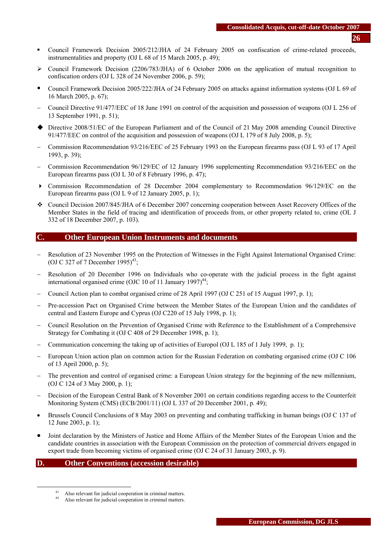- Council Framework Decision 2005/212/JHA of 24 February 2005 on confiscation of crime-related proceeds, instrumentalities and property (OJ L 68 of 15 March 2005, p. 49);
- $\geq$  Council Framework Decision (2206/783/JHA) of 6 October 2006 on the application of mutual recognition to confiscation orders (OJ L 328 of 24 November 2006, p. 59);
- Council Framework Decision 2005/222/JHA of 24 February 2005 on attacks against information systems (OJ L 69 of 16 March 2005, p. 67);
- − Council Directive 91/477/EEC of 18 June 1991 on control of the acquisition and possession of weapons (OJ L 256 of 13 September 1991, p. 51);
- Directive 2008/51/EC of the European Parliament and of the Council of 21 May 2008 amending Council Directive 91/477/EEC on control of the acquisition and possession of weapons (OJ L 179 of 8 July 2008, p. 5);
- − Commission Recommendation 93/216/EEC of 25 February 1993 on the European firearms pass (OJ L 93 of 17 April 1993, p. 39);
- − Commission Recommendation 96/129/EC of 12 January 1996 supplementing Recommendation 93/216/EEC on the European firearms pass (OJ L 30 of 8 February 1996, p. 47);
- Commission Recommendation of 28 December 2004 complementary to Recommendation 96/129/EC on the European firearms pass (OJ L 9 of 12 January 2005, p. 1);
- Council Decision 2007/845/JHA of 6 December 2007 concerning cooperation between Asset Recovery Offices of the Member States in the field of tracing and identification of proceeds from, or other property related to, crime (OL J 332 of 18 December 2007, p. 103).

### **C. Other European Union Instruments and documents**

- Resolution of 23 November 1995 on the Protection of Witnesses in the Fight Against International Organised Crime: (OJ C 327 of 7 December 1995)<sup>43</sup>:
- − Resolution of 20 December 1996 on Individuals who co-operate with the judicial process in the fight against international organised crime (OJC 10 of 11 January 1997)<sup>44</sup>;
- − Council Action plan to combat organised crime of 28 April 1997 (OJ C 251 of 15 August 1997, p. 1);
- − Pre-accession Pact on Organised Crime between the Member States of the European Union and the candidates of central and Eastern Europe and Cyprus (OJ C220 of 15 July 1998, p. 1);
- − Council Resolution on the Prevention of Organised Crime with Reference to the Establishment of a Comprehensive Strategy for Combating it (OJ C 408 of 29 December 1998, p. 1);
- − Communication concerning the taking up of activities of Europol (OJ L 185 of 1 July 1999, p. 1);
- − European Union action plan on common action for the Russian Federation on combating organised crime (OJ C 106 of 13 April 2000, p. 5);
- − The prevention and control of organised crime: a European Union strategy for the beginning of the new millennium, (OJ C 124 of 3 May 2000, p. 1);
- − Decision of the European Central Bank of 8 November 2001 on certain conditions regarding access to the Counterfeit Monitoring System (CMS) (ECB/2001/11) (OJ L 337 of 20 December 2001, p. 49);
- Brussels Council Conclusions of 8 May 2003 on preventing and combating trafficking in human beings (OJ C 137 of 12 June 2003, p. 1);
- Joint declaration by the Ministers of Justice and Home Affairs of the Member States of the European Union and the candidate countries in association with the European Commission on the protection of commercial drivers engaged in export trade from becoming victims of organised crime (OJ C 24 of 31 January 2003, p. 9).

#### **D. Other Conventions (accession desirable)**

<sup>43</sup> Also relevant for judicial cooperation in criminal matters.<br> $44$  Also relevant for judicial cooperation in criminal matters.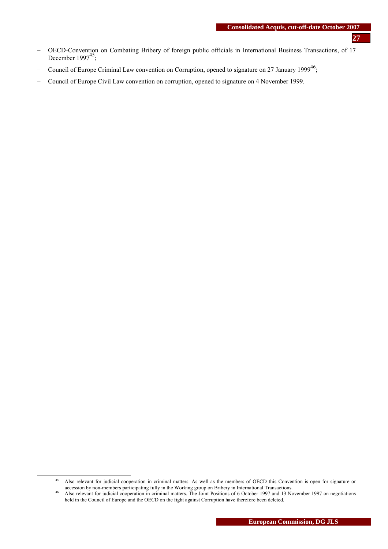- − OECD-Convention on Combating Bribery of foreign public officials in International Business Transactions, of 17 December  $1997^{45}$ ;
- − Council of Europe Criminal Law convention on Corruption, opened to signature on 27 January 1999<sup>46</sup>;
- − Council of Europe Civil Law convention on corruption, opened to signature on 4 November 1999.

<sup>&</sup>lt;sup>45</sup> Also relevant for judicial cooperation in criminal matters. As well as the members of OECD this Convention is open for signature or accession by non-members participating fully in the Working group on Bribery in Inter

Also relevant for judicial cooperation in criminal matters. The Joint Positions of 6 October 1997 and 13 November 1997 on negotiations held in the Council of Europe and the OECD on the fight against Corruption have therefore been deleted.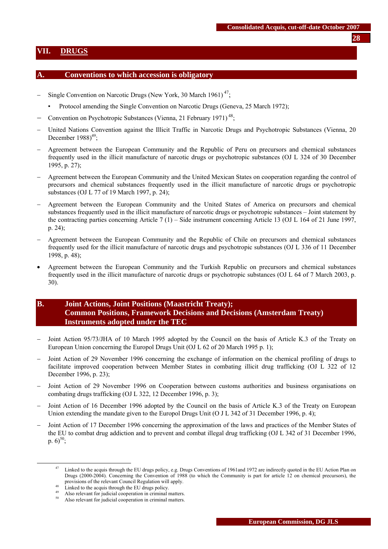### <span id="page-27-0"></span>**VII. DRUGS**

#### **A. Conventions to which accession is obligatory**

- Single Convention on Narcotic Drugs (New York, 30 March 1961) $^{47}$ ;
	- Protocol amending the Single Convention on Narcotic Drugs (Geneva, 25 March 1972);
- − Convention on Psychotropic Substances (Vienna, 21 February 1971)<sup>48</sup>;
- − United Nations Convention against the Illicit Traffic in Narcotic Drugs and Psychotropic Substances (Vienna, 20 December  $1988<sup>49</sup>$ ;
- − Agreement between the European Community and the Republic of Peru on precursors and chemical substances frequently used in the illicit manufacture of narcotic drugs or psychotropic substances (OJ L 324 of 30 December 1995, p. 27);
- − Agreement between the European Community and the United Mexican States on cooperation regarding the control of precursors and chemical substances frequently used in the illicit manufacture of narcotic drugs or psychotropic substances (OJ L 77 of 19 March 1997, p. 24);
- − Agreement between the European Community and the United States of America on precursors and chemical substances frequently used in the illicit manufacture of narcotic drugs or psychotropic substances – Joint statement by the contracting parties concerning Article 7 (1) – Side instrument concerning Article 13 (OJ L 164 of 21 June 1997, p. 24);
- − Agreement between the European Community and the Republic of Chile on precursors and chemical substances frequently used for the illicit manufacture of narcotic drugs and psychotropic substances (OJ L 336 of 11 December 1998, p. 48);
- Agreement between the European Community and the Turkish Republic on precursors and chemical substances frequently used in the illicit manufacture of narcotic drugs or psychotropic substances (OJ L 64 of 7 March 2003, p. 30).

# **B. Joint Actions, Joint Positions (Maastricht Treaty); Common Positions, Framework Decisions and Decisions (Amsterdam Treaty) Instruments adopted under the TEC**

- Joint Action 95/73/JHA of 10 March 1995 adopted by the Council on the basis of Article K.3 of the Treaty on European Union concerning the Europol Drugs Unit (OJ L 62 of 20 March 1995 p. 1);
- − Joint Action of 29 November 1996 concerning the exchange of information on the chemical profiling of drugs to facilitate improved cooperation between Member States in combating illicit drug trafficking (OJ L 322 of 12 December 1996, p. 23);
- − Joint Action of 29 November 1996 on Cooperation between customs authorities and business organisations on combating drugs trafficking (OJ L 322, 12 December 1996, p. 3);
- Joint Action of 16 December 1996 adopted by the Council on the basis of Article K.3 of the Treaty on European Union extending the mandate given to the Europol Drugs Unit (O J L 342 of 31 December 1996, p. 4);
- Joint Action of 17 December 1996 concerning the approximation of the laws and practices of the Member States of the EU to combat drug addiction and to prevent and combat illegal drug trafficking (OJ L 342 of 31 December 1996, p.  $6)^{50}$ ;

Linked to the acquis through the EU drugs policy, e.g. Drugs Conventions of 1961and 1972 are indirectly quoted in the EU Action Plan on Drugs (2000-2004). Concerning the Convention of 1988 (to which the Community is part for article 12 on chemical precursors), the provisions of the relevant Council Regulation will apply.<br><sup>48</sup> Linked to the acquis through the EU drugs policy.

<sup>&</sup>lt;sup>49</sup> Also relevant for judicial cooperation in criminal matters.<br><sup>50</sup> Also relevant for judicial cooperation in criminal matters.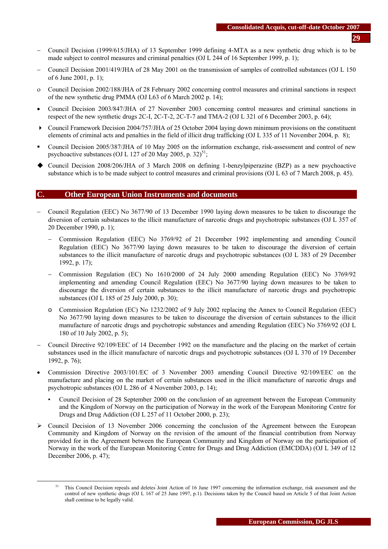- − Council Decision (1999/615/JHA) of 13 September 1999 defining 4-MTA as a new synthetic drug which is to be made subject to control measures and criminal penalties (OJ L 244 of 16 September 1999, p. 1);
- − Council Decision 2001/419/JHA of 28 May 2001 on the transmission of samples of controlled substances (OJ L 150 of 6 June 2001, p. 1);
- ο Council Decision 2002/188/JHA of 28 February 2002 concerning control measures and criminal sanctions in respect of the new synthetic drug PMMA (OJ L63 of 6 March 2002 p. 14);
- Council Decision 2003/847/JHA of 27 November 2003 concerning control measures and criminal sanctions in respect of the new synthetic drugs 2C-I, 2C-T-2, 2C-T-7 and TMA-2 (OJ L 321 of 6 December 2003, p. 64);
- Council Framework Decision 2004/757/JHA of 25 October 2004 laying down minimum provisions on the constituent elements of criminal acts and penalties in the field of illicit drug trafficking (OJ L 335 of 11 November 2004, p. 8);
- Council Decision 2005/387/JHA of 10 May 2005 on the information exchange, risk-assessment and control of new psychoactive substances (OJ L 127 of 20 May 2005, p. 32)<sup>51</sup>;
- Council Decision 2008/206/JHA of 3 March 2008 on defining 1-benzylpiperazine (BZP) as a new psychoactive substance which is to be made subject to control measures and criminal provisions (OJ L 63 of 7 March 2008, p. 45).

### **C. Other European Union Instruments and documents**

- − Council Regulation (EEC) No 3677/90 of 13 December 1990 laying down measures to be taken to discourage the diversion of certain substances to the illicit manufacture of narcotic drugs and psychotropic substances (OJ L 357 of 20 December 1990, p. 1);
	- − Commission Regulation (EEC) No 3769/92 of 21 December 1992 implementing and amending Council Regulation (EEC) No 3677/90 laying down measures to be taken to discourage the diversion of certain substances to the illicit manufacture of narcotic drugs and psychotropic substances (OJ L 383 of 29 December 1992, p. 17);
	- − Commission Regulation (EC) No 1610/2000 of 24 July 2000 amending Regulation (EEC) No 3769/92 implementing and amending Council Regulation (EEC) No 3677/90 laying down measures to be taken to discourage the diversion of certain substances to the illicit manufacture of narcotic drugs and psychotropic substances (OJ L 185 of 25 July 2000, p. 30);
	- o Commission Regulation (EC) No 1232/2002 of 9 July 2002 replacing the Annex to Council Regulation (EEC) No 3677/90 laying down measures to be taken to discourage the diversion of certain substances to the illicit manufacture of narcotic drugs and psychotropic substances and amending Regulation (EEC) No 3769/92 (OJ L 180 of 10 July 2002, p. 5);
- − Council Directive 92/109/EEC of 14 December 1992 on the manufacture and the placing on the market of certain substances used in the illicit manufacture of narcotic drugs and psychotropic substances (OJ L 370 of 19 December 1992, p. 76);
- Commission Directive 2003/101/EC of 3 November 2003 amending Council Directive 92/109/EEC on the manufacture and placing on the market of certain substances used in the illicit manufacture of narcotic drugs and psychotropic substances (OJ L 286 of 4 November 2003, p. 14);
	- Council Decision of 28 September 2000 on the conclusion of an agreement between the European Community and the Kingdom of Norway on the participation of Norway in the work of the European Monitoring Centre for Drugs and Drug Addiction (OJ L 257 of 11 October 2000, p. 23);
- $\geq$  Council Decision of 13 November 2006 concerning the conclusion of the Agreement between the European Community and Kingdom of Norway on the revision of the amount of the financial contribution from Norway provided for in the Agreement between the European Community and Kingdom of Norway on the participation of Norway in the work of the European Monitoring Centre for Drugs and Drug Addiction (EMCDDA) (OJ L 349 of 12 December 2006, p. 47);

This Council Decision repeals and deletes Joint Action of 16 June 1997 concerning the information exchange, risk assessment and the control of new synthetic drugs (OJ L 167 of 25 June 1997, p.1). Decisions taken by the Council based on Article 5 of that Joint Action shall continue to be legally valid.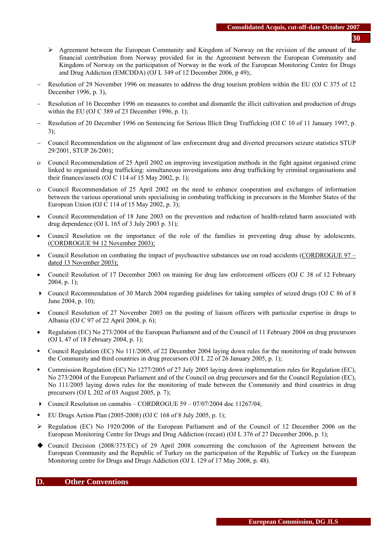- **30**
- $\triangleright$  Agreement between the European Community and Kingdom of Norway on the revision of the amount of the financial contribution from Norway provided for in the Agreement between the European Community and Kingdom of Norway on the participation of Norway in the work of the European Monitoring Centre for Drugs and Drug Addiction (EMCDDA) (OJ L 349 of 12 December 2006, p 49);.
- − Resolution of 29 November 1996 on measures to address the drug tourism problem within the EU (OJ C 375 of 12 December 1996, p. 3),
- Resolution of 16 December 1996 on measures to combat and dismantle the illicit cultivation and production of drugs within the EU (OJ C 389 of 23 December 1996, p. 1);
- − Resolution of 20 December 1996 on Sentencing for Serious Illicit Drug Trafficking (OJ C 10 of 11 January 1997, p. 3);
- − Council Recommendation on the alignment of law enforcement drug and diverted precursors seizure statistics STUP 29/2001, STUP 26/2001;
- ο Council Recommendation of 25 April 2002 on improving investigation methods in the fight against organised crime linked to organised drug trafficking: simultaneous investigations into drug trafficking by criminal organisations and their finances/assets (OJ C 114 of 15 May 2002, p. 1);
- ο Council Recommendation of 25 April 2002 on the need to enhance cooperation and exchanges of information between the various operational units specialising in combating trafficking in precursors in the Member States of the European Union (OJ C 114 of 15 May 2002, p. 3);
- Council Recommendation of 18 June 2003 on the prevention and reduction of health-related harm associated with drug dependence (OJ L 165 of 3 July 2003 p. 31);
- Council Resolution on the importance of the role of the families in preventing drug abuse by adolescents. (CORDROGUE 94 12 November 2003);
- Council Resolution on combating the impact of psychoactive substances use on road accidents (CORDROGUE 97 dated 13 November 2003);
- Council Resolution of 17 December 2003 on training for drug law enforcement officers (OJ C 38 of 12 February 2004, p. 1);
- Council Recommendation of 30 March 2004 regarding guidelines for taking samples of seized drugs (O[J C 86 of 8](http://europa.eu.int/eur-lex/en/archive/2004/c_08620040406en.html)  [June 2004, p. 10\)](http://europa.eu.int/eur-lex/en/archive/2004/c_08620040406en.html);
- Council Resolution of 27 November 2003 on the posting of liaison officers with particular expertise in drugs to Albania (OJ C 97 of 22 April 2004, p. 6);
- Regulation (EC) No 273/2004 of the European Parliament and of the Council of 11 February 2004 on drug precursors (OJ L 47 of 18 February 2004, p. 1);
- Council Regulation (EC) No 111/2005, of 22 December 2004 laying down rules for the monitoring of trade between the Community and third countries in drug precursors (OJ L 22 of 26 January 2005, p. 1);
- Commission Regulation (EC) No 1277/2005 of 27 July 2005 laying down implementation rules for Regulation (EC), No 273/2004 of the European Parliament and of the Council on drug precursors and for the Council Regulation (EC), No 111/2005 laying down rules for the monitoring of trade between the Community and third countries in drug precursors (OJ L 202 of 03 August 2005, p. 7);
- Council Resolution on cannabis CORDROGUE 59 07/07/2004 doc 11267/04;
- EU Drugs Action Plan (2005-2008) (OJ C 168 of 8 July 2005, p. 1);
- $\triangleright$  Regulation (EC) No 1920/2006 of the European Parliament and of the Council of 12 December 2006 on the European Monitoring Centre for Drugs and Drug Addiction (recast) (OJ L 376 of 27 December 2006, p. 1);
- Council Decision (2008/375/EC) of 29 April 2008 concerning the conclusion of the Agreement between the European Community and the Republic of Turkey on the participation of the Republic of Turkey on the European Monitoring centre for Drugs and Drugs Addiction (OJ L 129 of 17 May 2008, p. 48).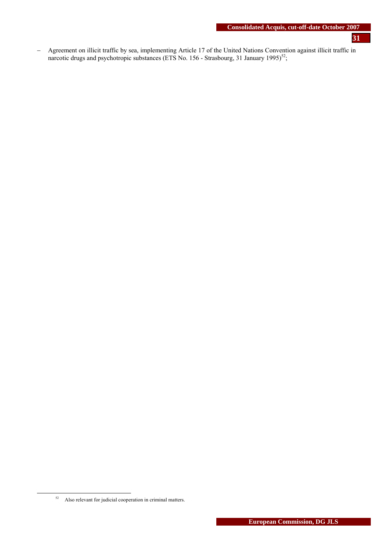- **31**
- − Agreement on illicit traffic by sea, implementing Article 17 of the United Nations Convention against illicit traffic in narcotic drugs and psychotropic substances (ETS No. 156 - Strasbourg, 31 January 1995)<sup>52</sup>;

 <sup>52</sup> Also relevant for judicial cooperation in criminal matters.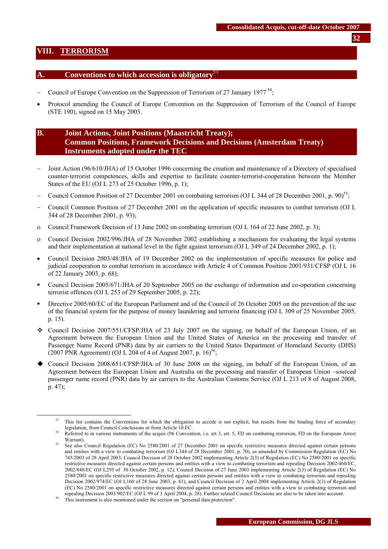### <span id="page-31-0"></span>**VIII. TERRORISM**

### **A. Conventions to which accession is obligatory**<sup>53</sup>

- − Council of Europe Convention on the Suppression of Terrorism of 27 January 1977<sup>54</sup>;
- Protocol amending the Council of Europe Convention on the Suppression of Terrorism of the Council of Europe (STE 190), signed on 15 May 2003.

# **B. Joint Actions, Joint Positions (Maastricht Treaty); Common Positions, Framework Decisions and Decisions (Amsterdam Treaty) Instruments adopted under the TEC**

- − Joint Action (96/610/JHA) of 15 October 1996 concerning the creation and maintenance of a Directory of specialised counter-terrorist competences, skills and expertise to facilitate counter-terrorist-cooperation between the Member States of the EU (OJ L 273 of 25 October 1996, p. 1);
- Council Common Position of 27 December 2001 on combating terrorism (OJ L 344 of 28 December 2001, p. 90)<sup>55</sup>;
- − Council Common Position of 27 December 2001 on the application of specific measures to combat terrorism (OJ L 344 of 28 December 2001, p. 93);
- ο Council Framework Decision of 13 June 2002 on combating terrorism (OJ L 164 of 22 June 2002, p. 3);
- ο Council Decision 2002/996/JHA of 28 November 2002 establishing a mechanism for evaluating the legal systems and their implementation at national level in the fight against terrorism (OJ L 349 of 24 December 2002, p. 1);
- Council Decision 2003/48/JHA of 19 December 2002 on the implementation of specific measures for police and judicial cooperation to combat terrorism in accordance with Article 4 of Common Position 2001/931/CFSP (OJ L 16 of 22 January 2003, p. 68);
- Council Decision 2005/671/JHA of 20 September 2005 on the exchange of information and co-operation concerning terrorist offences (OJ L 253 of 29 September 2005, p. 22);
- Directive 2005/60/EC of the European Parliament and of the Council of 26 October 2005 on the prevention of the use of the financial system for the purpose of money laundering and terrorist financing (OJ L 309 of 25 November 2005, p. 15).
- Council Decision 2007/551/CFSP/JHA of 23 July 2007 on the signing, on behalf of the European Union, of an Agreement between the European Union and the United States of America on the processing and transfer of Passenger Name Record (PNR) data by air carriers to the United States Department of Homeland Security (DHS) (2007 PNR Agreement) (OJ L 204 of 4 of August 2007, p.  $16$ <sup>56</sup>;
- Council Decision 2008/651/CFSP/JHA of 30 June 2008 on the signing, on behalf of the European Union, of an Agreement between the European Union and Australia on the processing and transfer of European Union –sourced passenger name record (PNR) data by air carriers to the Australian Customs Service (OJ L 213 of 8 of August 2008, p. 47);

This list contains the Conventions for which the obligation to accede is not explicit, but results from the binding force of secondary legislation, from Council Conclusions or from Article 10 EC.<br>Referred to in various instruments of the acquis (96 Convention, i.e. art 3, art. 5, FD on combating terrorism, FD on the European Arrest

Warrant).

<sup>&</sup>lt;sup>55</sup> See also Council Regulation (EC) No 2580/2001 of 27 December 2001 on specific restrictive measures directed against certain persons and entities with a view to combating terrorism (OJ L344 of 28 December 2001, p. 70), as amended by Commission Regulation (EC) No 745/2003 of 28 April 2003; Council Decision of 28 October 2002 implementing Article 2(3) of Regulation (EC) No 2580/2001 on specific restrictive measures directed against certain persons and entities with a view to combating terrorism and repealing Decision 2002/460/EC, 2002/848/EC (OJ L295 of 30 October 2002, p. 12); Council Decision of 27 June 2003 implementing Article 2(3) of Regulation (EC) No 2580/2001 on specific restrictive measures directed against certain persons and entities with a view to combating terrorism and repealing Decision 2002/974/EC (OJ L160 of 28 June 2003, p. 81), and Council Decision of 2 April 2004 implementing Article 2(3) of Regulation (EC) No 2580/2001 on specific restrictive measures directed against certain persons and entities with a view to combating terrorism and repealing Decision 2003/902/EC (OJ L 99 of 3 April 2004, p. 28). Further related Council Decisions are also to be taken into account. 56 This instrument is also mentioned under the section on "personal data protection".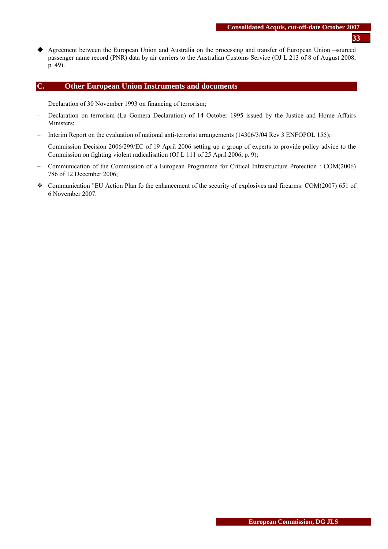Agreement between the European Union and Australia on the processing and transfer of European Union –sourced passenger name record (PNR) data by air carriers to the Australian Customs Service (OJ L 213 of 8 of August 2008, p. 49).

### **C. Other European Union Instruments and documents**

- − Declaration of 30 November 1993 on financing of terrorism;
- − Declaration on terrorism (La Gomera Declaration) of 14 October 1995 issued by the Justice and Home Affairs Ministers;
- − Interim Report on the evaluation of national anti-terrorist arrangements (14306/3/04 Rev 3 ENFOPOL 155);
- − Commission Decision 2006/299/EC of 19 April 2006 setting up a group of experts to provide policy advice to the Commission on fighting violent radicalisation (OJ L 111 of 25 April 2006, p. 9);
- − Communication of the Commission of a European Programme for Critical Infrastructure Protection : COM(2006) 786 of 12 December 2006;
- Communication "EU Action Plan fo the enhancement of the security of explosives and firearms: COM(2007) 651 of 6 November 2007.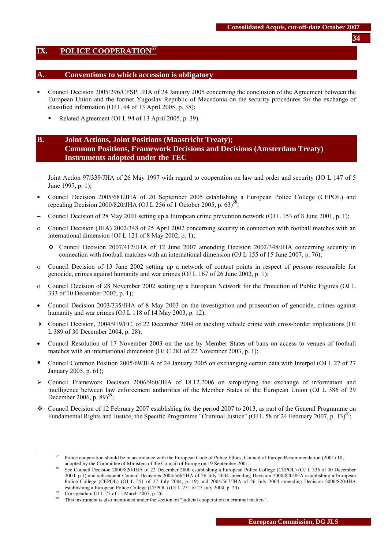### <span id="page-33-0"></span>**IX. POLICE COOPERATION<sup>57</sup>**

#### **A. Conventions to which accession is obligatory**

- Council Decision 2005/296/CFSP, JHA of 24 January 2005 concerning the conclusion of the Agreement between the European Union and the former Yugoslav Republic of Macedonia on the security procedures for the exchange of classified information (OJ L 94 of 13 April 2005, p. 38);
	- Related Agreement (OJ L 94 of 13 April 2005, p. 39).

# **B. Joint Actions, Joint Positions (Maastricht Treaty); Common Positions, Framework Decisions and Decisions (Amsterdam Treaty) Instruments adopted under the TEC**

- Joint Action 97/339/JHA of 26 May 1997 with regard to cooperation on law and order and security (JO L 147 of 5 June 1997, p. 1);
- Council Decision 2005/681/JHA of 20 September 2005 establishing a European Police College (CEPOL) and repealing Decision 2000/820/JHA (OJ L 256 of 1 October 2005, p. 63)<sup>58</sup>
- − Council Decision of 28 May 2001 setting up a European crime prevention network (OJ L 153 of 8 June 2001, p. 1);
- ο Council Decision (JHA) 2002/348 of 25 April 2002 concerning security in connection with football matches with an international dimension (O[J L 121 of 8 May 2002, p. 1\)](http://europa.eu.int/eur-lex/en/oj/2002/l_12120020508en.html);
	- Council Decision 2007/412/JHA of 12 June 2007 amending Decision 2002/348/JHA concerning security in connection with football matches with an international dimension (O[J L 155 of 15 June 2007, p. 7](http://europa.eu.int/eur-lex/en/oj/2002/l_12120020508en.html)6);
- ο Council Decision of 13 June 2002 setting up a network of contact points in respect of persons responsible for genocide, crimes against humanity and war crimes (OJ L 167 of 26 June 2002, p. 1);
- ο Council Decision of 28 November 2002 setting up a European Network for the Protection of Public Figures (OJ L 333 of 10 December 2002, p. 1);
- Council Decision 2003/335/JHA of 8 May 2003 on the investigation and prosecution of genocide, crimes against humanity and war crimes (OJ L 118 of 14 May 2003, p. 12);
- Council Decision, 2004/919/EC, of 22 December 2004 on tackling vehicle crime with cross-border implications (OJ L 389 of 30 December 2004, p. 28);
- Council Resolution of 17 November 2003 on the use by Member States of bans on access to venues of football matches with an international dimension (OJ C 281 of 22 November 2003, p. 1);
- Council Common Position 2005/69/JHA of 24 January 2005 on exchanging certain data with Interpol (OJ L 27 of 27 January 2005, p. 61);
- $\geq$  Council Framework Decision 2006/960/JHA of 18.12.2006 on simplifying the exchange of information and intelligence between law enforcement authorities of the Member States of the European Union (OJ L 386 of 29 December 2006, p.  $89^{59}$ ;
- Council Decision of 12 February 2007 establishing for the period 2007 to 2013, as part of the General Programme on Fundamental Rights and Justice, the Specific Programme "Criminal Justice" (OJ L 58 of 24 February 2007, p. 13)<sup>60</sup>;

 $57$  Police cooperation should be in accordance with the European Code of Police Ethics, Council of Europe Recommendation (2001) 10, adopted by the Committee of Ministers of the Council of Europe on 19 September 2001.<br><sup>58</sup> See Council Decision 2000/820/JHA of 22 December 2000 establishing a European Police College (CEPOL) (OJ L 336 of 30 December

<sup>2000,</sup> p.1) and subsequent Council Decisions 2004/566/JHA of 26 July 2004 amending Decision 2000/820/JHA establishing a European Police College (CEPOL) (OJ L 251 of 27 July 2004, p. 19) and 2004/567/JHA of 26 July 2004 amending Decision 2000/820/JHA establishing a European Police College (CEPOL) (OJ L 251 of 27 July 2004, p. 20).<br>
So Corrigendum OJ L 75 of 15 March 2007, p. 26.

This instrument is also mentioned under the section on "judicial cooperation in criminal matters".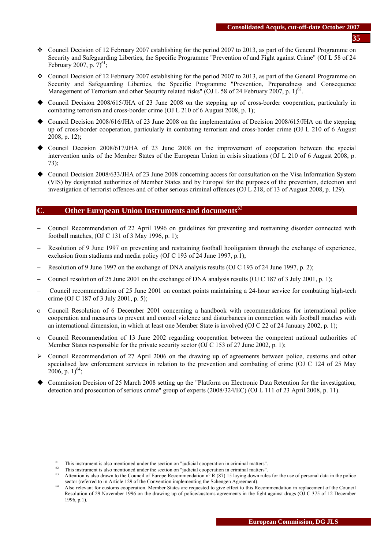- Council Decision of 12 February 2007 establishing for the period 2007 to 2013, as part of the General Programme on Security and Safeguarding Liberties, the Specific Programme "Prevention of and Fight against Crime" (OJ L 58 of 24 February 2007, p.  $7)^{61}$ ;
- Council Decision of 12 February 2007 establishing for the period 2007 to 2013, as part of the General Programme on Security and Safeguarding Liberties, the Specific Programme "Prevention, Preparedness and Consequence Management of Terrorism and other Security related risks" (OJ L 58 of 24 February 2007, p. 1)<sup>62</sup>.
- Council Decision 2008/615/JHA of 23 June 2008 on the stepping up of cross-border cooperation, particularly in combating terrorism and cross-border crime (OJ L 210 of 6 August 2008, p. 1);
- Council Decision 2008/616/JHA of 23 June 2008 on the implementation of Decision 2008/615/JHA on the stepping up of cross-border cooperation, particularly in combating terrorism and cross-border crime (OJ L 210 of 6 August 2008, p. 12);
- Council Decision 2008/617/JHA of 23 June 2008 on the improvement of cooperation between the special intervention units of the Member States of the European Union in crisis situations (OJ L 210 of 6 August 2008, p. 73);
- Council Decision 2008/633/JHA of 23 June 2008 concerning access for consultation on the Visa Information System (VIS) by designated authorities of Member States and by Europol for the purposes of the prevention, detection and investigation of terrorist offences and of other serious criminal offences (OJ L 218, of 13 of August 2008, p. 129).

### **C. Other European Union Instruments and documents**<sup>63</sup>

- − Council Recommendation of 22 April 1996 on guidelines for preventing and restraining disorder connected with football matches, (OJ C 131 of 3 May 1996, p. 1);
- Resolution of 9 June 1997 on preventing and restraining football hooliganism through the exchange of experience, exclusion from stadiums and media policy (OJ C 193 of 24 June 1997, p.1);
- Resolution of 9 June 1997 on the exchange of DNA analysis results (OJ C 193 of 24 June 1997, p. 2);
- − Council resolution of 25 June 2001 on the exchange of DNA analysis results (OJ C 187 of 3 July 2001, p. 1);
- − Council recommendation of 25 June 2001 on contact points maintaining a 24-hour service for combating high-tech crime (OJ C 187 of 3 July 2001, p. 5);
- ο Council Resolution of 6 December 2001 concerning a handbook with recommendations for international police cooperation and measures to prevent and control violence and disturbances in connection with football matches with an international dimension, in which at least one Member State is involved (OJ C 22 of 24 January 2002, p. 1);
- ο Council Recommendation of 13 June 2002 regarding cooperation between the competent national authorities of Member States responsible for the private security sector (OJ C 153 of 27 June 2002, p. 1);
- $\triangleright$  Council Recommendation of 27 April 2006 on the drawing up of agreements between police, customs and other specialised law enforcement services in relation to the prevention and combating of crime (OJ C 124 of 25 May 2006, p. 1)<sup>64</sup>;
- Commission Decision of 25 March 2008 setting up the "Platform on Electronic Data Retention for the investigation, detection and prosecution of serious crime" group of experts (2008/324/EC) (OJ L 111 of 23 April 2008, p. 11).

<sup>&</sup>lt;sup>61</sup> This instrument is also mentioned under the section on "judicial cooperation in criminal matters".<br><sup>62</sup> This instrument is also mentioned under the section on "judicial cooperation in criminal matters".<br><sup>63</sup> Attentio

Also relevant for customs cooperation. Member States are requested to give effect to this Recommendation in replacement of the Council Resolution of 29 November 1996 on the drawing up of police/customs agreements in the fight against drugs (OJ C 375 of 12 December 1996, p.1).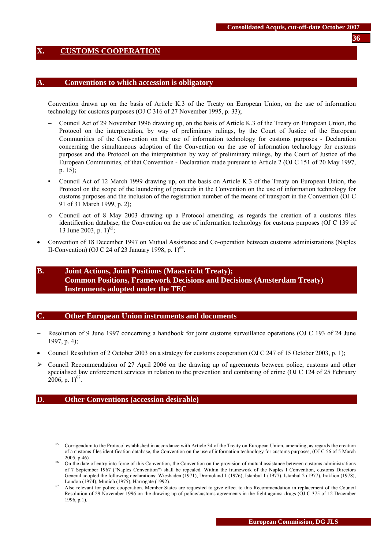### <span id="page-35-0"></span>**X. CUSTOMS COOPERATION**

### **A. Conventions to which accession is obligatory**

- − Convention drawn up on the basis of Article K.3 of the Treaty on European Union, on the use of information technology for customs purposes (OJ C 316 of 27 November 1995, p. 33);
	- − Council Act of 29 November 1996 drawing up, on the basis of Article K.3 of the Treaty on European Union, the Protocol on the interpretation, by way of preliminary rulings, by the Court of Justice of the European Communities of the Convention on the use of information technology for customs purposes - Declaration concerning the simultaneous adoption of the Convention on the use of information technology for customs purposes and the Protocol on the interpretation by way of preliminary rulings, by the Court of Justice of the European Communities, of that Convention - Declaration made pursuant to Article 2 (OJ C 151 of 20 May 1997, p. 15);
	- Council Act of 12 March 1999 drawing up, on the basis on Article K.3 of the Treaty on European Union, the Protocol on the scope of the laundering of proceeds in the Convention on the use of information technology for customs purposes and the inclusion of the registration number of the means of transport in the Convention (OJ C 91 of 31 March 1999, p. 2);
	- o Council act of 8 May 2003 drawing up a Protocol amending, as regards the creation of a customs files identification database, the Convention on the use of information technology for customs purposes (OJ C 139 of 13 June 2003, p.  $1)^{65}$ ;
- Convention of 18 December 1997 on Mutual Assistance and Co-operation between customs administrations (Naples II-Convention) (OJ C 24 of 23 January 1998, p.  $1$ )<sup>66</sup>.

# **B. Joint Actions, Joint Positions (Maastricht Treaty); Common Positions, Framework Decisions and Decisions (Amsterdam Treaty) Instruments adopted under the TEC**

#### **C. Other European Union instruments and documents**

- − Resolution of 9 June 1997 concerning a handbook for joint customs surveillance operations (OJ C 193 of 24 June 1997, p. 4);
- Council Resolution of 2 October 2003 on a strategy for customs cooperation (OJ C 247 of 15 October 2003, p. 1);
- $\triangleright$  Council Recommendation of 27 April 2006 on the drawing up of agreements between police, customs and other specialised law enforcement services in relation to the prevention and combating of crime (OJ C 124 of 25 February 2006, p.  $1)^{67}$ .

#### **D. Other Conventions (accession desirable)**

 <sup>65</sup> Corrigendum to the Protocol established in accordance with Article 34 of the Treaty on European Union, amending, as regards the creation of a customs files identification database, the Convention on the use of information technology for customs purposes, (OJ C 56 of 5 March 2005, p.46).<br>On the date of entry into force of this Convention, the Convention on the provision of mutual assistance between customs administrations

of 7 September 1967 ("Naples Convention") shall be repealed. Within the framework of the Naples I Convention, customs Directors General adopted the following declarations: Wiesbaden (1971), Dromoland 1 (1976), Istanbul 1 (1977), Istanbul 2 (1977), Iraklion (1978),

London (1974), Munich (1975), Harrogate (1992).<br><sup>67</sup> Also relevant for police cooperation. Member States are requested to give effect to this Recommendation in replacement of the Council Resolution of 29 November 1996 on the drawing up of police/customs agreements in the fight against drugs (OJ C 375 of 12 December 1996, p.1).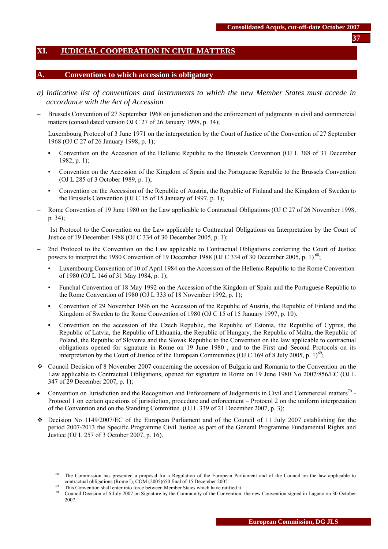# <span id="page-36-0"></span>**XI. JUDICIAL COOPERATION IN CIVIL MATTERS**

#### **A. Conventions to which accession is obligatory**

- *a) Indicative list of conventions and instruments to which the new Member States must accede in accordance with the Act of Accession*
- Brussels Convention of 27 September 1968 on jurisdiction and the enforcement of judgments in civil and commercial matters (consolidated version OJ C 27 of 26 January 1998, p. 34);
- Luxembourg Protocol of 3 June 1971 on the interpretation by the Court of Justice of the Convention of 27 September 1968 (OJ C 27 of 26 January 1998, p. 1);
	- Convention on the Accession of the Hellenic Republic to the Brussels Convention (OJ L 388 of 31 December 1982, p. 1);
	- Convention on the Accession of the Kingdom of Spain and the Portuguese Republic to the Brussels Convention (OJ L 285 of 3 October 1989, p. 1);
	- Convention on the Accession of the Republic of Austria, the Republic of Finland and the Kingdom of Sweden to the Brussels Convention (OJ C 15 of 15 January of 1997, p. 1);
- Rome Convention of 19 June 1980 on the Law applicable to Contractual Obligations (OJ C 27 of 26 November 1998, p. 34);
- − 1st Protocol to the Convention on the Law applicable to Contractual Obligations on Interpretation by the Court of Justice of 19 December 1988 (OJ C 334 of 30 December 2005, p. 1);
- 2nd Protocol to the Convention on the Law applicable to Contractual Obligations conferring the Court of Justice powers to interpret the 1980 Convention of 19 December 1988 (OJ C 334 of 30 December 2005, p. 1)<sup>68</sup>;
	- Luxembourg Convention of 10 of April 1984 on the Accession of the Hellenic Republic to the Rome Convention of 1980 (OJ L 146 of 31 May 1984, p. 1);
	- Funchal Convention of 18 May 1992 on the Accession of the Kingdom of Spain and the Portuguese Republic to the Rome Convention of 1980 (OJ L 333 of 18 November 1992, p. 1);
	- Convention of 29 November 1996 on the Accession of the Republic of Austria, the Republic of Finland and the Kingdom of Sweden to the Rome Convention of 1980 (OJ C 15 of 15 January 1997, p. 10).
	- Convention on the accession of the Czech Republic, the Republic of Estonia, the Republic of Cyprus, the Republic of Latvia, the Republic of Lithuania, the Republic of Hungary, the Republic of Malta, the Republic of Poland, the Republic of Slovenia and the Slovak Republic to the Convention on the law applicable to contractual obligations opened for signature in Rome on 19 June 1980 , and to the First and Second Protocols on its interpretation by the Court of Justice of the European Communities (OJ C 169 of 8 July 2005, p. 1)<sup>69</sup>;
- Council Decision of 8 November 2007 concerning the accession of Bulgaria and Romania to the Convention on the Law applicable to Contractual Obligations, opened for signature in Rome on 19 June 1980 No 2007/856/EC (OJ L 347 of 29 December 2007, p. 1);
- Convention on Jurisdiction and the Recognition and Enforcement of Judgements in Civil and Commercial matters<sup>70</sup> -Protocol 1 on certain questions of jurisdiction, procedure and enforcement – Protocol 2 on the uniform interpretation of the Convention and on the Standing Committee. (OJ L 339 of 21 December 2007, p. 3);
- Decision No 1149/2007/EC of the European Parliament and of the Council of 11 July 2007 establishing for the period 2007-2013 the Specific Programme Civil Justice as part of the General Programme Fundamental Rights and Justice (OJ L 257 of 3 October 2007, p. 16).

The Commission has presented a proposal for a Regulation of the European Parliament and of the Council on the law applicable to contractual obligations (Rome I), COM (2005)650 final of 15 December 2005.

This Convention shall enter into force between Member States which have ratified it.<br>Council Decision of 6 July 2007 on Signature by the Community of the Convention; the new Convention signed in Lugano on 30 October 2007.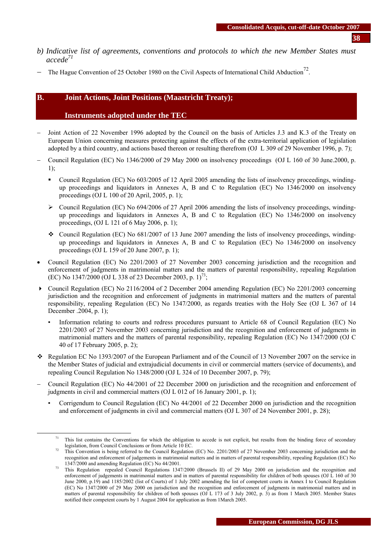- **38**
- *b) Indicative list of agreements, conventions and protocols to which the new Member States must accede71*
- The Hague Convention of 25 October 1980 on the Civil Aspects of International Child Abduction<sup>72</sup>.

## **B. Joint Actions, Joint Positions (Maastricht Treaty);**

## **Instruments adopted under the TEC**

- − Joint Action of 22 November 1996 adopted by the Council on the basis of Articles J.3 and K.3 of the Treaty on European Union concerning measures protecting against the effects of the extra-territorial application of legislation adopted by a third country, and actions based thereon or resulting therefrom (OJ L 309 of 29 November 1996, p. 7);
- − Council Regulation (EC) No 1346/2000 of 29 May 2000 on insolvency proceedings (OJ L 160 of 30 June.2000, p. 1);
	- Council Regulation (EC) No 603/2005 of 12 April 2005 amending the lists of insolvency proceedings, windingup proceedings and liquidators in Annexes A, B and C to Regulation (EC) No 1346/2000 on insolvency proceedings (OJ L 100 of 20 April, 2005, p. 1);
	- ¾ Council Regulation (EC) No 694/2006 of 27 April 2006 amending the lists of insolvency proceedings, windingup proceedings and liquidators in Annexes A, B and C to Regulation (EC) No 1346/2000 on insolvency proceedings, (OJ L 121 of 6 May 2006, p. 1);
	- Council Regulation (EC) No  $681/2007$  of 13 June 2007 amending the lists of insolvency proceedings, windingup proceedings and liquidators in Annexes A, B and C to Regulation (EC) No 1346/2000 on insolvency proceedings (OJ L 159 of 20 June 2007, p. 1);
- Council Regulation (EC) No 2201/2003 of 27 November 2003 concerning jurisdiction and the recognition and enforcement of judgments in matrimonial matters and the matters of parental responsibility, repealing Regulation (EC) No 1347/2000 (OJ L 338 of 23 December 2003, p.  $1<sup>73</sup>$ ;
- Council Regulation (EC) No 2116/2004 of 2 December 2004 amending Regulation (EC) No 2201/2003 concerning jurisdiction and the recognition and enforcement of judgments in matrimonial matters and the matters of parental responsibility, repealing Regulation (EC) No 1347/2000, as regards treaties with the Holy See (OJ L 367 of 14 December .2004, p. 1);
	- Information relating to courts and redress procedures pursuant to Article 68 of Council Regulation (EC) No 2201/2003 of 27 November 2003 concerning jurisdiction and the recognition and enforcement of judgments in matrimonial matters and the matters of parental responsibility, repealing Regulation (EC) No 1347/2000 (OJ C 40 of 17 February 2005, p. 2);
- Regulation EC No 1393/2007 of the European Parliament and of the Council of 13 November 2007 on the service in the Member States of judicial and extrajudicial documents in civil or commercial matters (service of documents), and repealing Council Regulation No 1348/2000 (OJ L 324 of 10 December 2007, p. 79);
- − Council Regulation (EC) No 44/2001 of 22 December 2000 on jurisdiction and the recognition and enforcement of judgments in civil and commercial matters (OJ L 012 of 16 January 2001, p. 1);
	- Corrigendum to Council Regulation (EC) No 44/2001 of 22 December 2000 on jurisdiction and the recognition and enforcement of judgments in civil and commercial matters (OJ L 307 of 24 November 2001, p. 28);

<sup>&</sup>lt;sup>71</sup> This list contains the Conventions for which the obligation to accede is not explicit, but results from the binding force of secondary

legislation, from Council Conclusions or from Article 10 EC.<br>This Convention is being referred to the Council Regulation (EC) No. 2201/2003 of 27 November 2003 concerning jurisdiction and the recognition and enforcement of judgements in matrimonial matters and in matters of parental responsibility, repealing Regulation (EC) No

<sup>1347/2000</sup> and amending Regulation (EC) No 44/2001.<br>This Regulation repealed Council Regulations 1347/2000 (Brussels II) of 29 May 2000 on jurisdiction and the recognition and enforcement of judgements in matrimonial matters and in matters of parental responsibility for children of both spouses (OJ L 160 of 30 June 2000, p.19) and 1185/2002 (list of Courts) of 1 July 2002 amending the list of competent courts in Annex I to Council Regulation (EC) No 1347/2000 of 29 May 2000 on jurisdiction and the recognition and enforcement of judgments in matrimonial matters and in matters of parental responsibility for children of both spouses (OJ L 173 of 3 July 2002, p. 3) as from 1 March 2005. Member States notified their competent courts by 1 August 2004 for application as from 1March 2005.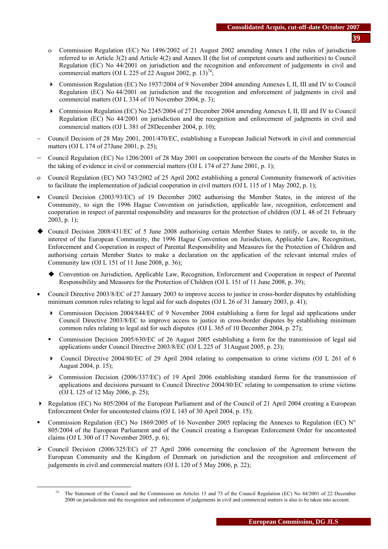- ο Commission Regulation (EC) No 1496/2002 of 21 August 2002 amending Annex I (the rules of jurisdiction referred to in Article 3(2) and Article 4(2) and Annex II (the list of competent courts and authorities) to Council Regulation (EC) No 44/2001 on jurisdiction and the recognition and enforcement of judgements in civil and commercial matters (OJ L 225 of 22 August 2002, p. 13)<sup>74</sup>;
- Commission Regulation (EC) No 1937/2004 of 9 November 2004 amending Annexes I, II, III and IV to Council Regulation (EC) No 44/2001 on jurisdiction and the recognition and enforcement of judgments in civil and commercial matters (OJ L 334 of 10 November 2004, p. 3);
- Commission Regulation (EC) No 2245/2004 of 27 December 2004 amending Annexes I, II, III and IV to Council Regulation (EC) No 44/2001 on jurisdiction and the recognition and enforcement of judgments in civil and commercial matters (OJ L 381 of 28December 2004, p. 10);
- − Council Decision of 28 May 2001, 2001/470/EC, establishing a European Judicial Network in civil and commercial matters (OJ L 174 of 27June 2001, p. 25);
- − Council Regulation (EC) No 1206/2001 of 28 May 2001 on cooperation between the courts of the Member States in the taking of evidence in civil or commercial matters (OJ L 174 of 27 June 2001, p. 1);
- ο Council Regulation (EC) NO 743/2002 of 25 April 2002 establishing a general Community framework of activities to facilitate the implementation of judicial cooperation in civil matters (OJ L 115 of 1 May 2002, p. 1);
- Council Decision (2003/93/EC) of 19 December 2002 authorising the Member States, in the interest of the Community, to sign the 1996 Hague Convention on jurisdiction, applicable law, recognition, enforcement and cooperation in respect of parental responsibility and measures for the protection of children (OJ L 48 of 21 February  $2003$ , p. 1);
- Council Decision 2008/431/EC of 5 June 2008 authorising certain Member States to ratify, or accede to, in the interest of the European Community, the 1996 Hague Convention on Jurisdiction, Applicable Law, Recognition, Enforcement and Cooperation in respect of Parental Responsibility and Measures for the Protection of Children and authorising certain Member States to make a declaration on the application of the relevant internal rrules of Community law (OJ L 151 of 11 June 2008, p. 36);
	- Convention on Jurisdiction, Applicable Law, Recognition, Enforcement and Cooperation in respect of Parental Responsibility and Measures for the Protection of Children (OJ L 151 of 11 June 2008, p. 39);
- Council Directive 2003/8/EC of 27 January 2003 to improve access to justice in cross-border disputes by establishing minimum common rules relating to legal aid for such disputes (OJ L 26 of 31 January 2003, p. 41);
	- Commission Decision 2004/844/EC of 9 November 2004 establishing a form for legal aid applications under Council Directive 2003/8/EC to improve access to justice in cross-border disputes by establishing minimum common rules relating to legal aid for such disputes (OJ L 365 of 10 December 2004, p. 27);
	- Commission Decision 2005/630/EC of 26 August 2005 establishing a form for the transmission of legal aid applications under Council Directive 2003/8/EC (OJ L 225 of 31August 2005, p. 23);
	- Council Directive 2004/80/EC of 29 April 2004 relating to compensation to crime victims (OJ L 261 of 6 August 2004, p. 15);
	- $\geq$  Commission Decision (2006/337/EC) of 19 April 2006 establishing standard forms for the transmission of applications and decisions pursuant to Council Directive 2004/80/EC relating to compensation to crime victims (OJ L 125 of 12 May 2006, p. 25);
- Regulation (EC) No 805/2004 of the European Parliament and of the Council of 21 April 2004 creating a European Enforcement Order for uncontested claims (OJ L 143 of 30 April 2004, p. 15);
- Commission Regulation (EC) No 1869/2005 of 16 November 2005 replacing the Annexes to Regulation (EC)  $N^{\circ}$ 805/2004 of the European Parliament and of the Council creating a European Enforcement Order for uncontested claims (OJ L 300 of 17 November 2005, p. 6);
- $\triangleright$  Council Decision (2006/325/EC) of 27 April 2006 concerning the conclusion of the Agreement between the European Community and the Kingdom of Denmark on jurisdiction and the recognition and enforcement of judgements in civil and commercial matters (OJ L 120 of 5 May 2006, p. 22);

<sup>&</sup>lt;sup>74</sup> The Statement of the Council and the Commission on Articles 15 and 73 of the Council Regulation (EC) No 44/2001 of 22 December 2000 on jurisdiction and the recognition and enforcement of judgements in civil and commercial matters is also to be taken into account.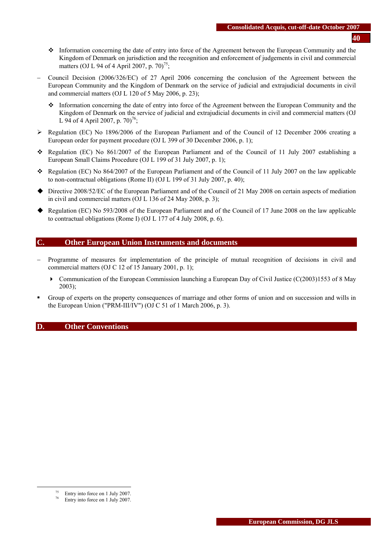- Information concerning the date of entry into force of the Agreement between the European Community and the Kingdom of Denmark on jurisdiction and the recognition and enforcement of judgements in civil and commercial matters (OJ L 94 of 4 April 2007, p. 70)<sup>75</sup>;
- − Council Decision (2006/326/EC) of 27 April 2006 concerning the conclusion of the Agreement between the European Community and the Kingdom of Denmark on the service of judicial and extrajudicial documents in civil and commercial matters (OJ L 120 of 5 May 2006, p. 23);
	- Information concerning the date of entry into force of the Agreement between the European Community and the Kingdom of Denmark on the service of judicial and extrajudicial documents in civil and commercial matters (OJ L 94 of 4 April 2007, p.  $70^{76}$ ;
- ¾ Regulation (EC) No 1896/2006 of the European Parliament and of the Council of 12 December 2006 creating a European order for payment procedure (OJ L 399 of 30 December 2006, p. 1);
- Regulation (EC) No  $861/2007$  of the European Parliament and of the Council of 11 July 2007 establishing a European Small Claims Procedure (OJ L 199 of 31 July 2007, p. 1);
- Regulation (EC) No 864/2007 of the European Parliament and of the Council of 11 July 2007 on the law applicable to non-contractual obligations (Rome II) (OJ L 199 of 31 July 2007, p. 40);
- Directive 2008/52/EC of the European Parliament and of the Council of 21 May 2008 on certain aspects of mediation in civil and commercial matters (OJ L 136 of 24 May 2008, p. 3);
- ◆ Regulation (EC) No 593/2008 of the European Parliament and of the Council of 17 June 2008 on the law applicable to contractual obligations (Rome I) (OJ L 177 of 4 July 2008, p. 6).

# **C. Other European Union Instruments and documents**

- − Programme of measures for implementation of the principle of mutual recognition of decisions in civil and commercial matters (OJ C 12 of 15 January 2001, p. 1);
	- $\triangleright$  Communication of the European Commission launching a European Day of Civil Justice (C(2003)1553 of 8 May 2003);
- Group of experts on the property consequences of marriage and other forms of union and on succession and wills in the European Union ("PRM-III/IV") (OJ C 51 of 1 March 2006, p. 3).

### **D. Other Conventions**

 <sup>75</sup> Entry into force on 1 July 2007.

Entry into force on 1 July 2007.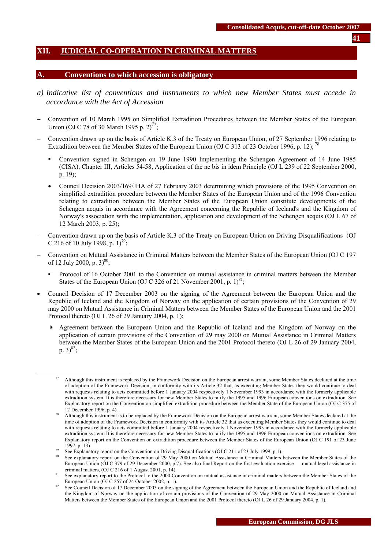### <span id="page-40-0"></span>**XII. JUDICIAL CO-OPERATION IN CRIMINAL MATTERS**

#### **A. Conventions to which accession is obligatory**

- *a) Indicative list of conventions and instruments to which new Member States must accede in accordance with the Act of Accession*
- − Convention of 10 March 1995 on Simplified Extradition Procedures between the Member States of the European Union (OJ C 78 of 30 March 1995 p. 2)<sup>77</sup>;
- − Convention drawn up on the basis of Article K.3 of the Treaty on European Union, of 27 September 1996 relating to Extradition between the Member States of the European Union (OJ C 313 of 23 October 1996, p. 12); <sup>78</sup>
	- Convention signed in Schengen on 19 June 1990 Implementing the Schengen Agreement of 14 June 1985 (CISA), Chapter III, Articles 54-58, Application of the ne bis in idem Principle (OJ L 239 of 22 September 2000, p. 19);
	- Council Decision 2003/169/JHA of 27 February 2003 determining which provisions of the 1995 Convention on simplified extradition procedure between the Member States of the European Union and of the 1996 Convention relating to extradition between the Member States of the European Union constitute developments of the Schengen acquis in accordance with the Agreement concerning the Republic of Iceland's and the Kingdom of Norway's association with the implementation, application and development of the Schengen acquis (OJ L 67 of 12 March 2003, p. 25);
- − Convention drawn up on the basis of Article K.3 of the Treaty on European Union on Driving Disqualifications (OJ C 216 of 10 July 1998, p.  $1)^{79}$ ;
- − Convention on Mutual Assistance in Criminal Matters between the Member States of the European Union (OJ C 197 of 12 July 2000, p.  $3^{80}$ ;
	- Protocol of 16 October 2001 to the Convention on mutual assistance in criminal matters between the Member States of the European Union (OJ C 326 of 21 November 2001, p.  $1)^{81}$ ;
- Council Decision of 17 December 2003 on the signing of the Agreement between the European Union and the Republic of Iceland and the Kingdom of Norway on the application of certain provisions of the Convention of 29 may 2000 on Mutual Assistance in Criminal Matters between the Member States of the European Union and the 2001 Protocol thereto (OJ L 26 of 29 January 2004, p. 1);
	- Agreement between the European Union and the Republic of Iceland and the Kingdom of Norway on the application of certain provisions of the Convention of 29 may 2000 on Mutual Assistance in Criminal Matters between the Member States of the European Union and the 2001 Protocol thereto (OJ L 26 of 29 January 2004, p.  $3)^{82}$ ;

Although this instrument is replaced by the Framework Decision on the European arrest warrant, some Member States declared at the time of adoption of the Framework Decision, in conformity with its Article 32 that, as executing Member States they would continue to deal with requests relating to acts committed before 1 January 2004 respectively 1 November 1993 in accordance with the formerly applicable extradition system. It is therefore necessary for new Member States to ratify the 1995 and 1996 European conventions on extradition. See Explanatory report on the Convention on simplified extradition procedure between the Member State of the European Union (OJ C 375 of 12 December 1996, p. 4).<br>Although this instrument is to be replaced by the Framework Decision on the European arrest warrant, some Member States declared at the

time of adoption of the Framework Decision in conformity with its Article 32 that as executing Member States they would continue to deal with requests relating to acts committed before 1 January 2004 respectively 1 November 1993 in accordance with the formerly applicable extradition system. It is therefore necessary for new Member States to ratify the 1995 and 1996 European conventions on extradition. See Explanatory report on the Convention on extradition procedure between the Member States of the European Union (OJ C 191 of 23 June

<sup>1997,</sup> p. 13).<br>See Explanatory report on the Convention on Driving Disqualifications (OJ C 211 of 23 July 1999, p.1).<br>See explanatory report on the Convention of 29 May 2000 on Mutual Assistance in Criminal Matters between European Union (OJ C 379 of 29 December 2000, p.7). See also final Report on the first evaluation exercise — mutual legal assistance in

criminal matters, (OJ C 216 of 1 August 2001, p. 14).<br>See explanatory report to the Protocol to the 2000 Convention on mutual assistance in criminal matters between the Member States of the<br>European Union (OJ C 257 of 24 O

<sup>&</sup>lt;sup>82</sup> See Council Decision of 17 December 2003 on the signing of the Agreement between the European Union and the Republic of Iceland and the Kingdom of Norway on the application of certain provisions of the Convention of 29 May 2000 on Mutual Assistance in Criminal Matters between the Member States of the European Union and the 2001 Protocol thereto (OJ L 26 of 29 January 2004, p. 1).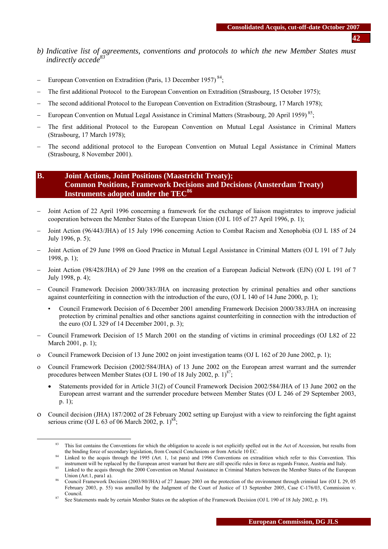- *b) Indicative list of agreements, conventions and protocols to which the new Member States must indirectly accede83*
- − European Convention on Extradition (Paris, 13 December 1957)<sup>84</sup>;
- The first additional Protocol to the European Convention on Extradition (Strasbourg, 15 October 1975);
- The second additional Protocol to the European Convention on Extradition (Strasbourg, 17 March 1978);
- − European Convention on Mutual Legal Assistance in Criminal Matters (Strasbourg, 20 April 1959)<sup>85</sup>;
- The first additional Protocol to the European Convention on Mutual Legal Assistance in Criminal Matters (Strasbourg, 17 March 1978);
- The second additional protocol to the European Convention on Mutual Legal Assistance in Criminal Matters (Strasbourg, 8 November 2001).

# **B. Joint Actions, Joint Positions (Maastricht Treaty); Common Positions, Framework Decisions and Decisions (Amsterdam Treaty) Instruments adopted under the TEC<sup>86</sup>**

- − Joint Action of 22 April 1996 concerning a framework for the exchange of liaison magistrates to improve judicial cooperation between the Member States of the European Union (OJ L 105 of 27 April 1996, p. 1);
- − Joint Action (96/443/JHA) of 15 July 1996 concerning Action to Combat Racism and Xenophobia (OJ L 185 of 24 July 1996, p. 5);
- − Joint Action of 29 June 1998 on Good Practice in Mutual Legal Assistance in Criminal Matters (OJ L 191 of 7 July 1998, p. 1);
- − Joint Action (98/428/JHA) of 29 June 1998 on the creation of a European Judicial Network (EJN) (OJ L 191 of 7 July 1998, p. 4);
- − Council Framework Decision 2000/383/JHA on increasing protection by criminal penalties and other sanctions against counterfeiting in connection with the introduction of the euro, (OJ L 140 of 14 June 2000, p. 1);
	- Council Framework Decision of 6 December 2001 amending Framework Decision 2000/383/JHA on increasing protection by criminal penalties and other sanctions against counterfeiting in connection with the introduction of the euro (OJ L 329 of 14 December 2001, p. 3);
- − Council Framework Decision of 15 March 2001 on the standing of victims in criminal proceedings (OJ L82 of 22 March 2001, p. 1);
- ο Council Framework Decision of 13 June 2002 on joint investigation teams (OJ L 162 of 20 June 2002, p. 1);
- ο Council Framework Decision (2002/584/JHA) of 13 June 2002 on the European arrest warrant and the surrender procedures between Member States (OJ L 190 of 18 July 2002, p.  $1)^{87}$ ;
	- Statements provided for in Article 31(2) of Council Framework Decision 2002/584/JHA of 13 June 2002 on the European arrest warrant and the surrender procedure between Member States (OJ L 246 of 29 September 2003, p. 1);
- ο Council decision (JHA) 187/2002 of 28 February 2002 setting up Eurojust with a view to reinforcing the fight against serious crime (OJ L 63 of 06 March 2002, p. 1)<sup>88</sup>;

<sup>&</sup>lt;sup>83</sup> This list contains the Conventions for which the obligation to accede is not explicitly spelled out in the Act of Accession, but results from the binding force of secondary legislation, from Council Conclusions or fro

Linked to the acquis through the 1995 (Art. 1, 1st para) and 1996 Conventions on extradition which refer to this Convention. This instrument will be [replaced by the European arrest warrant bu](http://europa.eu.int/smartapi/cgi/sga_doc?smartapi!celexapi!prod!CELEXnumdoc&lg=EN&numdoc=32000D0799&model=guichett)t there are still specific rules in force as regards France, Austria and Italy.<br>Linked to the acqu[is through the 2000 Convention on Mutual](http://europa.eu.int/smartapi/cgi/sga_doc?smartapi!celexapi!prod!CELEXnumdoc&lg=EN&numdoc=32000D0799&model=guichett) Assistance in Criminal

Union (Art.1, para1 a).<br>Council Framework Decision (2003/80/JHA) of 27 January 2003 on the protection of the environment through criminal law (OJ L 29, 05

February 2003, p. 55) was annulled by the Judgment of the Court of Justice of 13 September 2005, Case C-176/03, Commission v. Council. 87 See Statements made by certain Member States on the adoption of the Framework Decision (OJ L 190 of 18 July 2002, p. 19).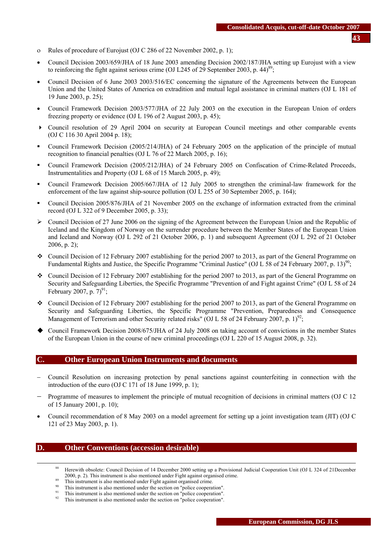- ο Rules of procedure of Eurojust (OJ C 286 of 22 November 2002, p. 1);
- Council Decision 2003/659/JHA of 18 June 2003 amending Decision 2002/187/JHA setting up Eurojust with a view to reinforcing the fight against serious crime (OJ L245 of 29 September 2003, p. 44)<sup>89</sup>;
- Council Decision of 6 June 2003 2003/516/EC concerning the signature of the Agreements between the European Union and the United States of America on extradition and mutual legal assistance in criminal matters (OJ L 181 of 19 June 2003, p. 25);
- Council Framework Decision 2003/577/JHA of 22 July 2003 on the execution in the European Union of orders freezing property or evidence (OJ L 196 of 2 August 2003, p. 45);
- Council resolution of 29 April 2004 on security at European Council meetings and other comparable events (OJ C 116 30 April 2004 p. 18);
- Council Framework Decision (2005/214/JHA) of 24 February 2005 on the application of the principle of mutual recognition to financial penalties (OJ L 76 of 22 March 2005, p. 16);
- Council Framework Decision (2005/212/JHA) of 24 February 2005 on Confiscation of Crime-Related Proceeds, Instrumentalities and Property (OJ L 68 of 15 March 2005, p. 49);
- Council Framework Decision 2005/667/JHA of 12 July 2005 to strengthen the criminal-law framework for the enforcement of the law against ship-source pollution (OJ L 255 of 30 September 2005, p. 164);
- Council Decision 2005/876/JHA of 21 November 2005 on the exchange of information extracted from the criminal record (OJ L 322 of 9 December 2005, p. 33);
- $\triangleright$  Council Decision of 27 June 2006 on the signing of the Agreement between the European Union and the Republic of Iceland and the Kingdom of Norway on the surrender procedure between the Member States of the European Union and Iceland and Norway (OJ L 292 of 21 October 2006, p. 1) and subsequent Agreement (OJ L 292 of 21 October 2006, p. 2);
- Council Decision of 12 February 2007 establishing for the period 2007 to 2013, as part of the General Programme on Fundamental Rights and Justice, the Specific Programme "Criminal Justice" (OJ L 58 of 24 February 2007, p. 13)<sup>90</sup>;
- Council Decision of 12 February 2007 establishing for the period 2007 to 2013, as part of the General Programme on Security and Safeguarding Liberties, the Specific Programme "Prevention of and Fight against Crime" (OJ L 58 of 24 February 2007, p.  $7)^{91}$ ;
- Council Decision of 12 February 2007 establishing for the period 2007 to 2013, as part of the General Programme on Security and Safeguarding Liberties, the Specific Programme "Prevention, Preparedness and Consequence Management of Terrorism and other Security related risks" (OJ L 58 of 24 February 2007, p. 1)<sup>92</sup>;
- Council Framework Decision 2008/675/JHA of 24 July 2008 on taking account of convictions in the member States of the European Union in the course of new criminal proceedings (OJ L 220 of 15 August 2008, p. 32).

#### **C. Other European Union Instruments and documents**

- − Council Resolution on increasing protection by penal sanctions against counterfeiting in connection with the introduction of the euro (OJ C 171 of 18 June 1999, p. 1);
- − Programme of measures to implement the principle of mutual recognition of decisions in criminal matters (OJ C 12 of 15 January 2001, p. 10);
- Council recommendation of 8 May 2003 on a model agreement for setting up a joint investigation team (JIT) (OJ C 121 of 23 May 2003, p. 1).

### **D. Other Conventions (accession desirable)**

- 88 Herewith obsolete: Council Decision of 14 December 2000 setting up a Provisional Judicial Cooperation Unit (OJ L 324 of 21December
- 
- 
- 2000, p. 2). This instrument is also mentioned under Fight against organised crime.<br><sup>89</sup> This instrument is also mentioned under Fight against organised crime.<br><sup>90</sup> This instrument is also mentioned under the section on "
-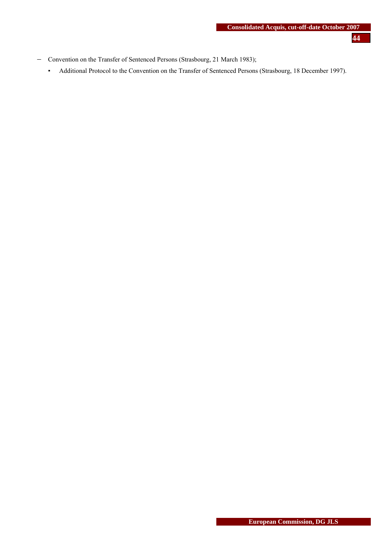- − Convention on the Transfer of Sentenced Persons (Strasbourg, 21 March 1983);
	- Additional Protocol to the Convention on the Transfer of Sentenced Persons (Strasbourg, 18 December 1997).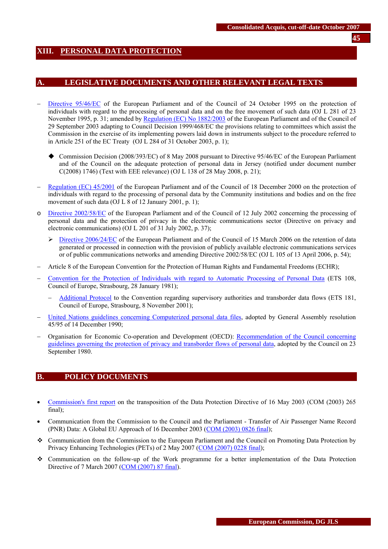# <span id="page-44-0"></span>**XIII. PERSONAL DATA PROTECTION**

### **A. LEGISLATIVE DOCUMENTS AND OTHER RELEVANT LEGAL TEXTS**

- [Directive 95/46/EC](http://eur-lex.europa.eu/LexUriServ/LexUriServ.do?uri=CELEX:31995L0046:EN:HTML) of the European Parliament and of the Council of 24 October 1995 on the protection of individuals with regard to the processing of personal data and on the free movement of such data (OJ L 281 of 23 November 1995, p. 31; amended b[y Regulation \(EC\) No 1882/2003 o](http://eur-lex.europa.eu/LexUriServ/LexUriServ.do?uri=CELEX:32003R1882:EN:HTML)f the European Parliament and of the Council of 29 September 2003 adapting to Council Decision 1999/468/EC the provisions relating to committees which assist the Commission in the exercise of its implementing powers laid down in instruments subject to the procedure referred to in Article 251 of the EC Treaty (OJ L 284 of 31 October 2003, p. 1);
	- Commission Decision (2008/393/EC) of 8 May 2008 pursuant to Directive 95/46/EC of the European Parliament and of the Council on the adequate protection of personal data in Jersey (notified under document number C(2008) 1746) (Text with EEE relevance) (OJ L 138 of 28 May 2008, p. 21);
- − [Regulation \(EC\) 45/2001](http://eur-lex.europa.eu/LexUriServ/LexUriServ.do?uri=CELEX:32001R0045:EN:HTML) of the European Parliament and of the Council of 18 December 2000 on the protection of individuals with regard to the processing of personal data by the Community institutions and bodies and on the free movement of such data (OJ L 8 of 12 January 2001, p. 1);
- o [Directive 2002/58/EC o](http://eur-lex.europa.eu/LexUriServ/LexUriServ.do?uri=CELEX:32002L0058:EN:HTML)f the European Parliament and of the Council of 12 July 2002 concerning the processing of personal data and the protection of privacy in the electronic communications sector (Directive on privacy and electronic communications) (OJ L 201 of 31 July 2002, p. 37);
	- **EXEC 5 > Directive 2006/24/EC** of the European Parliament and of the Council of 15 March 2006 on the retention of data generated or processed in connection with the provision of publicly available electronic communications services or of public communications networks and amending Directive 2002/58/EC (OJ L 105 of 13 April 2006, p. 54);
- − Article 8 of the European Convention for the Protection of Human Rights and Fundamental Freedoms (ECHR);
- − [Convention for the Protection of Individuals with regard to Automatic Processing of Personal Data](http://conventions.coe.int/Treaty/en/Treaties/Html/108.htm) (ETS 108, Council of Europe, Strasbourg, 28 January 1981);
	- − [Additional Protocol](http://conventions.coe.int/Treaty/en/Treaties/Html/181.htm) to the Convention regarding supervisory authorities and transborder data flows (ETS 181, Council of Europe, Strasbourg, 8 November 2001);
- − [United Nations guidelines concerning Computerized personal data files,](http://www.unhchr.ch/html/menu3/b/71.htm) adopted by General Assembly resolution 45/95 of 14 December 1990;
- − Organisation for Economic Co-operation and Development (OECD)[: Recommendation of the Council concerning](http://www.oecd.org/document/18/0,2340,en_2649_34255_1815186_1_1_1_1,00.html)  [guidelines governing the protection of privacy and transborder flows of personal data,](http://www.oecd.org/document/18/0,2340,en_2649_34255_1815186_1_1_1_1,00.html) adopted by the Council on 23 September 1980.

# **B. POLICY DOCUMENTS**

- [Commission's first report](http://eur-lex.europa.eu/LexUriServ/LexUriServ.do?uri=CELEX:52003DC0265:EN:HTML) on the transposition of the Data Protection Directive of 16 May 2003 (COM (2003) 265 final);
- Communication from the Commission to the Council and the Parliament Transfer of Air Passenger Name Record (PNR) Data: A Global EU Approach of 16 December 2003 [\(COM \(2003\) 0826 final\)](http://eur-lex.europa.eu/LexUriServ/LexUriServ.do?uri=CELEX:52003DC0826:EN:HTML);
- Communication from the Commission to the European Parliament and the Council on Promoting Data Protection by Privacy Enhancing Technologies (PETs) of 2 May 2007 [\(COM \(2007\) 0228 final\)](http://eur-lex.europa.eu/LexUriServ/LexUriServ.do?uri=CELEX:52007DC0228:EN:NOT);
- Communication on the follow-up of the Work programme for a better implementation of the Data Protection Directive of 7 March 2007 [\(COM \(2007\) 87 final\)](http://eur-lex.europa.eu/LexUriServ/site/en/com/2007/com2007_0087en01.pdf).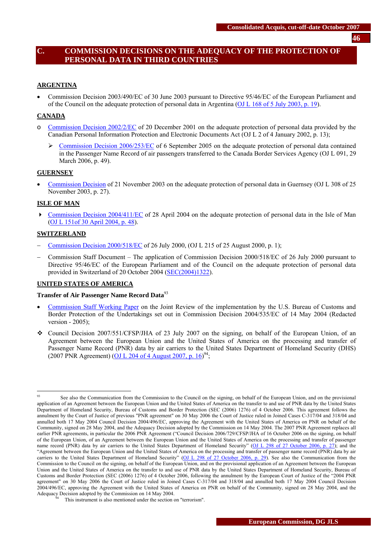# **C. COMMISSION DECISIONS ON THE ADEQUACY OF THE PROTECTION OF PERSONAL DATA IN THIRD COUNTRIES**

### **ARGENTINA**

• Commission Decision 2003/490/EC of 30 June 2003 pursuant to Directive 95/46/EC of the European Parliament and of the Council on the adequate protection of personal data in Argentina [\(OJ L 168 of 5 July 2003, p. 19\)](http://eur-lex.europa.eu/LexUriServ/site/en/oj/2003/l_168/l_16820030705en00190022.pdf).

### **CANADA**

- o [Commission Decision 2002/2/EC](http://europa.eu.int/cgi-bin/eur-lex/udl.pl?REQUEST=Seek-Deliver&COLLECTION=lif&SERVICE=all&LANGUAGE=en&DOCID=302D0002) of 20 December 2001 on the adequate protection of personal data provided by the Canadian Personal Information Protection and Electronic Documents Act (OJ L 2 of 4 January 2002, p. 13);
	- ¾ [Commission Decision 2006/253/EC o](http://eur-lex.europa.eu/LexUriServ/LexUriServ.do?uri=OJ:L:2006:091:0049:01:EN:HTML)f 6 September 2005 on the adequate protection of personal data contained in the Passenger Name Record of air passengers transferred to the Canada Border Services Agency (OJ L 091, 29 March 2006, p. 49).

#### **GUERNSEY**

• [Commission Decision o](http://europa.eu.int/smartapi/cgi/sga_doc?smartapi!celexapi!prod!CELEXnumdoc&lg=en&numdoc=32003D0821&model=guichett)f 21 November 2003 on the adequate protection of personal data in Guernsey (OJ L 308 of 25 November 2003, p. 27).

#### **ISLE OF MAN**

• [Commission Decision 2004/411/EC](http://europa.eu.int/eur-lex/lex/Notice.do?val=386873:cs&lang=en&list=386782:cs,386887:cs,386885:cs,386883:cs,386881:cs,386879:cs,386877:cs,386875:cs,386873:cs,386871:cs,&pos=9&page=1&nbl=16&pgs=10&hwords=) of 28 April 2004 on the adequate protection of personal data in the Isle of Man [\(OJ L 151of 30 April 2004, p. 48\)](http://eur-lex.europa.eu/LexUriServ/site/en/oj/2004/l_151/l_15120040430en00480051.pdf).

#### **SWITZERLAND**

- − [Commission Decision 2000/518/EC o](http://europa.eu.int/cgi-bin/eur-lex/udl.pl?REQUEST=Seek-Deliver&COLLECTION=lif&SERVICE=all&LANGUAGE=en&DOCID=300D0518)f 26 July 2000, (OJ L 215 of 25 August 2000, p. 1);
- − Commission Staff Document The application of Commission Decision 2000/518/EC of 26 July 2000 pursuant to Directive 95/46/EC of the European Parliament and of the Council on the adequate protection of personal data provided in Switzerland of 20 October 2004 [\(SEC\(2004\)1322\)](http://ec.europa.eu/justice_home/fsj/privacy/docs/adequacy/sec-2004-1322_en.pdf).

#### **UNITED STATES OF AMERICA**

#### **Transfer of Air Passenger Name Record Data**<sup>93</sup>

- [Commission Staff Working Paper](http://ec.europa.eu/justice_home/fsj/privacy/docs/adequacy/pnr/review_2005.pdf) on the Joint Review of the implementation by the U.S. Bureau of Customs and Border Protection of the Undertakings set out in Commission Decision 2004/535/EC of 14 May 2004 (Redacted version - 2005);
- $\bullet$  Council Decision 2007/551/CFSP/JHA of 23 July 2007 on the signing, on behalf of the European Union, of an Agreement between the European Union and the United States of America on the processing and transfer of Passenger Name Record (PNR) data by air carriers to the United States Department of Homeland Security (DHS) (2007 PNR Agreement) (OJ L 204 of 4 August 2007, p.  $16^{94}$ ;

 $Q<sub>3</sub>$ See also the Communication from the Commission to the Council on the signing, on behalf of the European Union, and on the provisional application of an Agreement between the European Union and the United States of America on the transfer to and use of PNR data by the United States Department of Homeland Security, Bureau of Customs and Border Protection (SEC (2006) 1276) of 4 October 2006. This agreement follows the annulment by the Court of Justice of previous "PNR agreement" on 30 May 2006 the Court of Justice ruled in Joined Cases C-317/04 and 318/04 and annulled both 17 May 2004 Council Decision 2004/496/EC, approving the Agreement with the United States of America on PNR on behalf of the Community, signed on 28 May 2004, and the Adequacy Decision adopted by the Commission on 14 May 2004. The 2007 PNR Agreement replaces all earlier PNR agreements, in particular the 2006 PNR Agreement ("Council Decision 2006/729/CFSP/JHA of 16 October 2006 on the signing, on behalf of the European Union, of an Agreement between the European Union and the United States of America on the processing and transfer of passenger name record (PNR) data by air carriers to the United States Department of Homeland Security" [\(OJ L 298 of 27 October 2006, p. 27\);](http://eur-lex.europa.eu/LexUriServ/site/en/oj/2006/l_298/l_29820061027en00270028.pdf) and the "Agreement between the European Union and the United States of America on the processing and transfer of passenger name record (PNR) data by air carriers to the United States Department of Homeland Security" [\(OJ L 298 of 27 October 2006, p. 29\).](http://eur-lex.europa.eu/LexUriServ/site/en/oj/2006/l_298/l_29820061027en00290031.pdf) See also the Communication from the Commission to the Council on the signing, on behalf of the European Union, and on the provisional application of an Agreement between the European Union and the United States of America on the transfer to and use of PNR data by the United States Department of Homeland Security, Bureau of Customs and Border Protection (SEC (2006) 1276) of 4 October 2006, following the annulment by the European Court of Justice of the "2004 PNR agreement" on 30 May 2006 the Court of Justice ruled in Joined Cases C-317/04 and 318/04 and annulled both 17 May 2004 Council Decision 2004/496/EC, approving the Agreement with the United States of America on PNR on behalf of the Community, signed on 28 May 2004, and the

This instrument is also mentioned under the section on "terrorism".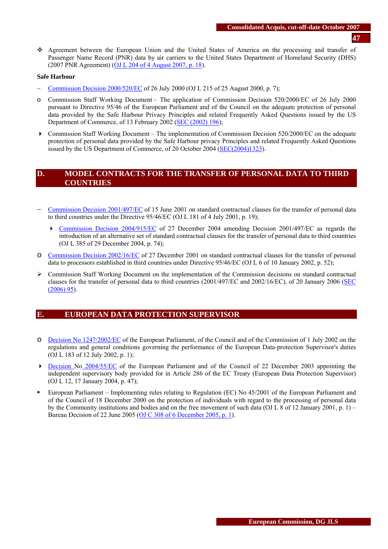Agreement between the European Union and the United States of America on the processing and transfer of Passenger Name Record (PNR) data by air carriers to the United States Department of Homeland Security (DHS) (2007 PNR Agreement) [\(OJ L 204 of 4 August 2007, p. 18\)](http://eur-lex.europa.eu/LexUriServ/LexUriServ.do?uri=OJ:L:2007:204:0018:0025:EN:PDF).

#### **Safe Harbour**

- − [Commission Decision 2000/520/EC o](http://eur-lex.europa.eu/LexUriServ/LexUriServ.do?uri=CELEX:32000D0520:EN:NOT)f 26 July 2000 (OJ L 215 of 25 August 2000, p. 7);
- o Commission Staff Working Document The application of Commission Decision 520/2000/EC of 26 July 2000 pursuant to Directive 95/46 of the European Parliament and of the Council on the adequate protection of personal data provided by the Safe Harbour Privacy Principles and related Frequently Asked Questions issued by the US Department of Commerce, of 13 February 2002 [\(SEC \(2002\) 196\)](http://ec.europa.eu/justice_home/fsj/privacy/docs/adequacy/sec-2002-196/sec-2002-196_en.pdf);
- Commission Staff Working Document The implementation of Commission Decision 520/2000/EC on the adequate protection of personal data provided by the Safe Harbour privacy Principles and related Frequently Asked Questions issued by the US Department of Commerce, of 20 October 2004 [\(SEC\(2004\)1323\)](http://ec.europa.eu/justice_home/fsj/privacy/docs/adequacy/sec-2004-1323_en.pdf).

### **D. MODEL CONTRACTS FOR THE TRANSFER OF PERSONAL DATA TO THIRD COUNTRIES**

- − [Commission Decision 2001/497/EC o](http://europa.eu.int/cgi-bin/eur-lex/udl.pl?REQUEST=Seek-Deliver&COLLECTION=lif&SERVICE=all&LANGUAGE=en&DOCID=32001D0497)f 15 June 2001 on standard contractual clauses for the transfer of personal data to third countries under the Directive 95/46/EC (OJ L 181 of 4 July 2001, p. 19);
	- [Commission Decision 2004/915/EC](http://eur-lex.europa.eu/LexUriServ/LexUriServ.do?uri=CELEX:32004D0915:EN:NOT) of 27 December 2004 amending Decision 2001/497/EC as regards the introduction of an alternative set of standard contractual clauses for the transfer of personal data to third countries (OJ L 385 of 29 December 2004, p. 74);
- o [Commission Decision 2002/16/EC o](http://eur-lex.europa.eu/LexUriServ/LexUriServ.do?uri=CELEX:32002D0016:EN:NOT)f 27 December 2001 on standard contractual clauses for the transfer of personal data to processors established in third countries under Directive 95/46/EC (OJ L 6 of 10 January 2002, p. 52);
- ¾ Commission Staff Working Document on the implementation of the Commission decisions on standard contractual clauses for the transfer of personal data to third countries (2001/497/EC and 2002/16/EC), of 20 January 2006 [\(SEC](http://ec.europa.eu/justice_home/fsj/privacy/docs/modelcontracts/sec_2006_95_en.pdf)  [\(2006\) 95\)](http://ec.europa.eu/justice_home/fsj/privacy/docs/modelcontracts/sec_2006_95_en.pdf).

### **E. EUROPEAN DATA PROTECTION SUPERVISOR**

- o [Decision No 1247/2002/EC o](http://eur-lex.europa.eu/LexUriServ/LexUriServ.do?uri=CELEX:32002D1247:EN:NOT)f the European Parliament, of the Council and of the Commission of 1 July 2002 on the regulations and general conditions governing the performance of the European Data-protection Supervisor's duties (OJ L 183 of 12 July 2002, p. 1);
- **Decision No 2004/55/EC** of the European Parliament and of the Council of 22 December 2003 appointing the independent supervisory body provided for in Article 286 of the EC Treaty (European Data Protection Supervisor) (OJ L 12, 17 January 2004, p. 47);
- European Parliament Implementing rules relating to Regulation (EC) No 45/2001 of the European Parliament and of the Council of 18 December 2000 on the protection of individuals with regard to the processing of personal data by the Community institutions and bodies and on the free movement of such data (OJ L 8 of 12 January 2001, p. 1) – Bureau Decision of 22 June 2005 [\(OJ C 308 of 6 December 2005, p. 1\)](http://eur-lex.europa.eu/LexUriServ/site/en/oj/2005/c_308/c_30820051206en00010006.pdf).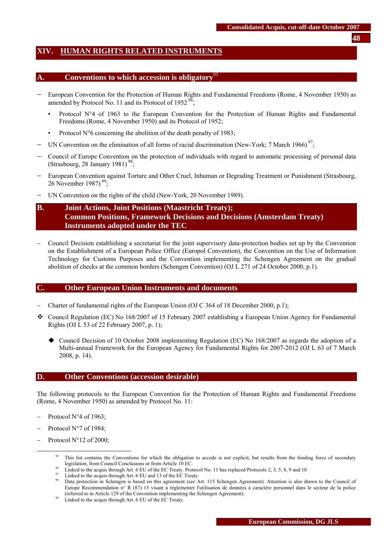# <span id="page-47-0"></span>**XIV. HUMAN RIGHTS RELATED INSTRUMENTS**

# **A.** Conventions to which accession is obligatory

- − European Convention for the Protection of Human Rights and Fundamental Freedoms (Rome, 4 November 1950) as amended by Protocol No. 11 and its Protocol of 1952 $^{96}$ ;
	- Protocol N°4 of 1963 to the European Convention for the Protection of Human Rights and Fundamental Freedoms (Rome, 4 November 1950) and its Protocol of 1952;
	- Protocol  $N^{\circ}6$  concerning the abolition of the death penalty of 1983;
- − UN Convention on the elimination of all forms of racial discrimination (New-York; 7 March 1966)<sup>97</sup>;
- − Council of Europe Convention on the protection of individuals with regard to automatic processing of personal data (Strasbourg, 28 January 1981)<sup>98</sup>;
- − European Convention against Torture and Other Cruel, Inhuman or Degrading Treatment or Punishment (Strasbourg, 26 November 1987)<sup>99</sup>;
- UN Convention on the rights of the child (New-York, 20 November 1989).

# **B. Joint Actions, Joint Positions (Maastricht Treaty); Common Positions, Framework Decisions and Decisions (Amsterdam Treaty) Instruments adopted under the TEC**

− Council Decision establishing a secretariat for the joint supervisory data-protection bodies set up by the Convention on the Establishment of a European Police Office (Europol Convention), the Convention on the Use of Information Technology for Customs Purposes and the Convention implementing the Schengen Agreement on the gradual abolition of checks at the common borders (Schengen Convention) (OJ L 271 of 24 October 2000, p.1).

# **C. Other European Union Instruments and documents**

- − Charter of fundamental rights of the European Union (OJ C 364 of 18 December 2000, p.1);
- Council Regulation (EC) No 168/2007 of 15 February 2007 establishing a European Union Agency for Fundamental Rights (OJ L 53 of 22 February 2007, p. 1);
	- Council Decision of 10 October 2008 implementing Regulation (EC) No 168/2007 as regards the adoption of a Multi-annual Framework for the European Agency for Fundamental Rights for 2007-2012 (OJ L 63 of 7 March 2008, p. 14).

# **D. Other Conventions (accession desirable)**

The following protocols to the European Convention for the Protection of Human Rights and Fundamental Freedoms (Rome, 4 November 1950) as amended by Protocol No. 11:

- Protocol N°4 of 1963;
- Protocol N°7 of 1984;
- Protocol N°12 of 2000;

<sup>&</sup>lt;sup>95</sup> This list contains the Conventions for which the obligation to accede is not explicit, but results from the binding force of secondary

legislation, from Council Conclusions or from Article 10 EC.<br><sup>96</sup> Linked to the acquis through Art. 6 EU of the EC Treaty. Protocol No. 11 has replaced Protocols 2, 3, 5, 8, 9 and 10<br><sup>97</sup> Linked to the acquis through Art.

Data protection in Schengen is based on this agreement (see Art. 115 Schengen Agreement). Attention is also drawn to the Council of Europe Recommendation n° R (87) 15 visant à réglementer l'utilisation de données à caractère personnel dans le secteur de la police (referred to in Article 129 of the Convention implementing the Schengen Agreement). 99 Linked to the acquis through Art. 6 EU of the EC Treaty.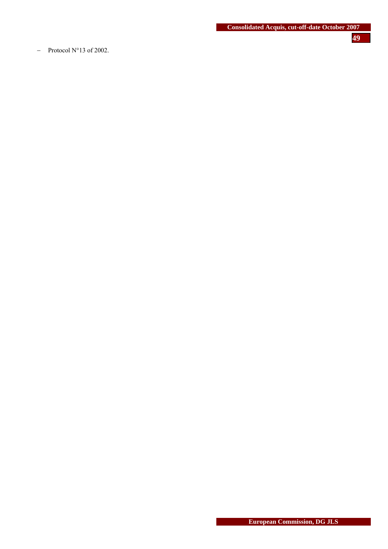− Protocol N°13 of 2002.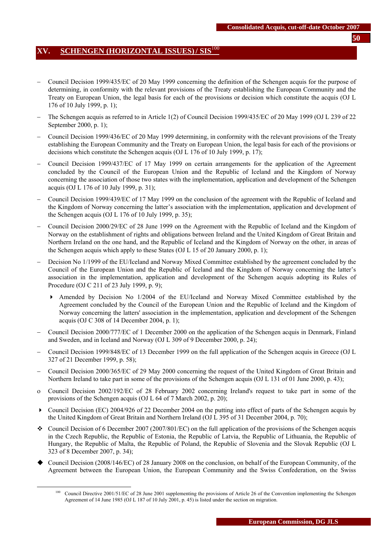# <span id="page-49-0"></span>**XV. SCHENGEN (HORIZONTAL ISSUES)/ SIS**<sup>100</sup>

- − Council Decision 1999/435/EC of 20 May 1999 concerning the definition of the Schengen acquis for the purpose of determining, in conformity with the relevant provisions of the Treaty establishing the European Community and the Treaty on European Union, the legal basis for each of the provisions or decision which constitute the acquis (OJ L 176 of 10 July 1999, p. 1);
- − The Schengen acquis as referred to in Article 1(2) of Council Decision 1999/435/EC of 20 May 1999 (OJ L 239 of 22 September 2000, p. 1);
- − Council Decision 1999/436/EC of 20 May 1999 determining, in conformity with the relevant provisions of the Treaty establishing the European Community and the Treaty on European Union, the legal basis for each of the provisions or decisions which constitute the Schengen acquis (OJ L 176 of 10 July 1999, p. 17);
- − Council Decision 1999/437/EC of 17 May 1999 on certain arrangements for the application of the Agreement concluded by the Council of the European Union and the Republic of Iceland and the Kingdom of Norway concerning the association of those two states with the implementation, application and development of the Schengen acquis (OJ L 176 of 10 July 1999, p. 31);
- − Council Decision 1999/439/EC of 17 May 1999 on the conclusion of the agreement with the Republic of Iceland and the Kingdom of Norway concerning the latter's association with the implementation, application and development of the Schengen acquis (OJ L 176 of 10 July 1999, p. 35);
- − Council Decision 2000/29/EC of 28 June 1999 on the Agreement with the Republic of Iceland and the Kingdom of Norway on the establishment of rights and obligations between Ireland and the United Kingdom of Great Britain and Northern Ireland on the one hand, and the Republic of Iceland and the Kingdom of Norway on the other, in areas of the Schengen acquis which apply to these States (OJ L 15 of 20 January 2000, p. 1);
- Decision No 1/1999 of the EU/Iceland and Norway Mixed Committee established by the agreement concluded by the Council of the European Union and the Republic of Iceland and the Kingdom of Norway concerning the latter's association in the implementation, application and development of the Schengen acquis adopting its Rules of Procedure (OJ C 211 of 23 July 1999, p. 9);
	- Amended by Decision No 1/2004 of the EU/Iceland and Norway Mixed Committee established by the Agreement concluded by the Council of the European Union and the Republic of Iceland and the Kingdom of Norway concerning the latters' association in the implementation, application and development of the Schengen acquis (OJ C 308 of 14 December 2004, p. 1);
- − Council Decision 2000/777/EC of 1 December 2000 on the application of the Schengen acquis in Denmark, Finland and Sweden, and in Iceland and Norway (OJ L 309 of 9 December 2000, p. 24);
- − Council Decision 1999/848/EC of 13 December 1999 on the full application of the Schengen acquis in Greece (OJ L 327 of 21 December 1999, p. 58);
- − Council Decision 2000/365/EC of 29 May 2000 concerning the request of the United Kingdom of Great Britain and Northern Ireland to take part in some of the provisions of the Schengen acquis (OJ L 131 of 01 June 2000, p. 43);
- ο Council Decision 2002/192/EC of 28 February 2002 concerning Ireland's request to take part in some of the provisions of the Schengen acquis (OJ L 64 of 7 March 2002, p. 20);
- $\triangleright$  Council Decision (EC) 2004/926 of 22 December 2004 on the putting into effect of parts of the Schengen acquis by the United Kingdom of Great Britain and Northern Ireland (OJ L 395 of 31 December 2004, p. 70);
- Council Decision of 6 December 2007 (2007/801/EC) on the full application of the provisions of the Schengen acquis in the Czech Republic, the Republic of Estonia, the Republic of Latvia, the Republic of Lithuania, the Republic of Hungary, the Republic of Malta, the Republic of Poland, the Republic of Slovenia and the Slovak Republic (OJ L 323 of 8 December 2007, p. 34);
- Council Decision (2008/146/EC) of 28 January 2008 on the conclusion, on behalf of the European Community, of the Agreement between the European Union, the European Community and the Swiss Confederation, on the Swiss

<sup>&</sup>lt;sup>100</sup> Council Directive 2001/51/EC of 28 June 2001 supplementing the provisions of Article 26 of the Convention implementing the Schengen Agreement of 14 June 1985 (OJ L 187 of 10 July 2001, p. 45) is listed under the section on migration.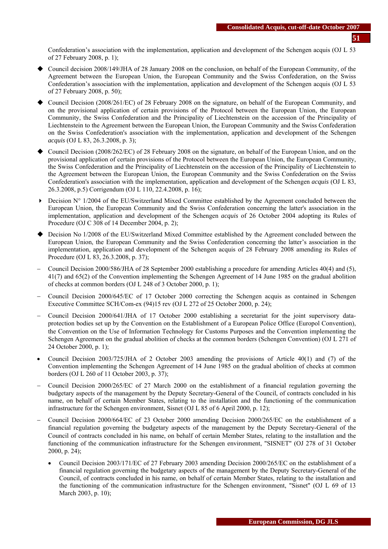Confederation's association with the implementation, application and development of the Schengen acquis (OJ L 53 of 27 February 2008, p. 1);

- Council decision 2008/149/JHA of 28 January 2008 on the conclusion, on behalf of the European Community, of the Agreement between the European Union, the European Community and the Swiss Confederation, on the Swiss Confederation's association with the implementation, application and development of the Schengen acquis (OJ L 53 of 27 February 2008, p. 50);
- Council Decision (2008/261/EC) of 28 February 2008 on the signature, on behalf of the European Community, and on the provisional application of certain provisions of the Protocol between the European Union, the European Community, the Swiss Confederation and the Principality of Liechtenstein on the accession of the Principality of Liechtenstein to the Agreement between the European Union, the European Community and the Swiss Confederation on the Swiss Confederation's association with the implementation, application and development of the Schengen *acquis* (OJ L 83, 26.3.2008, p. 3);
- Council Decision (2008/262/EC) of 28 February 2008 on the signature, on behalf of the European Union, and on the provisional application of certain provisions of the Protocol between the European Union, the European Community, the Swiss Confederation and the Principality of Liechtenstein on the accession of the Principality of Liechtenstein to the Agreement between the European Union, the European Community and the Swiss Confederation on the Swiss Confederation's association with the implementation, application and development of the Schengen *acquis* (OJ L 83, 26.3.2008, p.5) Corrigendum (OJ L 110, 22.4.2008, p. 16);
- $\triangleright$  Decision N° 1/2004 of the EU/Switzerland Mixed Committee established by the Agreement concluded between the European Union, the European Community and the Swiss Confederation concerning the latter's association in the implementation, application and development of the Schengen *acquis* of 26 October 2004 adopting its Rules of Procedure (OJ C 308 of 14 December 2004, p. 2);
- ◆ Decision No 1/2008 of the EU/Switzerland Mixed Committee established by the Agreement concluded between the European Union, the European Community and the Swiss Confederation concerning the latter's association in the implementation, application and development of the Schengen acquis of 28 February 2008 amending its Rules of Procedure (OJ L 83, 26.3.2008, p. 37);
- − Council Decision 2000/586/JHA of 28 September 2000 establishing a procedure for amending Articles 40(4) and (5), 41(7) and 65(2) of the Convention implementing the Schengen Agreement of 14 June 1985 on the gradual abolition of checks at common borders (OJ L 248 of 3 October 2000, p. 1);
- − Council Decision 2000/645/EC of 17 October 2000 correcting the Schengen acquis as contained in Schengen Executive Committee SCH/Com-ex (94)15 rev (OJ L 272 of 25 October 2000, p. 24);
- − Council Decision 2000/641/JHA of 17 October 2000 establishing a secretariat for the joint supervisory dataprotection bodies set up by the Convention on the Establishment of a European Police Office (Europol Convention), the Convention on the Use of Information Technology for Customs Purposes and the Convention implementing the Schengen Agreement on the gradual abolition of checks at the common borders (Schengen Convention) (OJ L 271 of 24 October 2000, p. 1);
- Council Decision 2003/725/JHA of 2 October 2003 amending the provisions of Article 40(1) and (7) of the Convention implementing the Schengen Agreement of 14 June 1985 on the gradual abolition of checks at common borders (OJ L 260 of 11 October 2003, p. 37);
- − Council Decision 2000/265/EC of 27 March 2000 on the establishment of a financial regulation governing the budgetary aspects of the management by the Deputy Secretary-General of the Council, of contracts concluded in his name, on behalf of certain Member States, relating to the installation and the functioning of the communication infrastructure for the Schengen environment, Sisnet (OJ L 85 of 6 April 2000, p. 12);
- − Council Decision 2000/664/EC of 23 October 2000 amending Decision 2000/265/EC on the establishment of a financial regulation governing the budgetary aspects of the management by the Deputy Secretary-General of the Council of contracts concluded in his name, on behalf of certain Member States, relating to the installation and the functioning of the communication infrastructure for the Schengen environment, "SISNET" (OJ 278 of 31 October 2000, p. 24);
	- Council Decision 2003/171/EC of 27 February 2003 amending Decision 2000/265/EC on the establishment of a financial regulation governing the budgetary aspects of the management by the Deputy Secretary-General of the Council, of contracts concluded in his name, on behalf of certain Member States, relating to the installation and the functioning of the communication infrastructure for the Schengen environment, "Sisnet" (OJ L 69 of 13 March 2003, p. 10);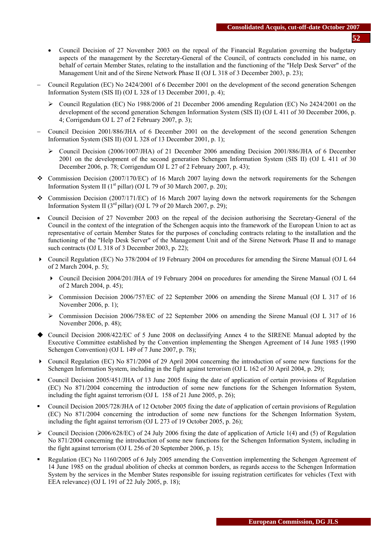- Council Decision of 27 November 2003 on the repeal of the Financial Regulation governing the budgetary aspects of the management by the Secretary-General of the Council, of contracts concluded in his name, on behalf of certain Member States, relating to the installation and the functioning of the "Help Desk Server" of the Management Unit and of the Sirene Network Phase II (OJ L 318 of 3 December 2003, p. 23);
- − Council Regulation (EC) No 2424/2001 of 6 December 2001 on the development of the second generation Schengen Information System (SIS II) (OJ L 328 of 13 December 2001, p. 4);
	- ¾ Council Regulation (EC) No 1988/2006 of 21 December 2006 amending Regulation (EC) No 2424/2001 on the development of the second generation Schengen Information System (SIS II) (OJ L 411 of 30 December 2006, p. 4; Corrigendum OJ L 27 of 2 February 2007, p. 3);
- − Council Decision 2001/886/JHA of 6 December 2001 on the development of the second generation Schengen Information System (SIS II) (OJ L 328 of 13 December 2001, p. 1);
	- ¾ Council Decision (2006/1007/JHA) of 21 December 2006 amending Decision 2001/886/JHA of 6 December 2001 on the development of the second generation Schengen Information System (SIS II) (OJ L 411 of 30 December 2006, p. 78; Corrigendum OJ L 27 of 2 February 2007, p. 43);
- \* Commission Decision (2007/170/EC) of 16 March 2007 laying down the network requirements for the Schengen Information System II ( $1<sup>st</sup>$  pillar) (OJ L 79 of 30 March 2007, p. 20);
- Commission Decision (2007/171/EC) of 16 March 2007 laying down the network requirements for the Schengen Information System II ( $3<sup>rd</sup>$  pillar) (OJ L 79 of 20 March 2007, p. 29);
- Council Decision of 27 November 2003 on the repeal of the decision authorising the Secretary-General of the Council in the context of the integration of the Schengen acquis into the framework of the European Union to act as representative of certain Member States for the purposes of concluding contracts relating to the installation and the functioning of the "Help Desk Server" of the Management Unit and of the Sirene Network Phase II and to manage such contracts (OJ L 318 of 3 December 2003, p. 22);
- Council Regulation (EC) No 378/2004 of 19 February 2004 on procedures for amending the Sirene Manual (OJ L 64 [of 2 March 2004, p. 5\)](http://europa.eu.int/eur-lex/en/archive/2004/l_06420040302en.html);
	- Council Decision 2004/201/JHA of 19 February 2004 on procedures for amending the Sirene Manual (OJ L 64 of 2 March 2004, p. 45);
	- $\triangleright$  Commission Decision 2006/757/EC of 22 September 2006 on amending the Sirene Manual (OJ L 317 of 16) November 2006, p. 1);
	- ¾ Commission Decision 2006/758/EC of 22 September 2006 on amending the Sirene Manual (OJ L 317 of 16 November 2006, p. 48);
- Council Decision 2008/422/EC of 5 June 2008 on declassifying Annex 4 to the SIRENE Manual adopted by the Executive Committee established by the Convention implementing the Shengen Agreement of 14 June 1985 (1990 Schengen Convention) (OJ L 149 of 7 June 2007, p. 78);
- Council Regulation (EC) No 871/2004 of 29 April 2004 concerning the introduction of some new functions for the Schengen Information System, including in the fight against terrorism (OJ L 162 of 30 April 2004, p. 29);
- Council Decision 2005/451/JHA of 13 June 2005 fixing the date of application of certain provisions of Regulation (EC) No 871/2004 concerning the introduction of some new functions for the Schengen Information System, including the fight against terrorism (OJ L 158 of 21 June 2005, p. 26);
- Council Decision 2005/728/JHA of 12 October 2005 fixing the date of application of certain provisions of Regulation (EC) No 871/2004 concerning the introduction of some new functions for the Schengen Information System, including the fight against terrorism (OJ L 273 of 19 October 2005, p. 26);
- $\triangleright$  Council Decision (2006/628/EC) of 24 July 2006 fixing the date of application of Article 1(4) and (5) of Regulation No 871/2004 concerning the introduction of some new functions for the Schengen Information System, including in the fight against terrorism (OJ L 256 of 20 September 2006, p. 15);
- Regulation (EC) No 1160/2005 of 6 July 2005 amending the Convention implementing the Schengen Agreement of 14 June 1985 on the gradual abolition of checks at common borders, as regards access to the Schengen Information System by the services in the Member States responsible for issuing registration certificates for vehicles (Text with EEA relevance) (OJ L 191 of 22 July 2005, p. 18);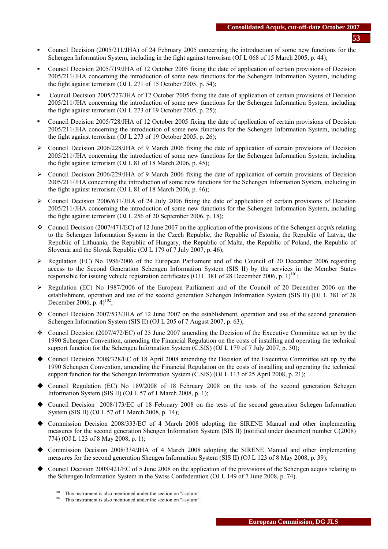- Council Decision (2005/211/JHA) of 24 February 2005 concerning the introduction of some new functions for the Schengen Information System, including in the fight against terrorism (OJ L 068 of 15 March 2005, p. 44);
- Council Decision 2005/719/JHA of 12 October 2005 fixing the date of application of certain provisions of Decision 2005/211/JHA concerning the introduction of some new functions for the Schengen Information System, including the fight against terrorism (OJ L 271 of 15 October 2005, p. 54);
- Council Decision 2005/727/JHA of 12 October 2005 fixing the date of application of certain provisions of Decision 2005/211/JHA concerning the introduction of some new functions for the Schengen Information System, including the fight against terrorism (OJ L 273 of 19 October 2005, p. 25);
- Council Decision 2005/728/JHA of 12 October 2005 fixing the date of application of certain provisions of Decision 2005/211/JHA concerning the introduction of some new functions for the Schengen Information System, including the fight against terrorism (OJ L 273 of 19 October 2005, p. 26);
- $\triangleright$  Council Decision 2006/228/JHA of 9 March 2006 fixing the date of application of certain provisions of Decision 2005/211/JHA concerning the introduction of some new functions for the Schengen Information System, including the fight against terrorism (OJ L 81 of 18 March 2006, p. 45);
- $\triangleright$  Council Decision 2006/229/JHA of 9 March 2006 fixing the date of application of certain provisions of Decision 2005/211/JHA concerning the introduction of some new functions for the Schengen Information System, including in the fight against terrorism (OJ L 81 of 18 March 2006, p. 46);
- $\triangleright$  Council Decision 2006/631/JHA of 24 July 2006 fixing the date of application of certain provisions of Decision 2005/211/JHA concerning the introduction of some new functions for the Schengen Information System, including the fight against terrorism (OJ L 256 of 20 September 2006, p. 18);
- Council Decision (2007/471/EC) of 12 June 2007 on the application of the provisions of the Schengen *acquis* relating to the Schengen Information System in the Czech Republic, the Republic of Estonia, the Republic of Latvia, the Republic of Lithuania, the Republic of Hungary, the Republic of Malta, the Republic of Poland, the Republic of Slovenia and the Slovak Republic (OJ L 179 of 7 July 2007, p. 46);
- $\triangleright$  Regulation (EC) No 1986/2006 of the European Parliament and of the Council of 20 December 2006 regarding access to the Second Generation Schengen Information System (SIS II) by the services in the Member States responsible for issuing vehicle registration certificates (OJ L 381 of 28 December 2006, p. 1)<sup>101</sup>;
- ¾ Regulation (EC) No 1987/2006 of the European Parliament and of the Council of 20 December 2006 on the establishment, operation and use of the second generation Schengen Information System (SIS II) (OJ L 381 of 28 December 2006, p.  $4)^{102}$ ;
- Council Decision 2007/533/JHA of 12 June 2007 on the establishment, operation and use of the second generation Schengen Information System (SIS II) (OJ L 205 of 7 August 2007, p. 63);
- Council Decision (2007/472/EC) of 25 June 2007 amending the Decision of the Executive Committee set up by the 1990 Schengen Convention, amending the Financial Regulation on the costs of installing and operating the technical support function for the Schengen Information System (C.SIS) (OJ L 179 of 7 July 2007, p. 50);
- Council Decision 2008/328/EC of 18 April 2008 amending the Decision of the Executive Committee set up by the 1990 Schengen Convention, amending the Financial Regulation on the costs of installing and operating the technical support function for the Schengen Information System (C.SIS) (OJ L 113 of 25 April 2008, p. 21);
- Council Regulation (EC) No 189/2008 of 18 February 2008 on the tests of the second generation Schegen Information System (SIS II) (OJ L 57 of 1 March 2008, p. 1);
- Council Decision 2008/173/EC of 18 February 2008 on the tests of the second generation Schegen Information System (SIS II) (OJ L 57 of 1 March 2008, p. 14);
- Commission Decision 2008/333/EC of 4 March 2008 adopting the SIRENE Manual and other implementing measures for the second generation Shengen Information System (SIS II) (notified under document number C(2008) 774) (OJ L 123 of 8 May 2008, p. 1);
- Commission Decision 2008/334/JHA of 4 March 2008 adopting the SIRENE Manual and other implementing measures for the second generation Shengen Information System (SIS II) (OJ L 123 of 8 May 2008, p. 39);
- Council Decision 2008/421/EC of 5 June 2008 on the application of the provisions of the Schengen acquis relating to the Schengen Information System in the Swiss Confederation (OJ L 149 of 7 June 2008, p. 74).

<sup>&</sup>lt;sup>101</sup> This instrument is also mentioned under the section on "asylum".<br><sup>102</sup> This instrument is also mentioned under the section on "asylum".